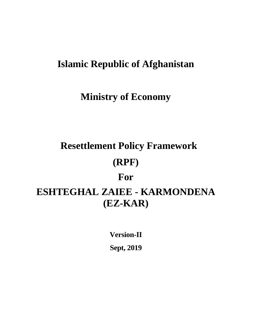# **Islamic Republic of Afghanistan**

# **Ministry of Economy**

# **Resettlement Policy Framework (RPF) For ESHTEGHAL ZAIEE - KARMONDENA (EZ-KAR)**

**Version-II Sept, 2019**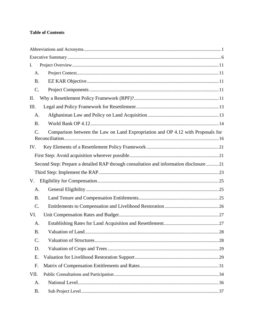#### **Table of Contents**

| Ι.              |                                                                                        |  |
|-----------------|----------------------------------------------------------------------------------------|--|
| A.              |                                                                                        |  |
| <b>B.</b>       |                                                                                        |  |
| $C$ .           |                                                                                        |  |
| II.             |                                                                                        |  |
| Ш.              |                                                                                        |  |
| A.              |                                                                                        |  |
| <b>B.</b>       |                                                                                        |  |
| $\mathcal{C}$ . | Comparison between the Law on Land Expropriation and OP 4.12 with Proposals for        |  |
| IV.             |                                                                                        |  |
|                 |                                                                                        |  |
|                 | Second Step: Prepare a detailed RAP through consultation and information disclosure 21 |  |
|                 |                                                                                        |  |
| V.              |                                                                                        |  |
| A.              |                                                                                        |  |
| <b>B.</b>       |                                                                                        |  |
| $\mathcal{C}$ . |                                                                                        |  |
| VI.             |                                                                                        |  |
| A.              |                                                                                        |  |
| <b>B.</b>       |                                                                                        |  |
| $\mathcal{C}$ . |                                                                                        |  |
| D.              |                                                                                        |  |
| Ε.              |                                                                                        |  |
| F.              |                                                                                        |  |
| VII.            |                                                                                        |  |
| A.              |                                                                                        |  |
| <b>B.</b>       |                                                                                        |  |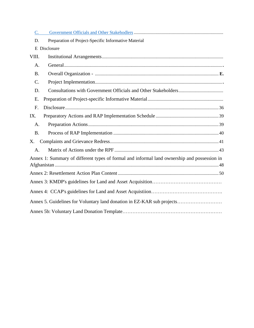| $C_{\cdot}$ |                                                                                             |
|-------------|---------------------------------------------------------------------------------------------|
| D.          | Preparation of Project-Specific Informative Material                                        |
|             | E Disclosure                                                                                |
| VIII.       |                                                                                             |
| A.          |                                                                                             |
| <b>B.</b>   |                                                                                             |
| $C$ .       |                                                                                             |
| D.          |                                                                                             |
| E.          |                                                                                             |
| F.          |                                                                                             |
| IX.         |                                                                                             |
| A.          |                                                                                             |
| <b>B.</b>   |                                                                                             |
| Χ.          |                                                                                             |
| A.          |                                                                                             |
|             | Annex 1: Summary of different types of formal and informal land ownership and possession in |
|             |                                                                                             |
|             |                                                                                             |
|             |                                                                                             |
|             | Annex 5. Guidelines for Voluntary land donation in EZ-KAR sub projects                      |
|             |                                                                                             |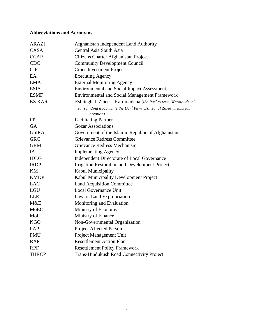# **Abbreviations and Acronyms**

| <b>ARAZI</b>  | Afghanistan Independent Land Authority                              |
|---------------|---------------------------------------------------------------------|
| <b>CASA</b>   | Central Asia South Asia                                             |
| <b>CCAP</b>   | Citizens Charter Afghanistan Project                                |
| <b>CDC</b>    | <b>Community Development Council</b>                                |
| CIP           | <b>Cities Investment Project</b>                                    |
| EA            | <b>Executing Agency</b>                                             |
| <b>EMA</b>    | <b>External Monitoring Agency</b>                                   |
| <b>ESIA</b>   | <b>Environmental and Social Impact Assessment</b>                   |
| <b>ESMF</b>   | <b>Environmental and Social Management Framework</b>                |
| <b>EZ KAR</b> | Eshiteghal Zaiee - Karmondena (the Pashto term 'Karmondena'         |
|               | means finding a job while the Dari term 'Eshteghal Zaiee' means job |
|               | <i>creation</i> ).                                                  |
| <b>FP</b>     | <b>Facilitating Partner</b>                                         |
| <b>GA</b>     | <b>Gozar Associations</b>                                           |
| <b>GoIRA</b>  | Government of the Islamic Republic of Afghanistan                   |
| <b>GRC</b>    | <b>Grievance Redress Committee</b>                                  |
| <b>GRM</b>    | Grievance Redress Mechanism                                         |
| IA            | <b>Implementing Agency</b>                                          |
| <b>IDLG</b>   | <b>Independent Directorate of Local Governance</b>                  |
| <b>IRDP</b>   | <b>Irrigation Restoration and Development Project</b>               |
| KM            | Kabul Municipality                                                  |
| <b>KMDP</b>   | Kabul Municipality Development Project                              |
| <b>LAC</b>    | <b>Land Acquisition Committee</b>                                   |
| <b>LGU</b>    | <b>Local Governance Unit</b>                                        |
| <b>LLE</b>    | Law on Land Expropriation                                           |
| M&E           | Monitoring and Evaluation                                           |
| MoEC          | Ministry of Economy                                                 |
| MoF           | Ministry of Finance                                                 |
| <b>NGO</b>    | Non-Governmental Organization                                       |
| PAP           | Project Affected Person                                             |
| <b>PMU</b>    | Project Management Unit                                             |
| <b>RAP</b>    | <b>Resettlement Action Plan</b>                                     |
| <b>RPF</b>    | <b>Resettlement Policy Framework</b>                                |
| <b>THRCP</b>  | <b>Trans-Hindukush Road Connectivity Project</b>                    |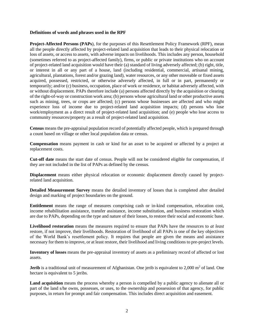#### **Definitions of words and phrases used in the RPF**

**Project-Affected Persons (PAPs**), for the purposes of this Resettlement Policy Framework (RPF), mean all the people directly affected by project-related land acquisition that leads to their physical relocation or loss of assets, or access to assets, with adverse impacts on livelihoods. This includes any person, household (sometimes referred to as project-affected family), firms, or public or private institutions who on account of project-related land acquisition would have their (a) standard of living adversely affected; (b) right, title, or interest in all or any part of a house, land (including residential, commercial, artisanal mining, agricultural, plantations, forest and/or grazing land), water resources, or any other moveable or fixed assets acquired, possessed, restricted, or otherwise adversely affected, in full or in part, permanently or temporarily; and/or (c) business, occupation, place of work or residence, or habitat adversely affected, with or without displacement. PAPs therefore include (a) persons affected directly by the acquisition or clearing of the right-of-way or construction work area; (b) persons whose agricultural land or other productive assets such as mining, trees, or crops are affected; (c) persons whose businesses are affected and who might experience loss of income due to project-related land acquisition impacts; (d) persons who lose work/employment as a direct result of project-related land acquisition; and (e) people who lose access to community resources/property as a result of project-related land acquisition.

**Census** means the pre-appraisal population record of potentially affected people, which is prepared through a count based on village or other local population data or census.

**Compensation** means payment in cash or kind for an asset to be acquired or affected by a project at replacement costs.

**Cut-off date** means the start date of census. People will not be considered eligible for compensation, if they are not included in the list of PAPs as defined by the census.

**Displacement** means either physical relocation or economic displacement directly caused by projectrelated land acquisition.

**Detailed Measurement Survey** means the detailed inventory of losses that is completed after detailed design and marking of project boundaries on the ground.

**Entitlement** means the range of measures comprising cash or in-kind compensation, relocation cost, income rehabilitation assistance, transfer assistance, income substitution, and business restoration which are due to PAPs, depending on the type and nature of their losses, to restore their social and economic base.

**Livelihood restoration** means the measures required to ensure that PAPs have the resources to *at least*  restore, if not improve, their livelihoods. Restoration of livelihood of all PAPs is one of the key objectives of the World Bank's resettlement policy. It requires that people are given the means and assistance necessary for them to improve, or at least restore, their livelihood and living conditions to pre-project levels.

**Inventory of losses** means the pre-appraisal inventory of assets as a preliminary record of affected or lost assets.

**Jerib** is a traditional unit of measurement of Afghanistan. One jerib is equivalent to 2,000 m<sup>2</sup> of land. One hectare is equivalent to 5 jeribs.

**Land acquisition** means the process whereby a person is compelled by a public agency to alienate all or part of the land s/he owns, possesses, or uses, to the ownership and possession of that agency, for public purposes, in return for prompt and fair compensation. This includes direct acquisition and easement.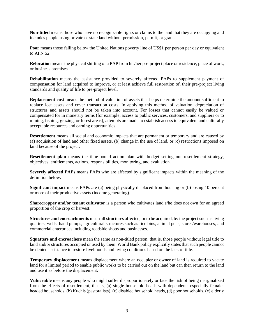**Non-titled** means those who have no recognizable rights or claims to the land that they are occupying and includes people using private or state land without permission, permit, or grant.

**Poor** means those falling below the United Nations poverty line of US\$1 per person per day or equivalent to AFN 52.

**Relocation** means the physical shifting of a PAP from his/her pre-project place or residence, place of work, or business premises.

**Rehabilitation** means the assistance provided to severely affected PAPs to supplement payment of compensation for land acquired to improve, or at least achieve full restoration of, their pre-project living standards and quality of life to pre-project level.

**Replacement cost** means the method of valuation of assets that helps determine the amount sufficient to replace lost assets and cover transaction costs. In applying this method of valuation, depreciation of structures and assets should not be taken into account. For losses that cannot easily be valued or compensated for in monetary terms (for example, access to public services, customers, and suppliers or to mining, fishing, grazing, or forest areas), attempts are made to establish access to equivalent and culturally acceptable resources and earning opportunities.

**Resettlement** means all social and economic impacts that are permanent or temporary and are caused by (a) acquisition of land and other fixed assets, (b) change in the use of land, or (c) restrictions imposed on land because of the project.

**Resettlement plan** means the time-bound action plan with budget setting out resettlement strategy, objectives, entitlements, actions, responsibilities, monitoring, and evaluation.

**Severely affected PAPs** means PAPs who are affected by significant impacts within the meaning of the definition below.

**Significant impact** means PAPs are (a) being physically displaced from housing or (b) losing 10 percent or more of their productive assets (income generating).

**Sharecropper and/or tenant cultivator** is a person who cultivates land s/he does not own for an agreed proportion of the crop or harvest.

**Structures and encroachments** mean all structures affected, or to be acquired, by the project such as living quarters, wells, hand pumps, agricultural structures such as rice bins, animal pens, stores/warehouses, and commercial enterprises including roadside shops and businesses.

**Squatters and encroachers** mean the same as non-titled person, that is, those people without legal title to land and/or structures occupied or used by them. World Bank policy explicitly states that such people cannot be denied assistance to restore livelihoods and living conditions based on the lack of title.

**Temporary displacement** means displacement where an occupier or owner of land is required to vacate land for a limited period to enable public works to be carried out on the land but can then return to the land and use it as before the displacement.

**Vulnerable** means any people who might suffer disproportionately or face the risk of being marginalized from the effects of resettlement, that is, (a) single household heads with dependents especially femaleheaded households, (b) Kuchis (pastoralists), (c) disabled household heads, (d) poor households, (e) elderly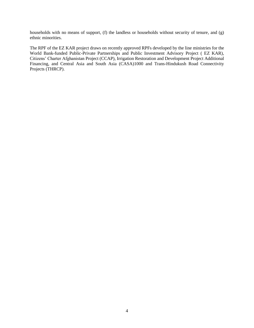households with no means of support, (f) the landless or households without security of tenure, and (g) ethnic minorities.

The RPF of the EZ KAR project draws on recently approved RPFs developed by the line ministries for the World Bank-funded Public-Private Partnerships and Public Investment Advisory Project ( EZ KAR), Citizens' Charter Afghanistan Project (CCAP), Irrigation Restoration and Development Project Additional Financing, and Central Asia and South Asia (CASA)1000 and Trans-Hindukush Road Connectivity Projects (THRCP).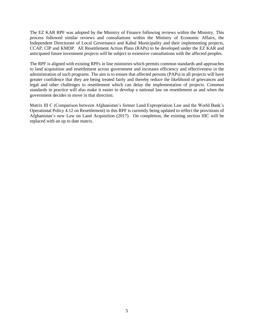The EZ KAR RPF was adopted by the Ministry of Finance following reviews within the Ministry. This process followed similar reviews and consultations within the Ministry of Economic Affairs, the Independent Directorate of Local Governance and Kabul Municipality and their implementing projects, CCAP, CIP and KMDP. All Resettlement Action Plans (RAPs) to be developed under the EZ KAR and anticipated future investment projects will be subject to extensive consultations with the affected peoples.

The RPF is aligned with existing RPFs in line ministries which permits common standards and approaches to land acquisition and resettlement across government and increases efficiency and effectiveness in the administration of such programs. The aim is to ensure that affected persons (PAPs) in all projects will have greater confidence that they are being treated fairly and thereby reduce the likelihood of grievances and legal and other challenges to resettlement which can delay the implementation of projects. Common standards in practice will also make it easier to develop a national law on resettlement as and when the government decides to move in that direction.

Matrix III C (Comparison between Afghanistan's former Land Expropriation Law and the World Bank's Operational Policy 4.12 on Resettlement) in this RPF is currently being updated to reflect the provisions of Afghanistan's new Law on Land Acquisition (2017). On completion, the existing section IIIC will be replaced with an up to date matrix.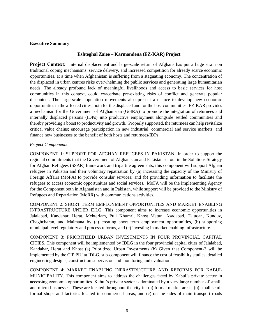#### **Executive Summary**

#### **Eshteghal Zaiee – Karmondena (EZ-KAR) Project**

**Project Context:** Internal displacement and large-scale return of Afghans has put a huge strain on traditional coping mechanisms, service delivery, and increased competition for already scarce economic opportunities, at a time when Afghanistan is suffering from a stagnating economy. The concentration of the displaced in urban centres risks overwhelming the public services and generating large humanitarian needs. The already profound lack of meaningful livelihoods and access to basic services for host communities in this context, could exacerbate pre-existing risks of conflict and generate popular discontent. The large-scale population movements also present a chance to develop new economic opportunities in the affected cities, both for the displaced and for the host communities. EZ-KAR provides a mechanism for the Government of Afghanistan (GoIRA) to promote the integration of returnees and internally displaced persons (IDPs) into productive employment alongside settled communities and thereby providing a boost to productivity and growth. Properly supported, the returnees can help revitalize critical value chains; encourage participation in new industrial, commercial and service markets; and finance new businesses to the benefit of both hosts and returnees/IDPs.

#### *Project Components*:

COMPONENT 1: SUPPORT FOR AFGHAN REFUGEES IN PAKISTAN. In order to support the regional commitments that the Government of Afghanistan and Pakistan set out in the Solutions Strategy for Afghan Refugees (SSAR) framework and tripartite agreements, this component will support Afghan refugees in Pakistan and their voluntary repatriation by (a) increasing the capacity of the Ministry of Foreign Affairs (MoFA) to provide consular services; and (b) providing information to facilitate the refugees to access economic opportunities and social services. MoFA will be the Implementing Agency for the Component both in Afghanistan and in Pakistan, while support will be provided to the Ministry of Refugees and Repatriation (MoRR) with communications activities.

COMPONENT 2: SHORT TERM EMPLOYMENT OPPORTUNITIES AND MARKET ENABLING INFRASTRUCTURE UNDER IDLG. This component aims to increase economic opportunities in Jalalabad, Kandahar, Herat, Mehterlam, Puli Khumri, Khost Matun, Asadabad, Taluqan, Kunduz, Chaghcharan, and Maimana by (a) creating short term employment opportunities, (b) supporting municipal level regulatory and process reforms, and (c) investing in market enabling infrastructure.

COMPONENT 3: PRIORITIZED URBAN INVESTMENTS IN FOUR PROVINCIAL CAPITAL CITIES. This component will be implemented by IDLG in the four provincial capital cities of Jalalabad, Kandahar, Herat and Khost (a) Prioritized Urban Investments (b) Given that Component-3 will be implemented by the CIP PIU at IDLG, sub-component will finance the cost of feasibility studies, detailed engineering designs, construction supervision and monitoring and evaluation.

COMPONENT 4: MARKET ENABLING INFRASTRUCTURE AND REFORMS FOR KABUL MUNICIPALITY. This component aims to address the challenges faced by Kabul's private sector in accessing economic opportunities. Kabul's private sector is dominated by a very large number of smalland micro-businesses. These are located throughout the city in: (a) formal market areas, (b) small semiformal shops and factories located in commercial areas, and (c) on the sides of main transport roads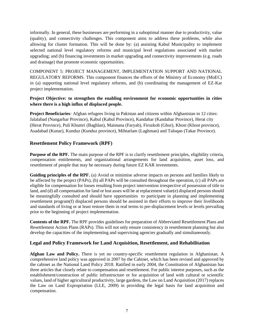informally. In general, these businesses are performing in a suboptimal manner due to productivity, value (quality), and connectivity challenges. This component aims to address these problems, while also allowing for cluster formation. This will be done by: (a) assisting Kabul Municipality to implement selected national level regulatory reforms and municipal level regulations associated with market upgrading; and (b) financing investments in market upgrading and connectivity improvements (e.g. roads and drainage) that promote economic opportunities.

COMPONENT 5: PROJECT MANAGEMENT, IMPLEMENTATION SUPPORT AND NATIONAL REGULATORY REFORMS. This component finances the efforts of the Ministry of Economy (MoEC) in (a) supporting national level regulatory reforms, and (b) coordinating the management of EZ-Kar project implementation.

#### **Project Objective: to strengthen the enabling environment for economic opportunities in cities where there is a high influx of displaced people.**

**Project Beneficiaries***:* Afghan refugees living in Pakistan and citizens within Afghanistan in 12 cities: Jalalabad (Nangarhar Province), Kabul (Kabul Province), Kandahar (Kandahar Province), Herat city (Herat Province), Puli Khumri (Baghlan), Maimana (Faryab), Firozkoh (Ghor), Khost (Khost province), Asadabad (Kunar), Kunduz (Kunduz province), Mihtarlam (Laghman) and Taloqan (Takar Province).

#### **Resettlement Policy Framework (RPF)**

**Purpose of the RPF.** The main purpose of the RPF is to clarify resettlement principles, eligibility criteria, compensation entitlements, and organizational arrangements for land acquisition, asset loss, and resettlement of people that may be necessary during future EZ KAR investments.

**Guiding principles of the RPF.** (a) Avoid or minimise adverse impacts on persons and families likely to be affected by the project (PAPs), (b) all PAPs will be consulted throughout the operation, (c) all PAPs are eligible for compensation for losses resulting from project intervention irrespective of possession of title to land, and (d) all compensation for land or lost asses will be at replacement value(e) displaced persons should be meaningfully consulted and should have opportunities to participate in planning and implementing resettlement program(f) displaced persons should be assisted in their efforts to improve their livelihoods and standards of living or at least restore them in real terms to pre-displacement levels or levels prevailing prior to the beginning of project implementation.

**Contents of the RPF.** The RPF provides guidelines for preparation of Abbreviated Resettlement Plans and Resettlement Action Plans (RAPs). This will not only ensure consistency in resettlement planning but also develop the capacities of the implementing and supervising agencies gradually and simultaneously.

#### **Legal and Policy Framework for Land Acquisition, Resettlement, and Rehabilitation**

**Afghan Law and Policy.** There is yet no country-specific resettlement regulation in Afghanistan. A comprehensive land policy was approved in 2007 by the Cabinet, which has been revised and approved by the cabinet as the National Land Policy 2018. Ratified in early 2004, the Constitution of Afghanistan has three articles that closely relate to compensation and resettlement. For public interest purposes, such as the establishment/construction of public infrastructure or for acquisition of land with cultural or scientific values, land of higher agricultural productivity, large gardens, the Law on Land Acquisition (2017) replaces the Law on Land Expropriation (LLE, 2009) in providing the legal basis for land acquisition and compensation.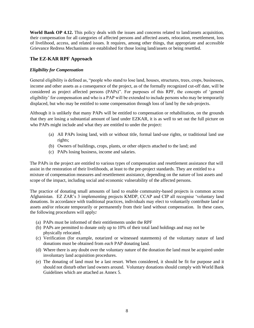**World Bank OP 4.12.** This policy deals with the issues and concerns related to land/assets acquisition, their compensation for all categories of affected persons and affected assets, relocation, resettlement, loss of livelihood, access, and related issues. It requires, among other things*,* that appropriate and accessible Grievance Redress Mechanisms are established for those losing land/assets or being resettled.

#### **The EZ-KAR RPF Approach**

#### *Eligibility for Compensation*

General eligibility is defined as, "people who stand to lose land, houses, structures, trees, crops, businesses, income and other assets as a consequence of the project, as of the formally recognized cut-off date, will be considered as project affected persons (PAPs)". For purposes of this RPF, the concepts of 'general eligibility' for compensation and who is a PAP will be extended to include persons who may be temporarily displaced, but who may be entitled to some compensation through loss of land by the sub-projects.

Although it is unlikely that many PAPs will be entitled to compensation or rehabilitation, on the grounds that they are losing a substantial amount of land under EZKAR, it is as well to set out the full picture on who PAPs might include and what they are entitled to under the project:

- (a) All PAPs losing land, with or without title, formal land-use rights, or traditional land use rights;
- (b) Owners of buildings, crops, plants, or other objects attached to the land; and
- (c) PAPs losing business, income and salaries.

The PAPs in the project are entitled to various types of compensation and resettlement assistance that will assist in the restoration of their livelihoods, at least to the pre-project standards. They are entitled to a mixture of compensation measures and resettlement assistance, depending on the nature of lost assets and scope of the impact, including social and economic vulnerability of the affected persons.

The practice of donating small amounts of land to enable community-based projects is common across Afghanistan. EZ ZAR's 3 implementing projects KMDP, CCAP and CIP all recognise 'voluntary land donations. In accordance with traditional practices, individuals may elect to voluntarily contribute land or assets and/or relocate temporarily or permanently from their land without compensation. In these cases, the following procedures will apply*:*

- (a) PAPs must be informed of their entitlements under the RPF
- (b) PAPs are permitted to donate only up to 10% of their total land holdings and may not be physically relocated.
- (c) Verification (for example, notarized or witnessed statements) of the voluntary nature of land donations must be obtained from *each* PAP donating land.
- (d) Where there is any doubt over the voluntary nature of the donation the land must be acquired under involuntary land acquisition procedures.
- (e) The donating of land must be a last resort. When considered, it should be fit for purpose and it should not disturb other land owners around. Voluntary donations should comply with World Bank Guidelines which are attached as Annex 5.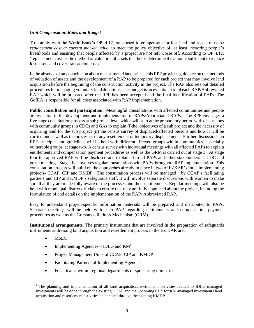#### *Unit Compensation Rates and Budget*

To comply with the World Bank's OP. 4.12, rates used to compensate for lost land and assets must be *replacement cost at current market value*, to meet the policy objective of 'at least' restoring people's livelihoods and ensuring that people affected by a project are not left worse off. According to OP 4.12, 'replacement cost' is the method of valuation of assets that helps determine the amount sufficient to replace lost assets and cover transaction costs.

In the absence of any conclusion about the estimated land prices, this RPF provides guidance on the methods of valuation of assets and the development of a RAP to be prepared for each project that may involve land acquisition before the beginning of the construction activity in the project. The RAP also sets out detailed procedures for managing voluntary land donations. The budget is an essential part of each RAP/Abbreviated RAP which will be prepared after the RPF has been accepted and the final identification of PAPs. The GoIRA is responsible for all costs associated with RAP implementation.

**Public consultation and participation.** Meaningful consultations with affected communities and people are essential in the development and implementation of RAPs/Abbreviated RAPs. The RPF envisages a five stage consultation process at sub project level which will start at the preparatory period with discussions with community groups in CDCs and GAs to explain (i)the objectives of a sub project and the necessity of acquiring land for the sub project (ii) the census survey of displaced/affected persons and how it will be carried out as well as the processes of any resettlement or temporary displacement. Further discussions on RPF principles and guidelines will be held with different affected groups within communities, especially vulnerable groups, at stage two. A census survey with individual meetings with all affected PAPs to explain entitlements and compensation payment procedures as well as the GRM is carried out at stage 3. At stage four the approved RAP will be disclosed and explained to all PAPs and other stakeholders at CDC and gozar meetings. Stage five involves regular consultations with PAPs throughout RAP implementation. This consultation process will build on the approaches already in place in two of EZKAR's three implementing projects- CCAP, CIP and KMDP. The consultation process will be managed by CCAP's facilitating partners and CIP and KMDP's safeguards staff. It will involve separate discussions with women to make sure that they are made fully aware of the processes and their entitlements. Regular meetings will also be held with municipal district officials to ensure that they are fully appraised about the project, including the formulation of and details on the implementation of the RAP/ Abbreviated RAP.

Easy to understand project-specific information materials will be prepared and distributed to PAPs. Separate meetings will be held with each PAP regarding entitlements and compensation payment procedures as well as the Grievance Redress Mechanism (GRM).

**Institutional arrangements.** The primary institutions that are involved in the preparation of safeguards instruments addressing land acquisition and resettlement process in the EZ KAR are:

- MoEC
- Implementing Agencies IDLG and  $KM<sup>1</sup>$
- Project Management Units of CCAP, CIP and KMDP
- Facilitating Partners of Implementing Agencies
- Focal teams within regional departments of sponsoring ministries

<sup>&</sup>lt;sup>1</sup> The planning and implementation of all land acquisition/resettlement activities related to IDLG-managed investments will be done through the existing CCAP and the upcoming CIP: for KM-managed investments land acquisition and resettlement activities be handled through the existing KMDP.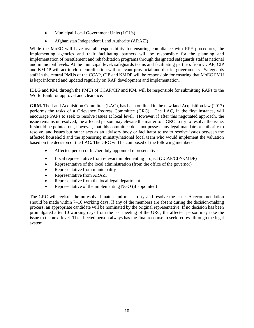- Municipal Local Government Units (LGUs)
- Afghanistan Independent Land Authority (ARAZI)

While the MoEC will have overall responsibility for ensuring compliance with RPF procedures, the implementing agencies and their facilitating partners will be responsible for the planning and implementation of resettlement and rehabilitation programs through designated safeguards staff at national and municipal levels. At the municipal level, safeguards teams and facilitating partners from CCAP, CIP and KMDP will act in close coordination with relevant provincial and district governments. Safeguards staff in the central PMUs of the CCAP, CIP and KMDP will be responsible for ensuring that MoEC PMU is kept informed and updated regularly on RAP development and implementation.

IDLG and KM, through the PMUs of CCAP/CIP and KM, will be responsible for submitting RAPs to the World Bank for approval and clearance.

**GRM.** The Land Acquisition Committee (LAC), has been outlined in the new land Acquisition law (2017) performs the tasks of a Grievance Redress Committee (GRC). The LAC, in the first instance, will encourage PAPs to seek to resolve issues at local level. However, if after this negotiated approach, the issue remains unresolved, the affected person may elevate the matter to a GRC to try to resolve the issue. It should be pointed out, however, that this committee does not possess any legal mandate or authority to resolve land issues but rather acts as an advisory body or facilitator to try to resolve issues between the affected household and the sponsoring ministry/national focal team who would implement the valuation based on the decision of the LAC. The GRC will be composed of the following members:

- Affected person or his/her duly appointed representative
- Local representative from relevant implementing project (CCAP/CIP/KMDP)
- Representative of the local administration (from the office of the governor)
- Representative from municipality
- Representative from ARAZI
- Representative from the local legal department
- Representative of the implementing NGO (if appointed)

The GRC will register the unresolved matter and meet to try and resolve the issue. A recommendation should be made within 7–10 working days. If any of the members are absent during the decision-making process, an appropriate candidate will be nominated by the original representative. If no decision has been promulgated after 10 working days from the last meeting of the GRC, the affected person may take the issue to the next level. The affected person always has the final recourse to seek redress through the legal system.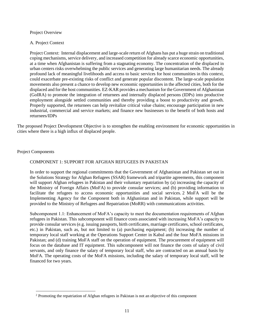#### Project Overview

#### A. Project Context

Project Context: Internal displacement and large-scale return of Afghans has put a huge strain on traditional coping mechanisms, service delivery, and increased competition for already scarce economic opportunities, at a time when Afghanistan is suffering from a stagnating economy. The concentration of the displaced in urban centers risks overwhelming the public services and generating large humanitarian needs. The already profound lack of meaningful livelihoods and access to basic services for host communities in this context, could exacerbate pre-existing risks of conflict and generate popular discontent. The large-scale population movements also present a chance to develop new economic opportunities in the affected cities, both for the displaced and for the host communities. EZ-KAR provides a mechanism for the Government of Afghanistan (GoIRA) to promote the integration of returnees and internally displaced persons (IDPs) into productive employment alongside settled communities and thereby providing a boost to productivity and growth. Properly supported, the returnees can help revitalize critical value chains; encourage participation in new industrial, commercial and service markets; and finance new businesses to the benefit of both hosts and returnees/IDPs

The proposed Project Development Objective is to strengthen the enabling environment for economic opportunities in cities where there is a high influx of displaced people.

#### Project Components

#### COMPONENT 1: SUPPORT FOR AFGHAN REFUGEES IN PAKISTAN

In order to support the regional commitments that the Government of Afghanistan and Pakistan set out in the Solutions Strategy for Afghan Refugees (SSAR) framework and tripartite agreements, this component will support Afghan refugees in Pakistan and their voluntary repatriation by (a) increasing the capacity of the Ministry of Foreign Affairs (MoFA) to provide consular services; and (b) providing information to facilitate the refugees to access economic opportunities and social services. 2 MoFA will be the Implementing Agency for the Component both in Afghanistan and in Pakistan, while support will be provided to the Ministry of Refugees and Repatriation (MoRR) with communications activities.

Subcomponent 1.1: Enhancement of MoFA's capacity to meet the documentation requirements of Afghan refugees in Pakistan. This subcomponent will finance costs associated with increasing MoFA's capacity to provide consular services (e.g. issuing passports, birth certificates, marriage certificates, school certificates, etc.) in Pakistan, such as, but not limited to (a) purchasing equipment; (b) increasing the number of temporary local staff working at the Operations Support Center in Kabul and the four MoFA missions in Pakistan; and (d) training MoFA staff on the operation of equipment. The procurement of equipment will focus on the database and IT equipment. This subcomponent will not finance the costs of salary of civil servants, and only finance the salary of temporary local staff, who are contracted on an annual basis by MoFA. The operating costs of the MoFA missions, including the salary of temporary local staff, will be financed for two years.

<sup>2</sup> Promoting the repatriation of Afghan refugees in Pakistan is not an objective of this component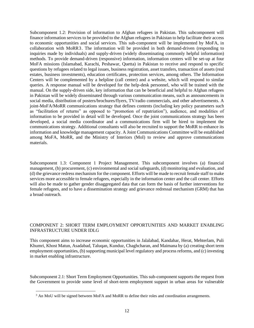Subcomponent 1.2: Provision of information to Afghan refugees in Pakistan. This subcomponent will finance information services to be provided to the Afghan refugees in Pakistan to help facilitate their access to economic opportunities and social services. This sub-component will be implemented by MoFA, in collaboration with MoRR3. The information will be provided in both demand-driven (responding to inquiries made by individuals) and supply-driven (widely disseminating commonly helpful information) methods. To provide demand-driven (responsive) information, information centers will be set-up at four MoFA missions (Islamabad, Karachi, Peshawar, Quetta) in Pakistan to receive and respond to specific questions by refugees related to legal issues, business registration, asset transfers, transaction of assets (real estates, business investments), education certificates, protection services, among others. The Information Centers will be complemented by a helpline (call center) and a website, which will respond to similar queries. A response manual will be developed for the help-desk personnel, who will be trained with the manual. On the supply-driven side, key information that can be beneficial and helpful to Afghan refugees in Pakistan will be widely disseminated through various communication means, such as announcements in social media, distribution of posters/brochures/flyers, TV/radio commercials, and other advertisements. A joint-MoFA/MoRR communications strategy that defines contents (including key policy parameters such as "facilitation of returns" as opposed to "promotion of repatriation"), audience, and modalities of information to be provided in detail will be developed. Once the joint communications strategy has been developed, a social media coordinator and a communications firm will be hired to implement the communications strategy. Additional consultants will also be recruited to support the MoRR to enhance its information and knowledge management capacity. A Joint Communications Committee will be established among MoFA, MoRR, and the Ministry of Interiors (MoI) to review and approve communications materials.

Subcomponent 1.3: Component 1 Project Management. This subcomponent involves (a) financial management, (b) procurement, (c) environmental and social safeguards, (d) monitoring and evaluation, and (d) the grievance redress mechanism for the component. Efforts will be made to recruit female staff to make services more accessible to female refugees, especially in the information center and the call center. Efforts will also be made to gather gender disaggregated data that can form the basis of further interventions for female refugees, and to have a dissemination strategy and grievance redressal mechanism (GRM) that has a broad outreach.

#### COMPONENT 2: SHORT TERM EMPLOYMENT OPPORTUNITIES AND MARKET ENABLING INFRASTRUCTURE UNDER IDLG

This component aims to increase economic opportunities in Jalalabad, Kandahar, Herat, Mehterlam, Puli Khumri, Khost Matun, Asadabad, Taluqan, Kunduz, Chaghcharan, and Maimana by (a) creating short term employment opportunities, (b) supporting municipal level regulatory and process reforms, and (c) investing in market enabling infrastructure.

Subcomponent 2.1: Short Term Employment Opportunities. This sub-component supports the request from the Government to provide some level of short-term employment support in urban areas for vulnerable

<sup>&</sup>lt;sup>3</sup> An MoU will be signed between MoFA and MoRR to define their roles and coordination arrangements.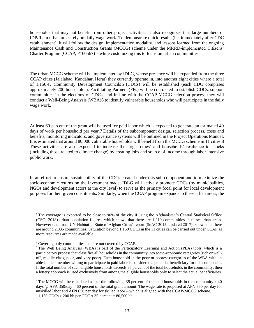households that may not benefit from other project activities. It also recognizes that large numbers of IDP/Rs in urban areas rely on daily wage work. To demonstrate quick results (i.e. immediately after CDC establishment), it will follow the design, implementation modality, and lessons learned from the ongoing Maintenance Cash and Construction Grants (MCCG) scheme under the MRRD-implemented Citizens' Charter Program (CCAP, P160567) – while customizing this to focus on urban communities.

The urban MCCG scheme will be implemented by IDLG, whose presence will be expanded from the three CCAP cities (Jalalabad, Kandahar, Herat) they currently operate in, into another eight cities where a total of 1,150 4 . Community Development Councils 5 (CDCs) will be established (each CDC comprises approximately 200 households). Facilitating Partners (FPs) will be contracted to establish CDCs, support communities in the elections of CDCs, and in line with the CCAP-MCCG selection process they will conduct a Well-Being Analysis (WBA)6 to identify vulnerable households who will participate in the daily wage work.

At least 60 percent of the grant will be used for paid labor which is expected to generate an estimated 40 days of work per household per year.7 Details of the subcomponent design, selection process, costs and benefits, monitoring indicators, and governance systems will be outlined in the Project Operations Manual. It is estimated that around 80,000 vulnerable households will benefit from the MCCG scheme in 11 cities.8 These activities are also expected to increase the target cities' and households' resilience to shocks (including those related to climate change) by creating jobs and source of income through labor intensive public work.

In an effort to ensure sustainability of the CDCs created under this sub-component and to maximize the socio-economic returns on the investment made, IDLG will actively promote CDCs (by municipalities, NGOs and development actors at the city level) to serve as the primary focal point for local development purposes for their given constituents. Similarly, when the CCAP program expands to these urban areas, the

<sup>4</sup> The coverage is expected to be close to 90% of the city if using the Afghanistan's Central Statistical Office (CSO, 2018) urban population figures, which shows that there are 1,210 communities in these urban areas. However data from UN-Habitat's 'State of Afghan Cities' report (SoAC 2015, updated 2017), shows that there are around 2,035 communities. Saturation beyond 1,150 CDCs in the 11 cities can be carried out under CCAP as more resources are made available.

<sup>5</sup> Covering only communities that are not covered by CCAP.

<sup>&</sup>lt;sup>6</sup> The Well Being Analysis (WBA) is part of the Participatory Learning and Action (PLA) tools, which is a participatory process that classifies all households in the community into socio-economic categories (rich or welloff, middle class, poor, and very poor). Each household in the poor or poorest categories of the WBA with an able-bodied member willing to participate in paid labor is considered a potential beneficiary for this component. If the total number of such eligible households exceeds 35 percent of the total households in the community, then a lottery approach is used exclusively from among the eligible households only to select the actual beneficiaries.

<sup>&</sup>lt;sup>7</sup> The MCCG will be calculated as per the following: 35 percent of the total households in the community x 40 days @ AFA 350/day = 60 percent of the total grant amount. The wage rate is proposed at AFN 350 per day for unskilled labor and AFN 650 per day for skilled labor – which is aligned with the CCAP-MCCG scheme.  $81,150$  CDCs x 200 hh per CDC x 35 percent = 80,500 hh.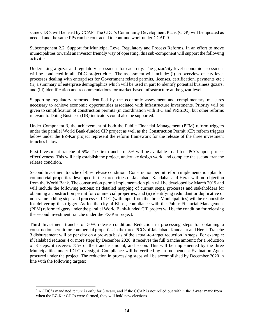same CDCs will be used by CCAP. The CDC's Community Development Plans (CDP) will be updated as needed and the same FPs can be contracted to continue work under CCAP.9

Subcomponent 2.2. Support for Municipal Level Regulatory and Process Reforms. In an effort to move municipalities towards an investor friendly way of operating, this sub-component will support the following activities:

Undertaking a gozar and regulatory assessment for each city. The gozar/city level economic assessment will be conducted in all IDLG project cities. The assessment will include: (i) an overview of city level processes dealing with enterprises for Government related permits, licenses, certification, payments etc.; (ii) a summary of enterprise demographics which will be used in part to identify potential business gozars; and (iii) identification and recommendations for market-based infrastructure at the gozar level.

Supporting regulatory reforms identified by the economic assessment and complimentary measures necessary to achieve economic opportunities associated with infrastructure investments. Priority will be given to simplification of construction permits (in coordination with IFC and PRISEC), but other reforms relevant to Doing Business (DB) indicators could also be supported.

Under Component 3, the achievement of both the Public Financial Management (PFM) reform triggers under the parallel World Bank-funded CIP project as well as the Construction Permit (CP) reform triggers below under the EZ-Kar project represent the reform framework for the release of the three investment tranches below:

First Investment tranche of 5%: The first tranche of 5% will be available to all four PCCs upon project effectiveness. This will help establish the project, undertake design work, and complete the second tranche release condition.

Second Investment tranche of 45% release condition: Construction permit reform implementation plan for commercial properties developed in the three cities of Jalalabad, Kandahar and Herat with no-objection from the World Bank. The construction permit implementation plan will be developed by March 2019 and will include the following actions: (i) detailed mapping of current steps, processes and stakeholders for obtaining a construction permit for commercial properties; and (ii) identifying redundant or duplicative or non-value-adding steps and processes. IDLG (with input from the three Municipalities) will be responsible for delivering this trigger. As for the city of Khost, compliance with the Public Financial Management (PFM) reform triggers under the parallel World Bank-funded CIP project will be the condition for releasing the second investment tranche under the EZ-Kar project.

Third Investment tranche of 50% release condition: Reduction in processing steps for obtaining a construction permit for commercial properties in the three PCCs of Jalalabad, Kandahar and Herat. Tranche 3 disbursement will be per city on a pro-rata basis of the actual-to-target reduction in steps. For example: if Jalalabad reduces 4 or more steps by December 2020, it receives the full tranche amount; for a reduction of 3 steps, it receives 75% of the tranche amount, and so on. This will be implemented by the three Municipalities under IDLG oversight. Compliance will be verified by an Independent Evaluation Agent procured under the project. The reduction in processing steps will be accomplished by December 2020 in line with the following targets:

<sup>&</sup>lt;sup>9</sup> A CDC's mandated tenure is only for 3 years, and if the CCAP is not rolled out within the 3-year mark from when the EZ-Kar CDCs were formed, they will hold new elections.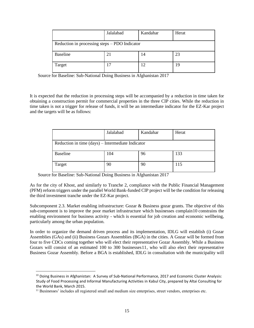|                                                 | Jalalabad | Kandahar | Herat |  |
|-------------------------------------------------|-----------|----------|-------|--|
| Reduction in processing steps $-$ PDO Indicator |           |          |       |  |
| <b>Baseline</b>                                 | 21        | 14       | 23    |  |
| Target                                          | 17        | 12       | 19    |  |

Source for Baseline: Sub-National Doing Business in Afghanistan 2017

It is expected that the reduction in processing steps will be accompanied by a reduction in time taken for obtaining a construction permit for commercial properties in the three CIP cities. While the reduction in time taken is not a trigger for release of funds, it will be an intermediate indicator for the EZ-Kar project and the targets will be as follows:

|                                                   | Jalalabad | Kandahar | Herat |  |  |
|---------------------------------------------------|-----------|----------|-------|--|--|
| Reduction in time (days) – Intermediate Indicator |           |          |       |  |  |
| <b>Baseline</b>                                   | 104       | 96       | 133   |  |  |
| Target                                            | 90        | 90       | 115   |  |  |

Source for Baseline: Sub-National Doing Business in Afghanistan 2017

As for the city of Khost, and similarly to Tranche 2, compliance with the Public Financial Management (PFM) reform triggers under the parallel World Bank-funded CIP project will be the condition for releasing the third investment tranche under the EZ-Kar project.

Subcomponent 2.3. Market enabling infrastructure: Gozar & Business gozar grants. The objective of this sub-component is to improve the poor market infrastructure which businesses complain10 constrains the enabling environment for business activity - which is essential for job creation and economic wellbeing, particularly among the urban population.

In order to organize the demand driven process and its implementation, IDLG will establish (i) Gozar Assemblies (GAs) and (ii) Business Gozars Assemblies (BGA) in the cities. A Gozar will be formed from four to five CDCs coming together who will elect their representative Gozar Assembly. While a Business Gozars will consist of an estimated 100 to 300 businesses11, who will also elect their representative Business Gozar Assembly. Before a BGA is established, IDLG in consultation with the municipality will

 $10$  Doing Business in Afghanistan: A Survey of Sub-National Performance, 2017 and Economic Cluster Analysis: Study of Food Processing and Informal Manufacturing Activities in Kabul City, prepared by Altai Consulting for the World Bank, March 2015.

<sup>&</sup>lt;sup>11</sup> Businesses' includes all registered small and medium size enterprises, street vendors, enterprises etc.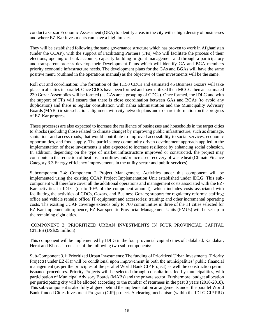conduct a Gozar Economic Assessment (GEA) to identify areas in the city with a high density of businesses and where EZ-Kar investments can have a high impact.

They will be established following the same governance structure which has proven to work in Afghanistan (under the CCAP), with the support of Facilitating Partners (FPs) who will facilitate the process of their elections, opening of bank accounts, capacity building in grant management and through a participatory and transparent process develop their Development Plans which will identify GA and BGA members priority economic infrastructure needs. The development plans for the GAs and BGAs will have the same positive menu (outlined in the operations manual) as the objective of their investments will be the same.

Roll out and coordination: The formation of the 1,150 CDCs and estimated 46 Business Gozars will take place in all cities in parallel. Once CDCs have been formed and have utilized their MCCG then an estimated 230 Gozar Assemblies will be formed (as GAs are a grouping of CDCs). Once formed, the IDLG and with the support of FPs will ensure that there is close coordination between GAs and BGAs (to avoid any duplication) and there is regular consultation with nahia administration and the Municipality Advisory Boards (MABs) in site selection, alignment with city network plans and to share information on the progress of EZ-Kar progress.

These processes are also expected to increase the resilience of businesses and households in the target cities to shocks (including those related to climate change) by improving public infrastructure, such as drainage, sanitation, and access roads, that would contribute to improved accessibility to social services, economic opportunities, and food supply. The participatory community driven development approach applied in the implementation of these investments is also expected to increase resilience by enhancing social cohesion. In addition, depending on the type of market infrastructure improved or constructed, the project may contribute to the reduction of heat loss in utilities and/or increased recovery of waste heat (Climate Finance Category 3.3 Energy efficiency improvements in the utility sector and public services).

Subcomponent 2.4: Component 2 Project Management. Activities under this component will be implemented using the existing CCAP Project Implementation Unit established under IDLG. This subcomponent will therefore cover all the additional operations and management costs associated with the EZ-Kar activities in IDLG (up to 10% of the component amount), which includes costs associated with facilitating the activities of CDCs, Gozars, and Business Gozars; support for regulatory reforms; staffing; office and vehicle rentals; office/ IT equipment and accessories; training; and other incremental operating costs. The existing CCAP coverage extends only to 700 communities in three of the 11 cities selected for EZ-Kar implementation; hence, EZ-Kar specific Provincial Management Units (PMUs) will be set up in the remaining eight cities.

#### COMPONENT 3: PRIORITIZED URBAN INVESTMENTS IN FOUR PROVINCIAL CAPITAL CITIES (US\$25 million)

This component will be implemented by IDLG in the four provincial capital cities of Jalalabad, Kandahar, Herat and Khost. It consists of the following two sub-components:

Sub-Component 3.1: Prioritized Urban Investments: The funding of Prioritized Urban Investments (Priority Projects) under EZ-Kar will be conditional upon improvement in both the municipalities' public financial management (as per the principles of the parallel World Bank CIP Project) as well the construction permit issuance procedures. Priority Projects will be selected through consultations led by municipalities, with participation of Municipal Advisory Boards (MABs) and the private sector. Furthermore, budget allocation per participating city will be allotted according to the number of returnees in the past 3 years (2016-2018). This sub-component is also fully aligned behind the implementation arrangements under the parallel World Bank-funded Cities Investment Program (CIP) project. A clearing mechanism (within the IDLG CIP PIU)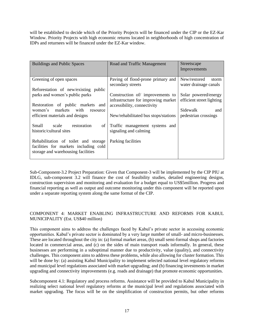will be established to decide which of the Priority Projects will be financed under the CIP or the EZ-Kar Window. Priority Projects with high economic returns located in neighborhoods of high concentration of IDPs and returnees will be financed under the EZ-Kar window.

| <b>Buildings and Public Spaces</b>                                                                                  | Road and Traffic Management                                                                           | Streetscape<br>Improvements                       |
|---------------------------------------------------------------------------------------------------------------------|-------------------------------------------------------------------------------------------------------|---------------------------------------------------|
| Greening of open spaces                                                                                             | Paving of flood-prone primary and<br>secondary streets                                                | New/restored<br>storm<br>water drainage canals    |
| Reforestation of new/existing public<br>parks and women's public parks<br>Restoration of public markets and         | Construction of improvements to<br>infrastructure for improving market<br>accessibility, connectivity | Solar powered/energy<br>efficient street lighting |
| markets with<br>women's<br>resource<br>efficient materials and designs                                              | New/rehabilitated bus stops/stations                                                                  | Sidewalk<br>and<br>pedestrian crossings           |
| Small scale restoration<br>of<br>historic/cultural sites                                                            | Traffic management systems and<br>signaling and calming                                               |                                                   |
| Rehabilitation of toilet and storage<br>facilities for markets including cold<br>storage and warehousing facilities | Parking facilities                                                                                    |                                                   |

Sub-Component-3.2 Project Preparation: Given that Component-3 will be implemented by the CIP PIU at IDLG, sub-component 3.2 will finance the cost of feasibility studies, detailed engineering designs, construction supervision and monitoring and evaluation for a budget equal to US\$5million. Progress and financial reporting as well as output and outcome monitoring under this component will be reported upon under a separate reporting system along the same format of the CIP.

#### COMPONENT 4: MARKET ENABLING INFRASTRUCTURE AND REFORMS FOR KABUL MUNICIPALITY (Est. US\$40 million)

This component aims to address the challenges faced by Kabul's private sector in accessing economic opportunities. Kabul's private sector is dominated by a very large number of small- and micro-businesses. These are located throughout the city in: (a) formal market areas, (b) small semi-formal shops and factories located in commercial areas, and (c) on the sides of main transport roads informally. In general, these businesses are performing in a suboptimal manner due to productivity, value (quality), and connectivity challenges. This component aims to address these problems, while also allowing for cluster formation. This will be done by: (a) assisting Kabul Municipality to implement selected national level regulatory reforms and municipal level regulations associated with market upgrading; and (b) financing investments in market upgrading and connectivity improvements (e.g. roads and drainage) that promote economic opportunities.

Subcomponent 4.1: Regulatory and process reforms. Assistance will be provided to Kabul Municipality in realizing select national level regulatory reforms at the municipal level and regulations associated with market upgrading. The focus will be on the simplification of construction permits, but other reforms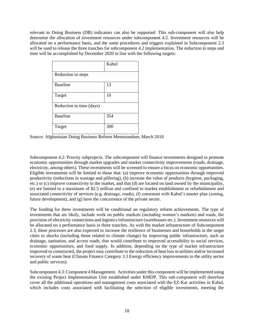relevant to Doing Business (DB) indicators can also be supported. This sub-component will also help determine the allocation of investment resources under subcomponent 4.2. Investment resources will be allocated on a performance basis, and the same procedures and triggers explained in Subcomponent 2.3 will be used to release the three tranches for subcomponent 4.2 implementation. The reduction in steps and time will be accomplished by December 2020 in line with the following targets:

|                          | Kabul |
|--------------------------|-------|
|                          |       |
| Reduction in steps       |       |
|                          |       |
| <b>Baseline</b>          | 13    |
| Target                   | 10    |
| Reduction in time (days) |       |
| <b>Baseline</b>          | 354   |
| Target                   | 300   |

Source: Afghanistan Doing Business Reform Memorandum, March 2018

Subcomponent 4.2: Priority subprojects. The subcomponent will finance investments designed to promote economic opportunities through market upgrades and market connectivity improvements (roads, drainage, electricity, among others). These investments will be screened to ensure a focus on economic opportunities. Eligible investments will be limited to those that: (a) improve economic opportunities through improved productivity (reductions in wastage and pilfering), (b) increase the value of products (hygiene, packaging, etc.) or (c) improve connectivity to the market, and that (d) are located on land owned by the municipality, (e) are limited to a maximum of \$2.5 million and confined to market establishment or refurbishment and associated connectivity of services (e.g. drainage, roads), (f) consistent with Kabul's master plan (zoning, future development), and (g) have the concurrence of the private sector.

The funding for these investments will be conditional on regulatory reform achievements. The type of investments that are likely, include work on public markets (including women's markets) and roads, the provision of electricity connections and logistics infrastructure (warehouses etc.). Investment resources will be allocated on a performance basis in three tranches. As with the market infrastructure of Subcomponent 2.3, these processes are also expected to increase the resilience of businesses and households in the target cities to shocks (including those related to climate change) by improving public infrastructure, such as drainage, sanitation, and access roads, that would contribute to improved accessibility to social services, economic opportunities, and food supply. In addition, depending on the type of market infrastructure improved or constructed, the project may contribute to the reduction of heat loss in utilities and/or increased recovery of waste heat (Climate Finance Category 3.3 Energy efficiency improvements in the utility sector and public services).

Subcomponent 4.3: Component 4 Management. Activities under this component will be implemented using the existing Project Implementation Unit established under KMDP. This sub-component will therefore cover all the additional operations and management costs associated with the EZ-Kar activities in Kabul, which includes costs associated with facilitating the selection of eligible investments, meeting the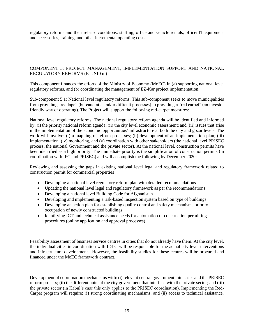regulatory reforms and their release conditions, staffing, office and vehicle rentals, office/ IT equipment and accessories, training, and other incremental operating costs.

#### COMPONENT 5: PROJECT MANAGEMENT, IMPLEMENTATION SUPPORT AND NATIONAL REGULATORY REFORMS (Est. \$10 m)

This component finances the efforts of the Ministry of Economy (MoEC) in (a) supporting national level regulatory reforms, and (b) coordinating the management of EZ-Kar project implementation.

Sub-component 5.1: National level regulatory reforms. This sub-component seeks to move municipalities from providing "red tape" (bureaucratic and/or difficult processes) to providing a "red carpet" (an investor friendly way of operating). The Project will support the following red-carpet measures:

National level regulatory reforms. The national regulatory reform agenda will be identified and informed by: (i) the priority national reform agenda; (ii) the city level economic assessment; and (iii) issues that arise in the implementation of the economic opportunities' infrastructure at both the city and gozar levels. The work will involve: (i) a mapping of reform processes; (ii) development of an implementation plan; (iii) implementation, (iv) monitoring, and (v) coordination with other stakeholders (the national level PRISEC process, the national Government and the private sector). At the national level, construction permits have been identified as a high priority. The immediate priority is the simplification of construction permits (in coordination with IFC and PRISEC) and will accomplish the following by December 2020:

Reviewing and assessing the gaps in existing national level legal and regulatory framework related to construction permit for commercial properties

- Developing a national level regulatory reform plan with detailed recommendations
- Updating the national level legal and regulatory framework as per the recommendations
- Developing a national level Building Code for Afghanistan
- Developing and implementing a risk-based inspection system based on type of buildings
- Developing an action plan for establishing quality control and safety mechanisms prior to occupation of newly constructed buildings
- Identifying ICT and technical assistance needs for automation of construction permitting procedures (online application and approval processes).

Feasibility assessment of business service centres in cities that do not already have them. At the city level, the individual cities in coordination with IDLG will be responsible for the actual city level interventions and infrastructure development. However, the feasibility studies for these centres will be procured and financed under the MoEC framework contract.

Development of coordination mechanisms with: (i) relevant central government ministries and the PRISEC reform process; (ii) the different units of the city government that interface with the private sector; and (iii) the private sector (in Kabul's case this only applies to the PRISEC coordination). Implementing the Red-Carpet program will require: (i) strong coordinating mechanisms; and (ii) access to technical assistance.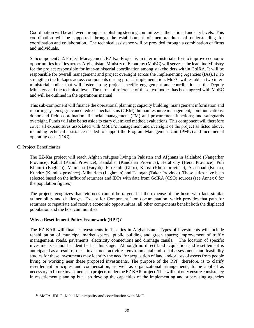Coordination will be achieved through establishing steering committees at the national and city levels. This coordination will be supported through the establishment of memorandums of understanding for coordination and collaboration. The technical assistance will be provided through a combination of firms and individuals.

Subcomponent 5.2. Project Management. EZ-Kar Project is an inter-ministerial effort to improve economic opportunities in cities across Afghanistan. Ministry of Economy (MoEC) will serve as the lead line Ministry for the project responsible for inter-ministerial coordination among stakeholders within GoIRA. It will be responsible for overall management and project oversight across the Implementing Agencies (IAs).12 To strengthen the linkages across components during project implementation, MoEC will establish two interministerial bodies that will foster strong project specific engagement and coordination at the Deputy Ministers and the technical level. The terms of reference of these two bodies has been agreed with MoEC and will be outlined in the operations manual.

This sub-component will finance the operational planning; capacity building; management information and reporting systems; grievance redress mechanisms (GRM); human resource management; communications; donor and field coordination; financial management (FM) and procurement functions; and safeguards oversight. Funds will also be set aside to carry out mixed method evaluations. This component will therefore cover all expenditures associated with MoEC's management and oversight of the project as listed above, including technical assistance needed to support the Program Management Unit (PMU) and incremental operating costs (IOC).

#### C. Project Beneficiaries

The EZ-Kar project will reach Afghan refugees living in Pakistan and Afghans in Jalalabad (Nangarhar Province), Kabul (Kabul Province), Kandahar (Kandahar Province), Herat city (Herat Province), Puli Khumri (Baghlan), Maimana (Faryab), Firozkoh (Ghor), Khost (Khost province), Asadabad (Kunar), Kunduz (Kunduz province), Mihtarlam (Laghman) and Taloqan (Takar Province). These cities have been selected based on the influx of returnees and IDPs with data from GoIRA (CSO) sources (see Annex 6 for the population figures).

The project recognizes that returnees cannot be targeted at the expense of the hosts who face similar vulnerability and challenges. Except for Component 1 on documentation, which provides that path for returnees to repatriate and receive economic opportunities, all other components benefit both the displaced population and the host communities.

#### **Why a Resettlement Policy Framework (RPF)?**

The EZ KAR will finance investments in 12 cities in Afghanistan. Types of investments will include rehabilitation of municipal market spaces, public building and green spaces; improvement of traffic management, roads, pavements, electricity connections and drainage canals. The location of specific investments cannot be identified at this stage. Although no direct land acquisition and resettlement is anticipated as a result of these investment activities, environmental and social assessments and feasibility studies for these investments may identify the need for acquisition of land and/or loss of assets from people living or working near these proposed investments. The purpose of the RPF, therefore, is to clarify resettlement principles and compensation, as well as organizational arrangements, to be applied as necessary to future investment sub projects under the EZ KAR project. This will not only ensure consistency in resettlement planning but also develop the capacities of the implementing and supervising agencies

<sup>12</sup> MoFA, IDLG, Kabul Municipality and coordination with MoF.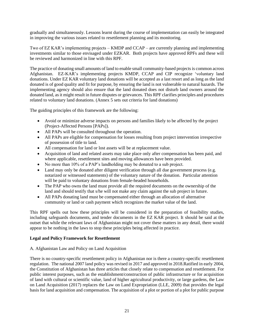gradually and simultaneously. Lessons learnt during the course of implementation can easily be integrated in improving the various issues related to resettlement planning and its monitoring.

Two of EZ KAR's implementing projects – KMDP and CCAP – are currently planning and implementing investments similar to those envisaged under EZKAR. Both projects have approved RPFs and these will be reviewed and harmonized in line with this RPF.

The practice of donating small amounts of land to enable small community-based projects is common across Afghanistan. EZ-KAR's implementing projects KMDP, CCAP and CIP recognize 'voluntary land donations. Under EZ KAR voluntary land donations will be accepted as a last resort and as long as the land donated is of good quality and fit for purpose, by ensuring the land is not vulnerable to natural hazards. The implementing agency should also ensure that the land donated does not disturb land owners around the donated land, as it might result in future disputes or grievances. This RPF clarifies principles and procedures related to voluntary land donations. (Annex 5 sets out criteria for land donations)

The guiding principles of this framework are the following:

- Avoid or minimize adverse impacts on persons and families likely to be affected by the project (Project-Affected Persons [PAPs]).
- All PAPs will be consulted throughout the operation.
- All PAPs are eligible for compensation for losses resulting from project intervention irrespective of possession of title to land.
- All compensation for land or lost assets will be at replacement value.
- Acquisition of land and related assets may take place only after compensation has been paid, and where applicable, resettlement sites and moving allowances have been provided.
- No more than 10% of a PAP's landholding may be donated to a sub project.
- Land may only be donated after diligent verification through all due government process (e.g. notarized or witnessed statements) of the voluntary nature of the donation. Particular attention will be paid to voluntary donations from female-headed households.
- The PAP who owns the land must provide all the required documents on the ownership of the land and should testify that s/he will not make any claim against the sub project in future.
- All PAPs donating land must be compensated either through an allocation of alternative community or land or cash payment which recognizes the market value of the land.

This RPF spells out how these principles will be considered in the preparation of feasibility studies, including safeguards documents, and tender documents in the EZ KAR project. It should be said at the outset that while the relevant laws of Afghanistan might not cover these matters in any detail, there would appear to be nothing in the laws to stop these principles being affected in practice.

#### **Legal and Policy Framework for Resettlement**

#### A. Afghanistan Law and Policy on Land Acquisition

There is no country-specific resettlement policy in Afghanistan nor is there a country-specific resettlement regulation. The national 2007 land policy was revised in 2017 and approved in 2018.Ratified in early 2004, the Constitution of Afghanistan has three articles that closely relate to compensation and resettlement. For public interest purposes, such as the establishment/construction of public infrastructure or for acquisition of land with cultural or scientific value, land of higher agricultural productivity, or large gardens, the Law on Land Acquisition (2017) replaces the Law on Land Expropriation (LLE, 2009) that provides the legal basis for land acquisition and compensation. The acquisition of a plot or portion of a plot for public purpose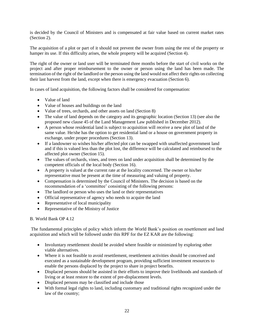is decided by the Council of Ministers and is compensated at fair value based on current market rates (Section 2).

The acquisition of a plot or part of it should not prevent the owner from using the rest of the property or hamper its use. If this difficulty arises, the whole property will be acquired (Section 4).

The right of the owner or land user will be terminated three months before the start of civil works on the project and after proper reimbursement to the owner or person using the land has been made. The termination of the right of the landlord or the person using the land would not affect their rights on collecting their last harvest from the land, except when there is emergency evacuation (Section 6).

In cases of land acquisition, the following factors shall be considered for compensation:

- Value of land
- Value of houses and buildings on the land
- Value of trees, orchards, and other assets on land (Section 8)
- The value of land depends on the category and its geographic location (Section 13) (see also the proposed new clause 45 of the Land Management Law published in December 2012).
- A person whose residential land is subject to acquisition will receive a new plot of land of the same value. He/she has the option to get residential land or a house on government property in exchange, under proper procedures (Section 13).
- If a landowner so wishes his/her affected plot can be swapped with unaffected government land and if this is valued less than the plot lost, the difference will be calculated and reimbursed to the affected plot owner (Section 15).
- The values of orchards, vines, and trees on land under acquisition shall be determined by the competent officials of the local body (Section 16).
- A property is valued at the current rate at the locality concerned. The owner or his/her representative must be present at the time of measuring and valuing of property.
- Compensation is determined by the Council of Ministers. The decision is based on the recommendation of a 'committee' consisting of the following persons:
- The landlord or person who uses the land or their representatives
- Official representative of agency who needs to acquire the land
- Representative of local municipality
- Representative of the Ministry of Justice

#### B. World Bank OP 4.12

The fundamental principles of policy which inform the World Bank's position on resettlement and land acquisition and which will be followed under this RPF for the EZ KAR are the following:

- Involuntary resettlement should be avoided where feasible or minimized by exploring other viable alternatives.
- Where it is not feasible to avoid resettlement, resettlement activities should be conceived and executed as a sustainable development program, providing sufficient investment resources to enable the persons displaced by the project to share in project benefits.
- Displaced persons should be assisted in their efforts to improve their livelihoods and standards of living or at least restore to the extent of pre-displacement levels.
- Displaced persons may be classified and include those
- With formal legal rights to land, including customary and traditional rights recognized under the law of the country;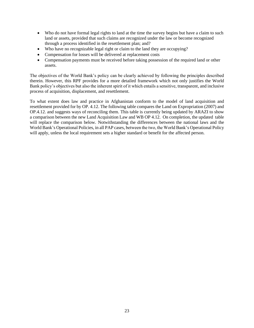- Who do not have formal legal rights to land at the time the survey begins but have a claim to such land or assets, provided that such claims are recognized under the law or become recognized through a process identified in the resettlement plan; and?
- Who have no recognizable legal right or claim to the land they are occupying?
- Compensation for losses will be delivered at replacement costs
- Compensation payments must be received before taking possession of the required land or other assets.

The objectives of the World Bank's policy can be clearly achieved by following the principles described therein. However, this RPF provides for a more detailed framework which not only justifies the World Bank policy's objectives but also the inherent spirit of it which entails a sensitive, transparent, and inclusive process of acquisition, displacement, and resettlement.

To what extent does law and practice in Afghanistan conform to the model of land acquisition and resettlement provided for by OP. 4.12. The following table compares the Land on Expropriation (2007) and OP.4.12. and suggests ways of reconciling them. This table is currently being updated by ARAZI to show a comparison between the new Land Acquisition Law and WB OP 4.12. On completion, the updated table will replace the comparison below. Notwithstanding the differences between the national laws and the World Bank's Operational Policies, in all PAP cases, between the two, the World Bank's Operational Policy will apply, unless the local requirement sets a higher standard or benefit for the affected person.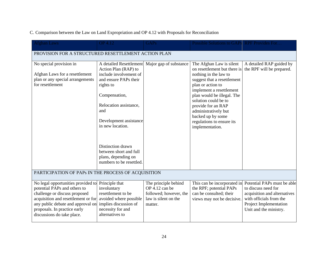| <b>Afghan Laws</b>                                                                                                                                                                                                                            | <b>OP</b> 4.12                                                                                                                                                                                                  | <b>GAPs</b>                                                                                         | Possible Solutions to GAPs RPF Provides For                                                                                                                                                                                                                                                                                                |                                                                                                                                                                   |  |  |
|-----------------------------------------------------------------------------------------------------------------------------------------------------------------------------------------------------------------------------------------------|-----------------------------------------------------------------------------------------------------------------------------------------------------------------------------------------------------------------|-----------------------------------------------------------------------------------------------------|--------------------------------------------------------------------------------------------------------------------------------------------------------------------------------------------------------------------------------------------------------------------------------------------------------------------------------------------|-------------------------------------------------------------------------------------------------------------------------------------------------------------------|--|--|
| PROVISION FOR A STRUCTURED RESETTLEMENT ACTION PLAN                                                                                                                                                                                           |                                                                                                                                                                                                                 |                                                                                                     |                                                                                                                                                                                                                                                                                                                                            |                                                                                                                                                                   |  |  |
| No special provision in<br>Afghan Laws for a resettlement<br>plan or any special arrangements<br>for resettlement                                                                                                                             | A detailed Resettlement<br>Action Plan (RAP) to<br>include involvement of<br>and ensure PAPs their<br>rights to<br>Compensation,<br>Relocation assistance,<br>and<br>Development assistance<br>in new location. | Major gap of substance                                                                              | The Afghan Law is silent<br>on resettlement but there is<br>nothing in the law to<br>suggest that a resettlement<br>plan or action to<br>implement a resettlement<br>plan would be illegal. The<br>solution could be to<br>provide for an RAP<br>administratively but<br>backed up by some<br>regulations to ensure its<br>implementation. | A detailed RAP guided by<br>the RPF will be prepared.                                                                                                             |  |  |
|                                                                                                                                                                                                                                               | Distinction drawn<br>between short and full<br>plans, depending on<br>numbers to be resettled.                                                                                                                  |                                                                                                     |                                                                                                                                                                                                                                                                                                                                            |                                                                                                                                                                   |  |  |
| PARTICIPATION OF PAPS IN THE PROCESS OF ACQUISITION                                                                                                                                                                                           |                                                                                                                                                                                                                 |                                                                                                     |                                                                                                                                                                                                                                                                                                                                            |                                                                                                                                                                   |  |  |
| No legal opportunities provided to<br>potential PAPs and others to<br>challenge or discuss proposed<br>acquisition and resettlement or for<br>any public debate and approval on<br>proposals. In practice early<br>discussions do take place. | Principle that<br>involuntary<br>resettlement to be<br>avoided where possible<br>implies discussion of<br>necessity for and<br>alternatives to                                                                  | The principle behind<br>OP 4.12 can be<br>followed; however, the<br>law is silent on the<br>matter. | This can be incorporated in<br>the RPF; potential PAPs<br>can be consulted; their<br>views may not be decisive.                                                                                                                                                                                                                            | Potential PAPs must be able<br>to discuss need for<br>acquisition and alternatives<br>with officials from the<br>Project Implementation<br>Unit and the ministry. |  |  |

### C. Comparison between the Law on Land Expropriation and OP 4.12 with Proposals for Reconciliation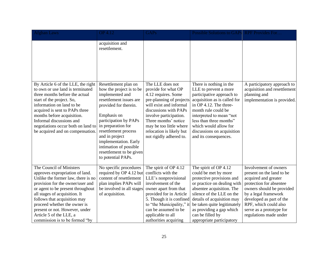| <b>Afghan Laws</b>                                                                                                                                                                                                                                                                                                                                                         | <b>OP 4.12</b>                                                                                                                                                                                                                                                                                                                       | <b>GAPs</b>                                                                                                                                                                                                                                                                        | Possible Solutions to GAPs RPF Provides For                                                                                                                                                                                                                                                                   |                                                                                                                                                                                                                                                                       |
|----------------------------------------------------------------------------------------------------------------------------------------------------------------------------------------------------------------------------------------------------------------------------------------------------------------------------------------------------------------------------|--------------------------------------------------------------------------------------------------------------------------------------------------------------------------------------------------------------------------------------------------------------------------------------------------------------------------------------|------------------------------------------------------------------------------------------------------------------------------------------------------------------------------------------------------------------------------------------------------------------------------------|---------------------------------------------------------------------------------------------------------------------------------------------------------------------------------------------------------------------------------------------------------------------------------------------------------------|-----------------------------------------------------------------------------------------------------------------------------------------------------------------------------------------------------------------------------------------------------------------------|
|                                                                                                                                                                                                                                                                                                                                                                            | acquisition and<br>resettlement.                                                                                                                                                                                                                                                                                                     |                                                                                                                                                                                                                                                                                    |                                                                                                                                                                                                                                                                                                               |                                                                                                                                                                                                                                                                       |
| By Article 6 of the LLE, the right<br>to own or use land is terminated<br>three months before the actual<br>start of the project. So,<br>information on land to be<br>acquired is sent to PAPs three<br>months before acquisition.<br>Informal discussions and<br>negotiations occur both on land to<br>be acquired and on compensation                                    | Resettlement plan on<br>how the project is to be<br>implemented and<br>resettlement issues are<br>provided for therein.<br>Emphasis on<br>participation by PAPs<br>in preparation for<br>resettlement process<br>and in project<br>implementation. Early<br>intimation of possible<br>resettlement to be given<br>to potential PAPs. | The LLE does not<br>provide for what OP<br>4.12 requires. Some<br>pre-planning of projects<br>will exist and informal<br>discussions with PAPs<br>involve participation.<br>Three months' notice<br>may be too little where<br>relocation is likely but<br>not rigidly adhered to. | There is nothing in the<br>LLE to prevent a more<br>participative approach to<br>acquisition as is called for<br>in OP 4.12. The three-<br>month rule could be<br>interpreted to mean "not<br>less than three months"<br>which would allow for<br>discussions on acquisition<br>and its consequences.         | A participatory approach to<br>acquisition and resettlement<br>planning and<br>implementation is provided.                                                                                                                                                            |
| The Council of Ministers<br>approves expropriation of land.<br>Unlike the former law, there is no<br>provision for the owner/user and<br>or agent to be present throughout<br>all stages of acquisition. It<br>follows that acquisition may<br>proceed whether the owner is<br>present or not. However, under<br>Article 5 of the LLE, a<br>commission is to be formed "by | No specific procedures<br>required by OP 4.12 but<br>content of resettlement<br>plan implies PAPs will<br>be involved in all stages<br>of acquisition.                                                                                                                                                                               | The spirit of OP 4.12<br>conflicts with the<br>LLE's nonprovisional<br>involvement of the<br>owner apart from that<br>provided for in Article<br>5. Though it is confined<br>to "the Municipality," it<br>can be assumed to be<br>applicable to all<br>authorities acquiring       | The spirit of OP 4.12<br>could be met by more<br>protective provisions and<br>or practice on dealing with<br>absentee acquisition. The<br>silence of the LLE on the<br>details of acquisition may<br>be taken quite legitimately<br>as providing a gap which<br>can be filled by<br>appropriate participatory | Involvement of owners<br>present on the land to be<br>acquired and greater<br>protection for absentee<br>owners should be provided<br>by a legal framework<br>developed as part of the<br>RPF, which could also<br>serve as a prototype for<br>regulations made under |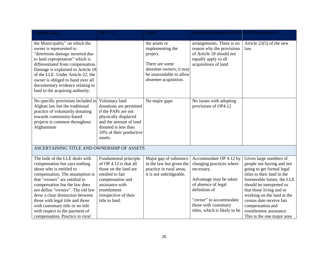| <b>Afghan Laws</b>                                                                                                                                                                                                                                                                                                                                                                                                    | <b>OP 4.12</b>                                                                                                                                                                                 | <b>GAPs</b>                                                                                                                                    | Possible Solutions to GAPs RPF Provides For                                                                                                                                                                           |                                                                                                                                                                                                                                                                                                                                                |
|-----------------------------------------------------------------------------------------------------------------------------------------------------------------------------------------------------------------------------------------------------------------------------------------------------------------------------------------------------------------------------------------------------------------------|------------------------------------------------------------------------------------------------------------------------------------------------------------------------------------------------|------------------------------------------------------------------------------------------------------------------------------------------------|-----------------------------------------------------------------------------------------------------------------------------------------------------------------------------------------------------------------------|------------------------------------------------------------------------------------------------------------------------------------------------------------------------------------------------------------------------------------------------------------------------------------------------------------------------------------------------|
| the Municipality" on which the<br>owner is represented to<br>"determine damage incurred due<br>to land expropriation" which is<br>differentiated from compensation.<br>Damage is explained in Article 18<br>of the LLE. Under Article 22, the<br>owner is obliged to hand over all<br>documentary evidence relating to<br>land to the acquiring authority.                                                            |                                                                                                                                                                                                | the assets or<br>implementing the<br>project.<br>There are some<br>absentee owners; it may<br>be unavoidable to allow<br>absentee acquisition. | arrangements. There is no<br>reason why the provisions<br>of Article 18 should not<br>equally apply to all<br>acquisitions of land.                                                                                   | Article $22(5)$ of the new<br>law.                                                                                                                                                                                                                                                                                                             |
| No specific provisions included in<br>Afghan law but the traditional<br>practice of voluntarily donating<br>towards community-based<br>projects is common throughout<br>Afghanistan                                                                                                                                                                                                                                   | Voluntary land<br>donations are permitted<br>if the PAPs are not<br>physically displaced<br>and the amount of land<br>donated is less than<br>10% of their productive<br>assets.               | No major gaps                                                                                                                                  | No issues with adopting<br>provisions of OP4.12                                                                                                                                                                       |                                                                                                                                                                                                                                                                                                                                                |
| ASCERTAINING TITLE AND OWNERSHIP OF ASSETS                                                                                                                                                                                                                                                                                                                                                                            |                                                                                                                                                                                                |                                                                                                                                                |                                                                                                                                                                                                                       |                                                                                                                                                                                                                                                                                                                                                |
| The bulk of the LLE deals with<br>compensation but says nothing<br>about who is entitled to<br>compensation. The assumption is<br>that "owners" are entitled to<br>compensation but the law does<br>not define "owners". The old law<br>drew a clear distinction between<br>those with legal title and those<br>with customary title or no title<br>with respect to the payment of<br>compensation. Practice in rural | Fundamental principle<br>of OP 4.12 is that all<br>those on the land are<br>entitled to fair<br>compensation and<br>assistance with<br>resettlement<br>irrespective of their<br>title to land. | Major gap of substance<br>in the law but given the<br>practice in rural areas,<br>it is not unbridgeable.                                      | Accommodate OP 4.12 by<br>changing practices where<br>necessary.<br>Advantage may be taken<br>of absence of legal<br>definition of<br>"owner" to accommodate<br>those with customary<br>titles, which is likely to be | Given large numbers of<br>people not having and not<br>going to get formal legal<br>titles to their land in the<br>foreseeable future, the LLE<br>should be interpreted so<br>that those living and or<br>working on the land at the<br>census date receive fair<br>compensation and<br>resettlement assistance.<br>This is the one major area |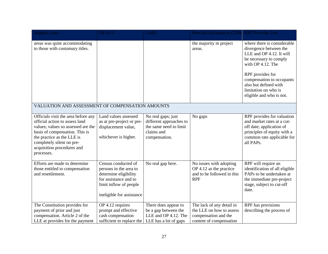| <b>Afghan Laws</b>                                                                                                                                                                                                                                   | <b>OP 4.12</b>                                                                                                                                         | <b>GAPs</b>                                                                                            | Possible Solutions to GAPs RPF Provides For                                                              |                                                                                                                                                                                                                                                                |
|------------------------------------------------------------------------------------------------------------------------------------------------------------------------------------------------------------------------------------------------------|--------------------------------------------------------------------------------------------------------------------------------------------------------|--------------------------------------------------------------------------------------------------------|----------------------------------------------------------------------------------------------------------|----------------------------------------------------------------------------------------------------------------------------------------------------------------------------------------------------------------------------------------------------------------|
| areas was quite accommodating<br>to those with customary titles.                                                                                                                                                                                     |                                                                                                                                                        |                                                                                                        | the majority in project<br>areas.                                                                        | where there is considerable<br>divergence between the<br>LLE and OP 4.12. It will<br>be necessary to comply<br>with OP 4.12. The<br>RPF provides for<br>compensation to occupants<br>also but defined with<br>limitation on who is<br>eligible and who is not. |
| VALUATION AND ASSESSMENT OF COMPENSATION AMOUNTS                                                                                                                                                                                                     |                                                                                                                                                        |                                                                                                        |                                                                                                          |                                                                                                                                                                                                                                                                |
| Officials visit the area before any<br>official action to assess land<br>values; values so assessed are the<br>basis of compensation. This is<br>the practice as the LLE is<br>completely silent on pre-<br>acquisition procedures and<br>processes. | Land values assessed<br>as at pre-project or pre-<br>displacement value,<br>whichever is higher.                                                       | No real gaps; just<br>different approaches to<br>the same need to limit<br>claims and<br>compensation. | No gaps                                                                                                  | RPF provides for valuation<br>and market rates at a cut-<br>off date; application of<br>principles of equity with a<br>common rate applicable for<br>all PAPs.                                                                                                 |
| Efforts are made to determine<br>those entitled to compensation<br>and resettlement.                                                                                                                                                                 | Census conducted of<br>persons in the area to<br>determine eligibility<br>for assistance and to<br>limit inflow of people<br>ineligible for assistance | No real gap here.                                                                                      | No issues with adopting<br>OP 4.12 as the practice<br>and to be followed in this<br><b>RPF</b>           | RPF will require an<br>identification of all eligible<br>PAPs to be undertaken at<br>the immediate pre-project<br>stage, subject to cut-off<br>date.                                                                                                           |
| The Constitution provides for<br>payment of prior and just<br>compensation. Article 2 of the<br>LLE at provides for the payment                                                                                                                      | OP 4.12 requires<br>prompt and effective<br>cash compensation<br>sufficient to replace the                                                             | There does appear to<br>be a gap between the<br>LLE and OP 4.12. The<br>LLE has a lot of gaps          | The lack of any detail in<br>the LLE on how to assess<br>compensation and the<br>content of compensation | RPF has provisions<br>describing the process of                                                                                                                                                                                                                |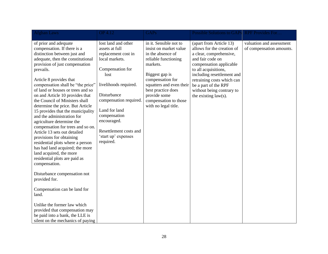| <b>Afghan Laws</b>                                                                                                                                                                                                                                                                                                                                                                                                                                                                                                                                                                                                                                                                                                                                                                                                                                                                                                                                                             | <b>OP</b> 4.12                                                                                                                                                                                                                                                                             | <b>GAPs</b>                                                                                                                                                                                                                                                        | Possible Solutions to GAPs RPF Provides For                                                                                                                                                                                                                                                         |                                                      |
|--------------------------------------------------------------------------------------------------------------------------------------------------------------------------------------------------------------------------------------------------------------------------------------------------------------------------------------------------------------------------------------------------------------------------------------------------------------------------------------------------------------------------------------------------------------------------------------------------------------------------------------------------------------------------------------------------------------------------------------------------------------------------------------------------------------------------------------------------------------------------------------------------------------------------------------------------------------------------------|--------------------------------------------------------------------------------------------------------------------------------------------------------------------------------------------------------------------------------------------------------------------------------------------|--------------------------------------------------------------------------------------------------------------------------------------------------------------------------------------------------------------------------------------------------------------------|-----------------------------------------------------------------------------------------------------------------------------------------------------------------------------------------------------------------------------------------------------------------------------------------------------|------------------------------------------------------|
| of prior and adequate<br>compensation. If there is a<br>distinction between just and<br>adequate, then the constitutional<br>provision of just compensation<br>prevails.<br>Article 8 provides that<br>compensation shall be "the price"<br>of land or houses or trees and so<br>on and Article 10 provides that<br>the Council of Ministers shall<br>determine the price. But Article<br>15 provides that the municipality<br>and the administration for<br>agriculture determine the<br>compensation for trees and so on.<br>Article 13 sets out detailed<br>provisions for obtaining<br>residential plots where a person<br>has had land acquired; the more<br>land acquired, the more<br>residential plots are paid as<br>compensation.<br>Disturbance compensation not<br>provided for.<br>Compensation can be land for<br>land.<br>Unlike the former law which<br>provided that compensation may<br>be paid into a bank, the LLE is<br>silent on the mechanics of paying | lost land and other<br>assets at full<br>replacement cost in<br>local markets.<br>Compensation for<br>lost<br>livelihoods required.<br>Disturbance<br>compensation required.<br>Land for land<br>compensation<br>encouraged.<br>Resettlement costs and<br>'start up' expenses<br>required. | in it. Sensible not to<br>insist on market value<br>in the absence of<br>reliable functioning<br>markets.<br>Biggest gap is<br>compensation for<br>squatters and even their<br>best practice does<br>provide some<br>compensation to those<br>with no legal title. | (apart from Article 13)<br>allows for the creation of<br>a clear, comprehensive,<br>and fair code on<br>compensation applicable<br>to all acquisitions,<br>including resettlement and<br>retraining costs which can<br>be a part of the RPF<br>without being contrary to<br>the existing $law(s)$ . | valuation and assessment<br>of compensation amounts. |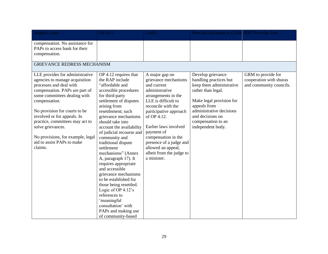| <b>Afghan Laws</b>                                                                                                                                                                                                                                                                                                                                                                    | <b>OP</b> 4.12                                                                                                                                                                                                                                                                                                                                                                                                                                                                                                                                                                                                                   | <b>GAPs</b>                                                                                                                                                                                                                                                                                                                                    | Possible Solutions to GAPs RPF Provides For                                                                                                                                                                                          |                                                                          |
|---------------------------------------------------------------------------------------------------------------------------------------------------------------------------------------------------------------------------------------------------------------------------------------------------------------------------------------------------------------------------------------|----------------------------------------------------------------------------------------------------------------------------------------------------------------------------------------------------------------------------------------------------------------------------------------------------------------------------------------------------------------------------------------------------------------------------------------------------------------------------------------------------------------------------------------------------------------------------------------------------------------------------------|------------------------------------------------------------------------------------------------------------------------------------------------------------------------------------------------------------------------------------------------------------------------------------------------------------------------------------------------|--------------------------------------------------------------------------------------------------------------------------------------------------------------------------------------------------------------------------------------|--------------------------------------------------------------------------|
| compensation. No assistance for<br>PAPs to access bank for their<br>compensation.<br><b>GRIEVANCE REDRESS MECHANISM</b>                                                                                                                                                                                                                                                               |                                                                                                                                                                                                                                                                                                                                                                                                                                                                                                                                                                                                                                  |                                                                                                                                                                                                                                                                                                                                                |                                                                                                                                                                                                                                      |                                                                          |
| LLE provides for administrative<br>agencies to manage acquisition<br>processes and deal with<br>compensation. PAPs are part of<br>some committees dealing with<br>compensation.<br>No provision for courts to be<br>involved or for appeals. In<br>practice, committees may act to<br>solve grievances.<br>No provisions, for example, legal<br>aid to assist PAPs to make<br>claims. | OP 4.12 requires that<br>the RAP include<br>"affordable and<br>accessible procedures<br>for third-party<br>settlement of disputes<br>arising from<br>resettlement; such<br>grievance mechanisms<br>should take into<br>account the availability<br>of judicial recourse and<br>community and<br>traditional dispute<br>settlement<br>mechanisms" (Annex<br>A, paragraph 17). It<br>requires appropriate<br>and accessible<br>grievance mechanisms<br>to be established for<br>those being resettled.<br>Logic of OP $4.12$ 's<br>references to<br>'meaningful<br>consultation' with<br>PAPs and making use<br>of community-based | A major gap on<br>grievance mechanisms<br>and current<br>administrative<br>arrangements in the<br>LLE is difficult to<br>reconcile with the<br>participative approach<br>of OP 4.12.<br>Earlier laws involved<br>payment of<br>compensation in the<br>presence of a judge and<br>allowed an appeal,<br>albeit from the judge to<br>a minister. | Develop grievance<br>handling practices but<br>keep them administrative<br>rather than legal.<br>Make legal provision for<br>appeals from<br>administrative decisions<br>and decisions on<br>compensation to an<br>independent body. | GRM to provide for<br>cooperation with shuras<br>and community councils. |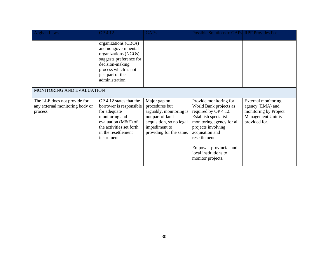| <b>Afghan Laws</b>                                                         | <b>OP 4.12</b>                                                                                                                                                                   | <b>GAPs</b>                                                                                                                                           | Possible Solutions to GAPs RPF Provides For                                                                                                                                                                                                                     |                                                                                                         |  |  |
|----------------------------------------------------------------------------|----------------------------------------------------------------------------------------------------------------------------------------------------------------------------------|-------------------------------------------------------------------------------------------------------------------------------------------------------|-----------------------------------------------------------------------------------------------------------------------------------------------------------------------------------------------------------------------------------------------------------------|---------------------------------------------------------------------------------------------------------|--|--|
|                                                                            | organizations (CBOs)<br>and nongovernmental<br>organizations (NGOs)<br>suggests preference for<br>decision-making<br>process which is not<br>just part of the<br>administration. |                                                                                                                                                       |                                                                                                                                                                                                                                                                 |                                                                                                         |  |  |
| MONITORING AND EVALUATION                                                  |                                                                                                                                                                                  |                                                                                                                                                       |                                                                                                                                                                                                                                                                 |                                                                                                         |  |  |
| The LLE does not provide for<br>any external monitoring body or<br>process | OP 4.12 states that the<br>borrower is responsible<br>for adequate<br>monitoring and<br>evaluation (M&E) of<br>the activities set forth<br>in the resettlement<br>instrument.    | Major gap on<br>procedures but<br>arguably, monitoring is<br>not part of land<br>acquisition, so no legal<br>impediment to<br>providing for the same. | Provide monitoring for<br>World Bank projects as<br>required by OP 4.12.<br>Establish specialist<br>monitoring agency for all<br>projects involving<br>acquisition and<br>resettlement.<br>Empower provincial and<br>local institutions to<br>monitor projects. | External monitoring<br>agency (EMA) and<br>monitoring by Project<br>Management Unit is<br>provided for. |  |  |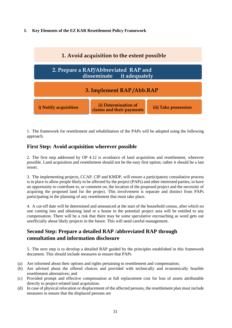#### **I. Key Elements of the EZ KAR Resettlement Policy Framework**



1. The framework for resettlement and rehabilitation of the PAPs will be adopted using the following approach.

## **First Step: Avoid acquisition wherever possible**

2. The first step addressed by OP 4.12 is avoidance of land acquisition and resettlement, wherever possible. Land acquisition and resettlement should not be the easy first option; rather it should be a last resort.

3. The implementing projects, CCAP, CIP and KMDP, will ensure a participatory consultative process is in place to allow people likely to be affected by the project (PAPs) and other interested parties, to have an opportunity to contribute to, or comment on, the location of the proposed project and the necessity of acquiring the proposed land for the project. This involvement is separate and distinct from PAPs participating in the planning of any resettlement that must take place.

4. A cut-off date will be determined and announced at the start of the household census, after which no one coming into and obtaining land or a house in the potential project area will be entitled to any compensation. There will be a risk that there may be some speculative encroaching as word gets out unofficially about likely projects in the future. This will need careful management.

# **Second Step: Prepare a detailed RAP /abbreviated RAP through consultation and information disclosure**

5. The next step is to develop a detailed RAP guided by the principles established in this framework document. This should include measures to ensure that PAPs

- (a) Are informed about their options and rights pertaining to resettlement and compensation;
- (b) Are advised about the offered choices and provided with technically and economically feasible resettlement alternatives; and
- (c) Provided prompt and effective compensation at full replacement cost for loss of assets attributable directly to project-related land acquisition.
- (d) In case of physical relocation or displacement of the affected persons, the resettlement plan must include measures to ensure that the displaced persons are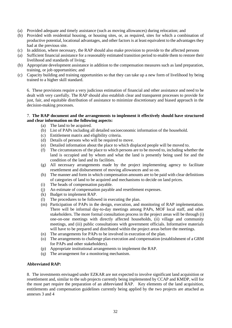- (a) Provided adequate and timely assistance (such as moving allowances) during relocation; and
- (b) Provided with residential housing, or housing sites, or, as required, sites for which a combination of productive potential, locational advantages, and other factors is at least equivalent to the advantages they had at the previous site.
- (c) In addition, where necessary, the RAP should also make provision to provide to the affected persons
- (a) Sufficient financial assistance for a reasonably estimated transition period to enable them to restore their livelihood and standards of living;
- (b) Appropriate development assistance in addition to the compensation measures such as land preparation, training, or job opportunities; and
- (c) Capacity building and training opportunities so that they can take up a new form of livelihood by being trained to a higher skill standard.

6. These provisions require a very judicious estimation of financial and other assistance and need to be dealt with very carefully. The RAP should also establish clear and transparent processes to provide for just, fair, and equitable distribution of assistance to minimize discretionary and biased approach in the decision-making processes.

#### 7. **The RAP document and the arrangements to implement it effectively should have structured and clear information on the following aspects:**

- (a) The land to be acquired.
- (b) List of PAPs including all detailed socioeconomic information of the household.
- (c) Entitlement matrix and eligibility criteria.
- (d) Details of persons who will be required to move.
- (e) Detailed information about the place to which displaced people will be moved to.
- (f) The circumstances of the place to which persons are to be moved to, including whether the land is occupied and by whom and what the land is presently being used for and the condition of the land and its facilities.
- (g) All necessary arrangements made by the project implementing agency to facilitate resettlement and disbursement of moving allowances and so on.
- (h) The manner and form in which compensation amounts are to be paid with clear definitions of categories of land to be acquired and mechanisms to decide on land prices.
- (i) The heads of compensation payable.
- (j) An estimate of compensation payable and resettlement expenses.
- (k) Budget to implement RAP.
- (l) The procedures to be followed in executing the plan.
- (m) Participation of PAPs in the design, execution, and monitoring of RAP implementation. There will be informal day-to-day meetings among PAPs, MOF local staff, and other stakeholders. The more formal consultation process in the project areas will be through (i) one-on-one meetings with directly affected households, (ii) village and community meetings, and (iii) public consultations with government officials. Informative materials will have to be prepared and distributed within the project areas before the meetings.
- (n) The arrangements for PAPs to be involved in execution of the plan.
- (o) The arrangements to challenge plan execution and compensation (establishment of a GRM for PAPs and other stakeholders).
- (p) Appropriate institutional arrangements to implement the RAP.
- (q) The arrangement for a monitoring mechanism.

#### **Abbreviated RAP:**

8. The investments envisaged under EZKAR are not expected to involve significant land acquisition or resettlement and, similar to the sub projects currently being implemented by CCAP and KMDP, will for the most part require the preparation of an abbreviated RAP. Key elements of the land acquisition, entitlements and compensation guidelines currently being applied by the two projects are attached as annexes 3 and 4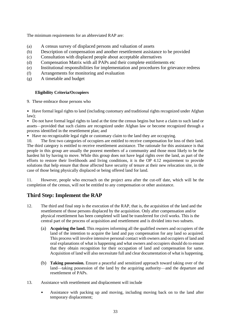The minimum requirements for an abbreviated RAP are:

- (a) A census survey of displaced persons and valuation of assets
- (b) Description of compensation and another resettlement assistance to be provided
- (c) Consultation with displaced people about acceptable alternatives
- (d) Compensation Matrix with all PAPs and their complete entitlements etc
- (e) Institutional responsibilities for implementation and procedures for grievance redress
- (f) Arrangements for monitoring and evaluation
- (g) A timetable and budget

#### **Eligibility Criteria/Occupiers**

9. These embrace those persons who

• Have formal legal rights to land (including customary and traditional rights recognized under Afghan law);

• Do not have formal legal rights to land at the time the census begins but have a claim to such land or assets—provided that such claims are recognized under Afghan law or become recognized through a process identified in the resettlement plan; and

• Have no recognizable legal right or customary claim to the land they are occupying.

10. The first two categories of occupiers are entitled to receive compensation for loss of their land. The third category is entitled to receive resettlement assistance. The rationale for this assistance is that people in this group are usually the poorest members of a community and those most likely to be the hardest hit by having to move. While this group does not have legal rights over the land, as part of the efforts to restore their livelihoods and living conditions, it is the OP 4.12 requirement to provide solutions that help ensure that those affected have security of tenure at their new relocation site, in the case of those being physically displaced or being offered land for land.

11. However, people who encroach on the project area after the cut-off date, which will be the completion of the census, will not be entitled to any compensation or other assistance.

## **Third Step: Implement the RAP**

- 12. The third and final step is the execution of the RAP, that is, the acquisition of the land and the resettlement of those persons displaced by the acquisition. Only after compensation and/or physical resettlement has been completed will land be transferred for civil works. This is the central part of the process of acquisition and resettlement and is divided into two subsets.
	- (a) **Acquiring the land.** This requires informing all the qualified owners and occupiers of the land of the intention to acquire the land and pay compensation for any land so acquired. This process will involve intensive personal contact with owners and occupiers of land and oral explanations of what is happening and what owners and occupiers should do to ensure that they obtain recognition for their occupation of land and compensation for same. Acquisition of land will also necessitate full and clear documentation of what is happening.
	- (b) **Taking possession.** Ensure a peaceful and sensitized approach toward taking over of the land—taking possession of the land by the acquiring authority—and the departure and resettlement of PAPs.
- 13. Assistance with resettlement and displacement will include
	- Assistance with packing up and moving, including moving back on to the land after temporary displacement;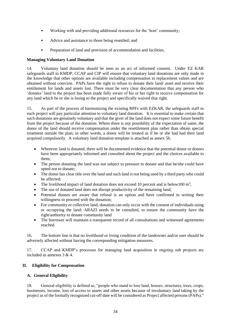- Working with and providing additional resources for the 'host' community;
- Advice and assistance to those being resettled; and
- Preparation of land and provision of accommodation and facilities.

## **Managing Voluntary Land Donation**

14. Voluntary land donation should be seen as an act of informed consent. Under EZ KAR safeguards staff in KMDP, CCAP and CIP will ensure that voluntary land donations are only made in the knowledge that other options are available including compensation in replacement values and are obtained without coercion. PAPs have the right to refuse to donate their land/ asset and receive their entitlement for lands and assets lost. There must be very clear documentation that any person who 'donates' land to the project has been made fully aware of his or her right to receive compensation for any land which he or she is losing to the project and specifically waived that right.

15. As part of the process of harmonizing the existing RPFs with EZKAR, the safeguards staff in each project will pay particular attention to voluntary land donation. It is essential to make certain that such donations are genuinely voluntary and that the giver of the land does not expect some future benefit from the project because of the donation. Where there is any possibility of the expectation of same, the donor of the land should receive compensation under the resettlement plan rather than obtain special treatment outside the plan; in other words, a donor will be treated as if he or she had had their land acquired compulsorily. A voluntary land donation template is attached as annex 5b.

- Wherever land is donated, there will be documented evidence that the potential donor or donors have been appropriately informed and consulted about the project and the choices available to them;
- The person donating the land was not subject to pressure to donate and that he/she could have opted not to donate;
- The donor has clear title over the land and such land is not being used by a third party who could be affected;
- The livelihood impact of land donation does not exceed 10 percent and is below100  $m^2$ ;
- The use of donated land does not disrupt productivity of the remaining land;
- Potential donors are aware that refusal is an option and have confirmed in writing their willingness to proceed with the donation;
- For community or collective land, donation can only occur with the consent of individuals using or occupying the land; ARAZI needs to be consulted, to ensure the community have the right/authority to donate community land
- The borrower will maintain a transparent record of all consultations and witnessed agreements reached.

16. The bottom line is that no livelihood or living condition of the landowner and/or user should be adversely affected without having the corresponding mitigation measures.

17. CCAP and KMDP's processes for managing land acquisition in ongoing sub projects are included as annexes 3 & 4.

## **II. Eligibility for Compensation**

## **A. General Eligibility**

18. General eligibility is defined as, "people who stand to lose land, houses, structures, trees, crops, businesses, income, loss of access to assets and other assets because of involuntary land taking by the project as of the formally recognized cut-off date will be considered as Project affected persons (PAPs)."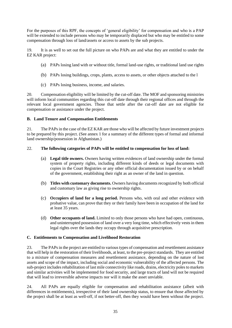For the purposes of this RPF, the concepts of 'general eligibility' for compensation and who is a PAP will be extended to include persons who may be temporarily displaced but who may be entitled to some compensation through loss of land/assets or access to assets by the sub projects.

19. It is as well to set out the full picture on who PAPs are and what they are entitled to under the EZ KAR project:

- (a) PAPs losing land with or without title, formal land-use rights, or traditional land use rights
- (b) PAPs losing buildings, crops, plants, access to assets, or other objects attached to the l
- (c) PAPs losing business, income, and salaries.

20. Compensation eligibility will be limited by the cut-off date. The MOF and sponsoring ministries will inform local communities regarding this cut-off date through their regional offices and through the relevant local government agencies. Those that settle after the cut-off date are not eligible for compensation or assistance under the project.

## **B. Land Tenure and Compensation Entitlements**

21. The PAPsin the case of the EZ KAR are those who will be affected by future investment projects to be prepared by this project. (See annex 1 for a summary of the different types of formal and informal land ownership/possession in Afghanistan.)

## 22. **The following categories of PAPs will be entitled to compensation for loss of land:**

- (a) **Legal title owners.** Owners having written evidences of land ownership under the formal system of property rights, including different kinds of deeds or legal documents with copies in the Court Registries or any other official documentation issued by or on behalf of the government, establishing their right as an owner of the land in question.
- (b) **Titles with customary documents.** Owners having documents recognized by both official and customary law as giving rise to ownership rights.
- (c) **Occupiers of land for a long period.** Persons who, with oral and other evidence with probative value, can prove that they or their family have been in occupation of the land for at least 35 years.
- (d) **Other occupants of land.** Limited to only those persons who have had open, continuous, and uninterrupted possession of land over a very long time, which effectively vests in them legal rights over the lands they occupy through acquisitive prescription.

## **C. Entitlements to Compensation and Livelihood Restoration**

23. The PAPsin the project are entitled to various types of compensation and resettlement assistance that will help in the restoration of their livelihoods, at least, to the pre-project standards. They are entitled to a mixture of compensation measures and resettlement assistance, depending on the nature of lost assets and scope of the impact, including social and economic vulnerability of the affected persons. The sub-project includes rehabilitation of last mile connectivity like roads, drains, electricity poles to markets and similar activities will be implemented for food security, and large tracts of land will not be required that will lead to irreversible adverse impacts nor will it make the asset unviable.

24. All PAPs are equally eligible for compensation and rehabilitation assistance (albeit with differences in entitlements), irrespective of their land ownership status, to ensure that those affected by the project shall be at least as well-off, if not better-off, then they would have been without the project.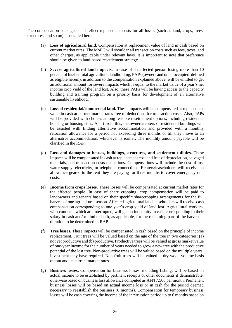The compensation packages shall reflect replacement costs for all losses (such as land, crops, trees, structures, and so on) as detailed here:

- (a) **Loss of agricultural land.** Compensation at replacement value of land in cash based on current market rates. The MoEC will shoulder all transaction costs such as fees, taxes, and other charges, as applicable under relevant laws. It is important to note that preference should be given to land-based resettlement strategy.
- (b) **Severe agricultural land impacts.** In case of an affected person losing more than 10 percent of his/her total agricultural landholding, PAPs (owners and other occupiers defined as eligible herein), in addition to the compensation explained above, will be entitled to get an additional amount for severe impacts which is equal to the market value of a year's net income crop yield of the land lost. Also, these PAPs will be having access to the capacity building and training program on a priority basis for development of an alternative sustainable livelihood.
- (c) **Loss of residential/commercial land.** These impacts will be compensated at replacement value in cash at current market rates free of deductions for transaction costs. Also, PAPs will be provided with choices among feasible resettlement options, including residential housing or housing sites. Apart from this, the owners/renters of residential buildings will be assisted with finding alternative accommodation and provided with a monthly relocation allowance for a period not exceeding three months or till they move to an alternative accommodation, whichever is earlier. The monthly amount payable will be clarified in the RAP.
- (d) **Loss and damages to houses, buildings, structures, and settlement utilities.** These impacts will be compensated in cash at replacement cost and free of depreciation, salvaged materials, and transaction costs deductions. Compensations will include the cost of lost water supply, electricity, or telephone connections. Renters/leaseholders will receive an allowance geared to the rent they are paying for three months to cover emergency rent costs.
- (e) **Income from crops losses.** These losses will be compensated at current market rates for the affected people. In case of share cropping, crop compensation will be paid to landowners and tenants based on their specific sharecropping arrangements for the full harvest of one agricultural season. Affected agricultural land leaseholders will receive cash compensation corresponding to one year's crop yield of land lost. Agricultural workers, with contracts which are interrupted, will get an indemnity in cash corresponding to their salary in cash and/or kind or both, as applicable, for the remaining part of the harvest duration to be determined in RAP.
- (f) **Tree losses.** These impacts will be compensated in cash based on the principle of income replacement. Fruit trees will be valued based on the age of the tree in two categories: (a) not yet productive and (b) productive. Productive trees will be valued at gross market value of one-year income for the number of years needed to grow a new tree with the productive potential of the lost tree. Non-productive trees will be valued based on the multiple years' investment they have required. Non-fruit trees will be valued at dry wood volume basis output and its current market rates.
- (g) **Business losses.** Compensation for business losses, including fishing, will be based on actual income to be established by pertinent receipts or other documents if demonstrable, otherwise based on business loss allowance computed as AFN 7,500 per month. Permanent business losses will be based on actual income loss or in cash for the period deemed necessary to reestablish the business (6 months). Compensation for temporary business losses will be cash covering the income of the interruption period up to 6 months based on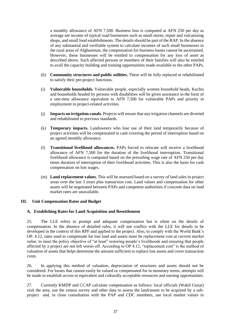a monthly allowance of AFN 7,500. Business loss is computed at AFN 250 per day as average net income of typical road businesses such as small stores, repair and vulcanizing shops, and small food establishments. The details should be part of the RAP. In the absence of any substantial and verifiable system to calculate incomes of such small businesses in the rural areas of Afghanistan, the compensation for business losses cannot be ascertained. However, these businesses will be entitled to compensation for any loss of asset as described above. Such affected persons or members of their families will also be entitled to avail the capacity building and training opportunities made available to the other PAPs*.* 

- (h) **Community structures and public utilities.** These will be fully replaced or rehabilitated to satisfy their pre-project functions.
- (i) **Vulnerable households.** Vulnerable people, especially women household heads, Kuchis and households headed by persons with disabilities will be given assistance in the form of a one-time allowance equivalent to AFN 7,500 for vulnerable PAPs and priority in employment in project-related activities.
- (j) **Impacts on irrigation canals.** Projects will ensure that any irrigation channels are diverted and rehabilitated to previous standards.
- (k) **Temporary impacts.** Landowners who lose use of their land temporarily because of project activities will be compensated in cash covering the period of interruption based on an agreed monthly allowance.
- (l) **Transitional livelihood allowances.** PAPs forced to relocate will receive a livelihood allowance of AFN 7,500 for the duration of the livelihood interruption. Transitional livelihood allowance is computed based on the prevailing wage rate of AFN 250 per day times duration of interruption of their livelihood activities. This is also the basis for cash compensation on lost wages.
- (m) **Land replacement values.** This will be assessed based on a survey of land sales in project areas over the last 3 years plus transaction cost. Land values and compensation for other assets will be negotiated between PAPs and competent authorities if concrete data on land market rates are unavailable.

#### **III. Unit Compensation Rates and Budget**

#### **A. Establishing Rates for Land Acquisition and Resettlement**

25. The LLE refers to prompt and adequate compensation but is silent on the details of compensation. In the absence of detailed rules, it will not conflict with the LLE for details to be developed in the context of this RPF and applied to the project. Also, to comply with the World Bank's OP. 4.12, rates used to compensate for lost land and assets must be *replacement cost at current market value*, to meet the policy objective of "at least" restoring people's livelihoods and ensuring that people affected by a project are not left worse-off. According to OP 4.12, "replacement cost" is the method of valuation of assets that helps determine the amount sufficient to replace lost assets and cover transaction costs.

26. In applying this method of valuation, depreciation of structures and assets should not be considered. For losses that cannot easily be valued or compensated for in monetary terms, attempts will be made to establish access to equivalent and culturally acceptable resources and earning opportunities.

27. Currently KMDP and CCAP calculate compensation as follows: local officials (Wakil Gozar) visit the area, use the census survey and other data to assess the land/assets to be acquired by a subproject and, in close consultation with the PAP and CDC members, use local market values in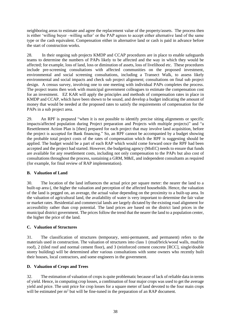neighboring areas to estimate and agree the replacement value of the property/assets. The process then is either 'willing buyer –willing seller' or the PAP agrees to accept either alternative land of the same type or the cash equivalent. Compensation either in alternative land or cash is paid in advance before the start of construction works.

28. In their ongoing sub projects KMDP and CCAP procedures are in place to enable safeguards teams to determine the numbers of PAPs likely to be affected and the way in which they would be affected; for example, loss of land, loss or diminution of assets, loss of livelihood etc. These procedures include pre-screening consultations with affected communities on the proposed investment, environmental and social screening consultations, including a Transect Walk, to assess likely environmental and social impacts and check sub project alignment; consultations on final sub project design. A census survey, involving one to one meeting with individual PAPs completes the process. The project teams then work with municipal government colleagues to estimate the compensation cost for an investment. EZ KAR will apply the principles and methods of compensation rates in place in KMDP and CCAP, which have been shown to be sound, and develop a budget indicating the amount of money that would be needed at the proposed rates to satisfy the requirements of compensation for the PAPs in a sub project area.

29. An RPF is prepared "when it is not possible to identify precise siting alignments or specific impacts/affected population during Project preparation and Projects with multiple projects)" and "a Resettlement Action Plan is [then] prepared for each project that may involve land acquisition, before the project is accepted for Bank financing." So, an RPF cannot be accompanied by a budget showing the probable total project costs of the rates of compensation which the RPF is suggesting should be applied. The budget would be a part of each RAP which would come forward once the RPF had been accepted and the project had started. However, the budgeting agency (MoEC) needs to ensure that funds are available for any resettlement costs, including not only compensation to the PAPs but also cost of consultations throughout the process, sustaining a GRM, M&E, and independent consultants as required (for example, for final review of RAP implementation).

## **B. Valuation of Land**

30. The location of the land influences the actual price per square meter: the nearer the land to a built-up area (, the higher the valuation and perception of the affected households. Hence, the valuation of the land is pegged on, an average, the actual value depending on the proximity to a built-up area. In the valuation of agricultural land, the availability of water is very important to determine the fair value or market rates. Residential and commercial lands are largely dictated by the existing road alignment for accessibility rather than crop potential. The land prices are based on the district land prices in the municipal district government. The prices follow the trend that the nearer the land to a population center, the higher the price of the land.

## **C. Valuation of Structures**

31. The classification of structures (temporary, semi-permanent, and permanent) refers to the materials used in construction. The valuation of structures into class 1 (mud/brick/wood walls, mud/tin roof), 2 (tiled roof and normal cement floor), and 3 (reinforced cement concrete [RCC], single/double storey building) will be determined after various consultations with some owners who recently built their houses, local contractors, and some engineers in the government.

## **D. Valuation of Crops and Trees**

32. The estimation of valuation of crops is quite problematic because of lack of reliable data in terms of yield. Hence, in computing crop losses, a combination of four major crops was used to get the average yield and price. The unit price for crop losses for a square meter of land devoted to the four main crops will be estimated per m<sup>2</sup> but will be fine-tuned in the preparation of an RAP document.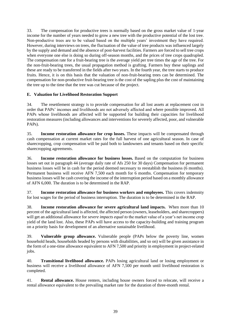33. The compensation for productive trees is normally based on the gross market value of 1-year income for the number of years needed to grow a new tree with the productive potential of the lost tree. Non-productive trees are to be valued based on the multiple years' investment they have required. However, during interviews on trees, the fluctuation of the value of tree products was influenced largely by the supply and demand and the absence of post-harvest facilities. Farmers are forced to sell tree crops when everyone one else is doing so during off-season months, and the prices of tree crops quadrupled. The compensation rate for a fruit-bearing tree is the average yield per tree times the age of the tree. For the non-fruit-bearing trees, the usual propagation method is grafting. Farmers buy these saplings and these are ready to be transferred in the fields after two years. In the fourth year, the tree starts to produce fruits. Hence, it is on this basis that the valuation of non-fruit-bearing trees can be determined. The compensation for non-productive fruit-bearing tree is the cost of the sapling plus the cost of maintaining the tree up to the time that the tree was cut because of the project.

## **E. Valuation for Livelihood Restoration Support**

34. The resettlement strategy is to provide compensation for all lost assets at replacement cost in order that PAPs' incomes and livelihoods are not adversely affected and where possible improved. All PAPs whose livelihoods are affected will be supported for building their capacities for livelihood restoration measures (including allowances and interventions for severely affected, poor, and vulnerable PAPs).

35. **Income restoration allowance for crop losses.** These impacts will be compensated through cash compensation at current market rates for the full harvest of one agricultural season. In case of sharecropping, crop compensation will be paid both to landowners and tenants based on their specific sharecropping agreements.

36. **Income restoration allowance for business losses.** Based on the computation for business losses set out in paragraph 44 (average daily rate of Afs 250 for 30 days) Compensation for permanent business losses will be in cash for the period deemed necessary to reestablish the business (6 months). Permanent business will receive AFN 7,500 each month for 6 months. Compensation for temporary business losses will be cash covering the income of the interruption period based on a monthly allowance of AFN 6,000. The duration is to be determined in the RAP.

37. **Income restoration allowance for business workers and employees.** This covers indemnity for lost wages for the period of business interruption. The duration is to be determined in the RAP.

38. **Income restoration allowance for severe agricultural land impacts.** When more than 10 percent of the agricultural land is affected, the affected person (owners, leaseholders, and sharecroppers) will get an additional allowance for *severe impacts equal to* the market value of a year's net income crop yield of the land lost. Also, these PAPs will have access to the capacity-building and training program on a priority basis for development of an alternative sustainable livelihood.

39. **Vulnerable group allowance.** Vulnerable people (PAPs below the poverty line, women household heads, households headed by persons with disabilities, and so on) will be given assistance in the form of a one-time allowance equivalent to AFN 7,500 and priority in employment in project-related jobs.

40. **Transitional livelihood allowance.** PAPs losing agricultural land or losing employment or business will receive a livelihood allowance of AFN 7,500 per month until livelihood restoration is completed.

41. **Rental allowance.** House renters, including house owners forced to relocate, will receive a rental allowance equivalent to the prevailing market rate for the duration of three-month rental.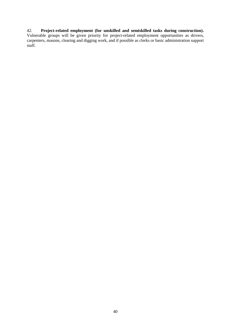#### 42. **Project-related employment (for unskilled and semiskilled tasks during construction).**

Vulnerable groups will be given priority for project-related employment opportunities as drivers, carpenters, masons, clearing and digging work, and if possible as clerks or basic administration support staff.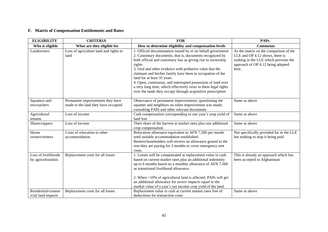## **F. Matrix of Compensation Entitlements and Rates**

| <b>ELIGIBILITY</b>                         | <b>CRITERIA</b>                                                         | <b>FOR</b>                                                                                                                                                                                                                                                                                                                                                                                                                                                                                                                                                | <b>PAPs</b>                                                                                                                                                      |
|--------------------------------------------|-------------------------------------------------------------------------|-----------------------------------------------------------------------------------------------------------------------------------------------------------------------------------------------------------------------------------------------------------------------------------------------------------------------------------------------------------------------------------------------------------------------------------------------------------------------------------------------------------------------------------------------------------|------------------------------------------------------------------------------------------------------------------------------------------------------------------|
| Who is eligible                            | What are they eligible for                                              | How to determine eligibility and compensation levels                                                                                                                                                                                                                                                                                                                                                                                                                                                                                                      | <b>Comments</b>                                                                                                                                                  |
| Landowners                                 | Loss of agriculture land and rights to<br>land                          | 1. Official documentation issued by or on behalf government<br>2. Customary documents, that is, documents recognized by<br>both official and customary law as giving rise to ownership<br>rights<br>3. Oral and other evidence with probative value that the<br>claimant and his/her family have been in occupation of the<br>land for at least 35 years<br>4. Open, continuous, and interrupted possession of land over<br>a very long time, which effectively vests in them legal rights<br>over the lands they occupy through acquisitive prescription | As the matrix on the comparison of the<br>LLE and OP 4.12 shows, there is<br>nothing in the LLE which prevents the<br>approach of OP 4.12 being adopted<br>here. |
| Squatters and<br>encroachers               | Permanent improvements they have<br>made to the land they have occupied | Observance of permanent improvements; questioning the<br>squatter and neighbors on when improvement was made;<br>consulting PAPs and other relevant documents                                                                                                                                                                                                                                                                                                                                                                                             | Same as above                                                                                                                                                    |
| Agricultural<br>tenants                    | Loss of income                                                          | Cash compensation corresponding to one year's crop yield of<br>land lost                                                                                                                                                                                                                                                                                                                                                                                                                                                                                  | Same as above                                                                                                                                                    |
| Sharecroppers                              | Loss of income                                                          | Their share of the harvest at market rates plus one additional<br>crop compensation                                                                                                                                                                                                                                                                                                                                                                                                                                                                       | Same as above                                                                                                                                                    |
| House<br>owners/renters                    | Costs of relocation to other<br>accommodation                           | Relocation allowance equivalent to AFN 7,500 per month<br>until suitable accommodation established.<br>Renters/leaseholders will receive an allowance geared to the<br>rent they are paying for 3 months to cover emergency rent<br>costs.                                                                                                                                                                                                                                                                                                                | Not specifically provided for in the LLE<br>but nothing to stop it being paid                                                                                    |
| Loss of livelihoods<br>by agriculturalists | Replacement costs for all losses                                        | 1. Losses will be compensated at replacement value in cash<br>based on current market rates plus an additional indemnity<br>up to 6 months based on a monthly allowance of AFN 7,500<br>as transitional livelihood allowance.<br>2. When >10% of agricultural land is affected, PAPs will get<br>an additional allowance for severe impacts equal to the<br>market value of a year's net income crop yield of the land.                                                                                                                                   | This is already an approach which has<br>been accepted in Afghanistan                                                                                            |
| Residential/comme<br>rcial land impacts    | Replacement costs for all losses                                        | Replacement value in cash at current market rates free of<br>deductions for transaction costs                                                                                                                                                                                                                                                                                                                                                                                                                                                             | Same as above                                                                                                                                                    |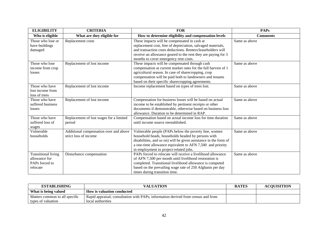| <b>ELIGIBILITY</b>                                                        | <b>CRITERIA</b>                                                 | <b>FOR</b>                                                                                                                                                                                                                                                                               | <b>PAPs</b>     |
|---------------------------------------------------------------------------|-----------------------------------------------------------------|------------------------------------------------------------------------------------------------------------------------------------------------------------------------------------------------------------------------------------------------------------------------------------------|-----------------|
| Who is eligible                                                           | What are they eligible for                                      | How to determine eligibility and compensation levels                                                                                                                                                                                                                                     | <b>Comments</b> |
| Those who lose or<br>have buildings<br>damaged                            | Replacement costs                                               | These impacts will be compensated in cash at<br>replacement cost, free of depreciation, salvaged materials,<br>and transaction costs deductions. Renters/leaseholders will<br>receive an allowance geared to the rent they are paying for 3<br>months to cover emergency rent costs.     | Same as above   |
| Those who lose<br>income from crop<br>losses                              | Replacement of lost income                                      | These impacts will be compensated through cash<br>compensation at current market rates for the full harvest of 1<br>agricultural season. In case of sharecropping, crop<br>compensation will be paid both to landowners and tenants<br>based on their specific sharecropping agreements. | Same as above   |
| Those who have<br>lost income from<br>loss of trees                       | Replacement of lost income                                      | Income replacement based on types of trees lost.                                                                                                                                                                                                                                         | Same as above   |
| Those who have<br>suffered business<br>losses                             | Replacement of lost income                                      | Compensation for business losses will be based on actual<br>income to be established by pertinent receipts or other<br>documents if demonstrable, otherwise based on business loss<br>allowance. Duration to be determined in RAP.                                                       | Same as above   |
| Those who have<br>suffered loss of<br>wages                               | Replacement of lost wages for a limited<br>period               | Compensation based on actual income loss for time duration<br>until income source reestablished.                                                                                                                                                                                         | Same as above   |
| Vulnerable<br>households                                                  | Additional compensation over and above<br>strict loss of income | Vulnerable people (PAPs below the poverty line, women<br>household heads, households headed by persons with<br>disabilities, and so on) will be given assistance in the form of<br>a one-time allowance equivalent to AFN 7,500 and priority<br>in employment in project-related jobs.   | Same as above   |
| <b>Transitional living</b><br>allowance for<br>PAPs forced to<br>relocate | Disturbance compensation                                        | PAPs forced to relocate will receive a livelihood allowance<br>of AFN 7,500 per month until livelihood restoration is<br>completed. Transitional livelihood allowance is computed<br>based on the prevailing wage rate of 250 Afghanis per day<br>times during transition time.          | Same as above   |

| <b>ESTABLISHING</b>            | VALUATION                                                                         | <b>RATES</b> | <b>ACOUISITION</b> |
|--------------------------------|-----------------------------------------------------------------------------------|--------------|--------------------|
| What is being valued           | <b>How is valuation conducted</b>                                                 |              |                    |
| Matters common to all specific | Rapid appraisal; consultation with PAPs; information derived from census and from |              |                    |
| types of valuation             | local authorities                                                                 |              |                    |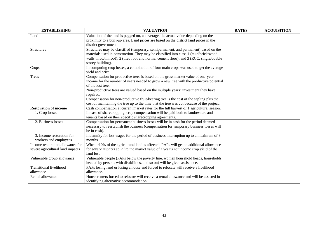| <b>ESTABLISHING</b>                                                  | <b>VALUATION</b>                                                                                                                                                                                                                                                                                                                                                                                                                                                                         | <b>RATES</b> | <b>ACQUISITION</b> |
|----------------------------------------------------------------------|------------------------------------------------------------------------------------------------------------------------------------------------------------------------------------------------------------------------------------------------------------------------------------------------------------------------------------------------------------------------------------------------------------------------------------------------------------------------------------------|--------------|--------------------|
| Land                                                                 | Valuation of the land is pegged on, an average, the actual value depending on the<br>proximity to a built-up area. Land prices are based on the district land prices in the<br>district government                                                                                                                                                                                                                                                                                       |              |                    |
| Structures                                                           | Structures may be classified (temporary, semipermanent, and permanent) based on the<br>materials used in construction. They may be classified into class 1 (mud/brick/wood<br>walls, mud/tin roof), 2 (tiled roof and normal cement floor), and 3 (RCC, single/double<br>storey building).                                                                                                                                                                                               |              |                    |
| Crops                                                                | In computing crop losses, a combination of four main crops was used to get the average<br>yield and price.                                                                                                                                                                                                                                                                                                                                                                               |              |                    |
| <b>Trees</b>                                                         | Compensation for productive trees is based on the gross market value of one-year<br>income for the number of years needed to grow a new tree with the productive potential<br>of the lost tree.<br>Non-productive trees are valued based on the multiple years' investment they have<br>required.<br>Compensation for non-productive fruit-bearing tree is the cost of the sapling plus the<br>cost of maintaining the tree up to the time that the tree was cut because of the project. |              |                    |
| <b>Restoration of income</b>                                         | Cash compensation at current market rates for the full harvest of 1 agricultural season.                                                                                                                                                                                                                                                                                                                                                                                                 |              |                    |
| 1. Crop losses                                                       | In case of sharecropping, crop compensation will be paid both to landowners and<br>tenants based on their specific sharecropping agreements.                                                                                                                                                                                                                                                                                                                                             |              |                    |
| 2. Business losses                                                   | Compensation for permanent business losses will be in cash for the period deemed<br>necessary to reestablish the business (compensation for temporary business losses will<br>be in cash).                                                                                                                                                                                                                                                                                               |              |                    |
| 3. Income restoration for<br>workers and employees                   | Indemnity for lost wages for the period of business interruption up to a maximum of 3<br>months                                                                                                                                                                                                                                                                                                                                                                                          |              |                    |
| Income restoration allowance for<br>severe agricultural land impacts | When >10% of the agricultural land is affected, PAPs will get an additional allowance<br>for severe impacts equal to the market value of a year's net income crop yield of the<br>land lost.                                                                                                                                                                                                                                                                                             |              |                    |
| Vulnerable group allowance                                           | Vulnerable people (PAPs below the poverty line, women household heads, households<br>headed by persons with disabilities, and so on) will be given assistance.                                                                                                                                                                                                                                                                                                                           |              |                    |
| <b>Transitional livelihood</b><br>allowance                          | PAPs losing land or losing a house and forced to relocate will receive a livelihood<br>allowance.                                                                                                                                                                                                                                                                                                                                                                                        |              |                    |
| Rental allowance                                                     | House renters forced to relocate will receive a rental allowance and will be assisted in<br>identifying alternative accommodation                                                                                                                                                                                                                                                                                                                                                        |              |                    |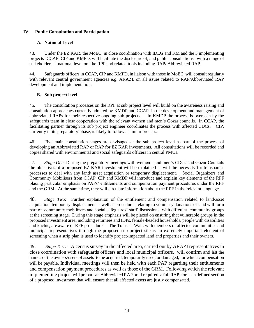## **IV. Public Consultation and Participation**

## **A. National Level**

43. Under the EZ KAR, the MoEC, in close coordination with IDLG and KM and the 3 implementing projects -CCAP, CIP and KMPD, will facilitate the disclosure of, and public consultations with a range of stakeholders at national level on, the RPF and related tools including RAP/ Abbreviated RAP.

44. Safeguards officers in CCAP, CIP and KMPD, in liaison with those in MoEC, will consult regularly with relevant central government agencies e.g. ARAZI, on all issues related to RAP/Abbreviated RAP development and implementation.

## **B. Sub project level**

45. The consultation processes on the RPF at sub project level will build on the awareness raising and consultation approaches currently adopted by KMDP and CCAP in the development and management of abbreviated RAPs for their respective ongoing sub projects. In KMDP the process is overseen by the safeguards team in close cooperation with the relevant women and men's Gozar councils. In CCAP, the facilitating partner through its sub project engineer coordinates the process with affected CDCs. CIP, currently in its preparatory phase, is likely to follow a similar process.

46. Five main consultation stages are envisaged at the sub project level as part of the process of developing an Abbreviated RAP or RAP for EZ KAR investments. All consultations will be recorded and copies shared with environmental and social safeguards officers in central PMUs.

47. *Stage One*: During the preparatory meetings with women's and men's CDCs and Gozar Councils the objectives of a proposed EZ KAR investment will be explained as will the necessity for transparent processes to deal with any land/ asset acquisition or temporary displacement. Social Organizers and Community Mobilisers from CCAP, CIP and KMDP will introduce and explain key elements of the RPF placing particular emphasis on PAPs' entitlements and compensation payment procedures under the RPF and the GRM. At the same time, they will circulate information about the RPF in the relevant language.

48. *Stage Two*: Further explanation of the entitlement and compensation related to land/asset acquisition, temporary displacement as well as procedures relating to voluntary donations of land will form part of community mobilizers and social safeguards' staff discussions with different community groups at the screening stage. During this stage emphasis will be placed on ensuring that vulnerable groups in the proposed investment area, including returnees and IDPs, female-headed households, people with disabilities and kuchis, are aware of RPF procedures. The Transect Walk with members of affected communities and municipal representatives through the proposed sub project site is an extremely important element of screening when a strip plan is used to identify project-impacted land and properties and their owners.

49. *Stage Three*: A census survey in the affected area, carried out by ARAZI representatives in close coordination with safeguards officers and local municipal officers, will confirm and list the names of the owners/users of assets to be acquired, temporarily used, or damaged, for which compensation will be payable. Individual meetings will then be held with each PAP regarding their entitlements and compensation payment procedures as well as those of the GRM. Following which the relevant implementing project will prepare an Abbreviated RAP or, if required, a full RAP, for each defined section of a proposed investment that will ensure that all affected assets are justly compensated.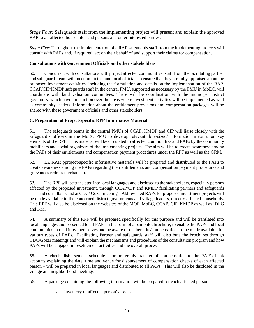*Stage Four:* Safeguards staff from the implementing project will present and explain the approved RAP to all affected households and persons and other interested parties.

*Stage Five:* Throughout the implementation of a RAP safeguards staff from the implementing projects will consult with PAPs and, if required, act on their behalf of and support their claims for compensation.

### **Consultations with Government Officials and other stakeholders**

50. Concurrent with consultations with project affected communities' staff from the facilitating partner and safeguards team will meet municipal and local officials to ensure that they are fully appraised about the proposed investment activities, including the formulation and details on the implementation of the RAP. CCAP/CIP/KMDP safeguards staff in the central PMU, supported as necessary by the PMU in MoEC, will coordinate with land valuation committees. There will be coordination with the municipal district governors, which have jurisdiction over the areas where investment activities will be implemented as well as community leaders. Information about the entitlement provisions and compensation packages will be shared with these government officials and other stakeholders.

## **C, Preparation of Project-specific RPF Informative Material**

51. The safeguards teams in the central PMUs of CCAP, KMDP and CIP will liaise closely with the safeguard's officers in the MoEC PMU to develop relevant 'bite-sized' information material on key elements of the RPF. This material will be circulated to affected communities and PAPs by the community mobilizers and social organizers of the implementing projects. The aim will be to create awareness among the PAPs of their entitlements and compensation payment procedures under the RPF as well as the GRM.

52. EZ KAR pproject-specific informative materials will be prepared and distributed to the PAPs to create awareness among the PAPs regarding their entitlements and compensation payment procedures and grievances redress mechanism.

53. The RPF will be translated into local languages and disclosed to the stakeholders, especially persons affected by the proposed investment, through CCAP/CIP and KMDP facilitating partners and safeguards staff and consultants and at CDC/ Gozar meetings. Abbreviated RAPs for proposed investment projects will be made available to the concerned district governments and village leaders, directly affected households. This RPF will also be disclosed on the websites of the MOF, MoEC, CCAP, CIP, KMDP as well as IDLG and KM.

54. A summary of this RPF will be prepared specifically for this purpose and will be translated into local languages and presented to all PAPs in the form of a pamphlet/brochure, to enable the PAPs and local communities to read it by themselves and be aware of the benefits/compensations to be made available for various types of PAPs. Facilitating Partner and safeguards staff will distribute the brochures through CDC/Gozar meetings and will explain the mechanisms and procedures of the consultation program and how PAPs will be engaged in resettlement activities and the overall process.

55. A check disbursement schedule – or preferably transfer of compensation to the PAP's bank accounts explaining the date, time and venue for disbursement of compensation checks of each affected person – will be prepared in local languages and distributed to all PAPs. This will also be disclosed in the village and neighborhood meetings

56. A package containing the following information will be prepared for each affected person.

o Inventory of affected person's losses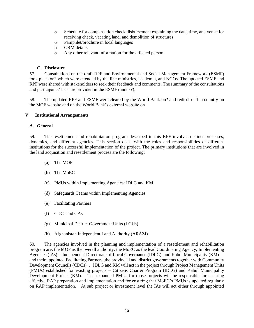- o Schedule for compensation check disbursement explaining the date, time, and venue for receiving check, vacating land, and demolition of structures
- o Pamphlet/brochure in local languages
- o GRM details
- o Any other relevant information for the affected person

#### **C. Disclosure**

57. Consultations on the draft RPF and Environmental and Social Management Framework (ESMF) took place on? which were attended by the line ministries, academia, and NGOs. The updated ESMF and RPF were shared with stakeholders to seek their feedback and comments. The summary of the consultations and participants' lists are provided in the ESMF (annex?).

58. The updated RPF and ESMF were cleared by the World Bank on? and redisclosed in country on the MOF website and on the World Bank's external website on

### **V. Institutional Arrangements**

### **A. General**

59. The resettlement and rehabilitation program described in this RPF involves distinct processes, dynamics, and different agencies. This section deals with the roles and responsibilities of different institutions for the successful implementation of the project. The primary institutions that are involved in the land acquisition and resettlement process are the following:

- (a) The MOF
- (b) The MoEC
- (c) PMUs within Implementing Agencies: IDLG and KM
- (d) Safeguards Teams within Implementing Agencies
- (e) Facilitating Partners
- (f) CDCs and GAs
- (g) Municipal District Government Units (LGUs)
- (h) Afghanistan Independent Land Authority (ARAZI)

60. The agencies involved in the planning and implementation of a resettlement and rehabilitation program are: the MOF as the overall authority; the MoEC as the lead Coordinating Agency; Implementing Agencies (IAs) - Independent Directorate of Local Governance (IDLG) and Kabul Municipality (KM) and their appointed Facilitating Partners ,the provincial and district governments together with Community Development Councils (CDCs). . IDLG and KM will act in the project through Project Management Units (PMUs) established for existing projects – Citizens Charter Program (IDLG) and Kabul Municipality Development Project (KM). The expanded PMUs for those projects will be responsible for ensuring effective RAP preparation and implementation and for ensuring that MoEC's PMUs is updated regularly on RAP implementation. At sub project or investment level the IAs will act either through appointed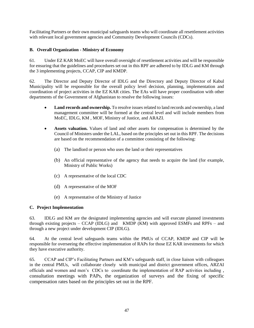Facilitating Partners or their own municipal safeguards teams who will coordinate all resettlement activities with relevant local government agencies and Community Development Councils (CDCs).

## **B. Overall Organization - Ministry of Economy**

61. Under EZ KAR MoEC will have overall oversight of resettlement activities and will be responsible for ensuring that the guidelines and procedures set out in this RPF are adhered to by IDLG and KM through the 3 implementing projects, CCAP, CIP and KMDP.

62. The Director and Deputy Director of IDLG and the Directory and Deputy Director of Kabul Municipality will be responsible for the overall policy level decision, planning, implementation and coordination of project activities in the EZ KAR cities. The EAs will have proper coordination with other departments of the Government of Afghanistan to resolve the following issues:

- **Land records and ownership.** To resolve issues related to land records and ownership, a land management committee will be formed at the central level and will include members from MoEC, IDLG, KM , MOF, Ministry of Justice, and ARAZI.
- **Assets valuation.** Values of land and other assets for compensation is determined by the Council of Ministers under the LAL, based on the principles set out in this RPF. The decisions are based on the recommendation of a committee consisting of the following:
	- (a) The landlord or person who uses the land or their representatives
	- (b) An official representative of the agency that needs to acquire the land (for example, Ministry of Public Works)
	- (c) A representative of the local CDC
	- (d) A representative of the MOF
	- (e) A representative of the Ministry of Justice

## **C. Project Implementation**

63. IDLG and KM are the designated implementing agencies and will execute planned investments through existing projects – CCAP (IDLG) and KMDP (KM) with approved ESMFs and RPFs – and through a new project under development CIP (IDLG).

64. At the central level safeguards teams within the PMUs of CCAP, KMDP and CIP will be responsible for overseeing the effective implementation of RAPs for those EZ KAR investments for which they have executive authority.

65. CCAP and CIP's Facilitating Partners and KM's safeguards staff, in close liaison with colleagues in the central PMUs, will collaborate closely with municipal and district government offices, ARZAI officials and women and men's CDCs to coordinate the implementation of RAP activities including , consultation meetings with PAPs, the organization of surveys and the fixing of specific compensation rates based on the principles set out in the RPF.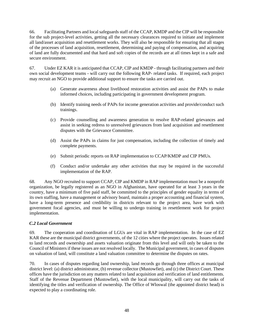66. Facilitating Partners and local safeguards staff of the CCAP, KMDP and the CIP will be responsible for the sub project-level activities, getting all the necessary clearances required to initiate and implement all land/asset acquisition and resettlement works. They will also be responsible for ensuring that all stages of the processes of land acquisition, resettlement, determining and paying of compensation, and acquiring of land are fully documented and that hard and soft copies of the records are at all times kept in a safe and secure environment.

67. Under EZ KAR it is anticipated that CCAP, CIP and KMDP - through facilitating partners and their own social development teams - will carry out the following RAP- related tasks. If required, each project may recruit an NGO to provide additional support to ensure the tasks are carried out.

- (a) Generate awareness about livelihood restoration activities and assist the PAPs to make informed choices, including participating in government development program.
- (b) Identify training needs of PAPs for income generation activities and provide/conduct such trainings.
- (c) Provide counselling and awareness generation to resolve RAP-related grievances and assist in seeking redress to unresolved grievances from land acquisition and resettlement disputes with the Grievance Committee.
- (d) Assist the PAPs in claims for just compensation, including the collection of timely and complete payments.
- (e) Submit periodic reports on RAP implementation to CCAP/KMDP and CIP PMUs.
- (f) Conduct and/or undertake any other activities that may be required in the successful implementation of the RAP.

68. Any NGO recruited to support CCAP, CIP and KMDP in RAP implementation must be a nonprofit organization, be legally registered as an NGO in Afghanistan, have operated for at least 3 years in the country, have a minimum of five paid staff, be committed to the principles of gender equality in terms of its own staffing, have a management or advisory board, maintain a proper accounting and financial system, have a long-term presence and credibility in districts relevant to the project area, have work with government focal agencies, and must be willing to undergo training in resettlement work for project implementation.

## *C.2 Local Government*

69. The cooperation and coordination of LGUs are vital in RAP implementation. In the case of EZ KAR these are the municipal district governments, of the 12 cities where the project operates. Issues related to land records and ownership and assets valuation originate from this level and will only be taken to the Council of Ministers if these issues are not resolved locally. The Municipal government, in cases of disputes on valuation of land, will constitute a land valuation committee to determine the disputes on rates.

70. In cases of disputes regarding land ownership, land records go through three offices at municipal district level: (a) district administrator, (b) revenue collector (Mustowfiet), and (c) the District Court. These offices have the jurisdiction on any matters related to land acquisition and verification of land entitlements. Staff of the Revenue Department (Mustowfiet)*,* with the local municipality, will carry out the tasks of identifying the titles and verification of ownership. The Office of Wloswal (the appointed district head) is expected to play a coordinating role.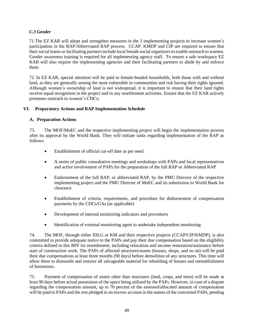## *C.3 Gender*

71.The EZ KAR will adopt and strengthen measures in the 3 implementing projects to increase women's participation in the RAP/Abbreviated RAP process. CCAP. KMDP and CIP are required to ensure that their social teams or facilitating partners include local female social organizers to enable outreach to women. Gender awareness training is required for all implementing agency staff. To ensure a safe workspace EZ KAR will also require the implementing agencies and their facilitating partners to abide by and enforce them

72. In EZ KAR, special attention will be paid to female-headed households, both those with and without land, as they are generally among the most vulnerable in communities and risk having their rights ignored. Although women's ownership of land is not widespread, it is important to ensure that their land rights receive equal recognition in the project and in any resettlement activities. Ensure that the EZ KAR actively promotes outreach to women's CDCs;

## **VI. Preparatory Actions and RAP Implementation Schedule**

## **A. Preparation Actions**

73. The MOF/MoEC and the respective implementing project will begin the implementation process after its approval by the World Bank. They will initiate tasks regarding implementation of the RAP as follows:

- Establishment of official cut-off date as per need
- A series of public consultative meetings and workshops with PAPs and local representatives and active involvement of PAPs for the preparation of the full RAP or Abbreviated RAP
- Endorsement of the full RAP, or abbreviated RAP, by the PMU Director of the respective implementing project and the PMU Director of MoEC and its submission to World Bank for clearance
- Establishment of criteria, requirements, and procedure for disbursement of compensation payments by the CDCs/GAs (as applicable)
- Development of internal monitoring indicators and procedures
- Identification of external monitoring agent to undertake independent monitoring

74. The MOF, through either IDLG or KM and their respective projects (CCAP/CIP/KMDP), is also committed to provide adequate notice to the PAPs and pay their due compensation based on the eligibility criteria defined in this RPF for resettlement, including relocation and income restoration/assistance before start of construction work. The PAPs of affected structures/assets (houses, shops, and so on) will be paid their due compensations at least three months (90 days) before demolition of any structures. This time will allow them to dismantle and remove all salvageable material for rebuilding of houses and reestablishment of businesses.

75. Payment of compensation of assets other than structures (land, crops, and trees) will be made at least 90 days before actual possession of the space being utilized by the PAPs. However, in case of a dispute regarding the compensation amount, up to 70 percent of the assessed/allocated amount of compensation will be paid to PAPs and the rest pledged in an escrow account in the names of the concerned PAPs, pending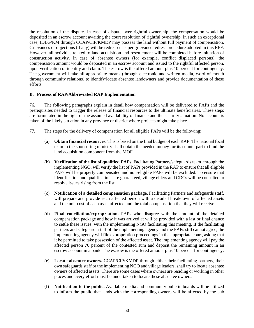the resolution of the dispute. In case of dispute over rightful ownership, the compensation would be deposited in an escrow account awaiting the court resolution of rightful ownership. In such an exceptional case, IDLG/KM through CCAP/CIP/KMDP may possess the land without full payment of compensation. Grievances or objections (if any) will be redressed as per grievance redress procedure adopted in this RPF. However, all activities related to land acquisition and resettlement will be completed before initiation of construction activity. In case of absentee owners (for example, conflict displaced persons), the compensation amount would be deposited in an escrow account and issued to the rightful affected person, upon verification of identity and claim. The escrow is the offered amount plus 10 percent for contingency. The government will take all appropriate means (through electronic and written media, word of mouth through community relations) to identify/locate absentee landowners and provide documentation of these efforts.

### **B. Process of RAP/Abbreviated RAP Implementation**

76. The following paragraphs explain in detail how compensation will be delivered to PAPs and the prerequisites needed to trigger the release of financial resources to the ultimate beneficiaries. These steps are formulated in the light of the assumed availability of finance and the security situation. No account is taken of the likely situation in any province or district where projects might take place.

- 77. The steps for the delivery of compensation for all eligible PAPs will be the following:
	- (a) **Obtain financial resources.** This is based on the final budget of each RAP. The national focal team in the sponsoring ministry shall obtain the needed money for its counterpart to fund the land acquisition component from the MOF.
	- (b) **Verification of the list of qualified PAPs.** Facilitating Partners/safeguards team, through the implementing NGO, will verify the list of PAPs provided in the RAP to ensure that all eligible PAPs will be properly compensated and non-eligible PAPs will be excluded. To ensure that identification and qualifications are guaranteed, village elders and CDCs will be consulted to resolve issues rising from the list.
	- (c) **Notification of a detailed compensation package.** Facilitating Partners and safeguards staff, will prepare and provide each affected person with a detailed breakdown of affected assets and the unit cost of each asset affected and the total compensation that they will receive.
	- (d) **Final conciliation/expropriation.** PAPs who disagree with the amount of the detailed compensation package and how it was arrived at will be provided with a last or final chance to settle these issues, with the implementing NGO facilitating this meeting. If the facilitating partners and safeguards staff of the implementing agency and the PAPs still cannot agree, the implementing agency will file expropriation proceedings in the appropriate court, asking that it be permitted to take possession of the affected asset. The implementing agency will pay the affected person 70 percent of the contested sum and deposit the remaining amount in an escrow account in a bank. The escrow is the offered amount plus 10 percent for contingency.
	- (e) **Locate absentee owners.** CCAP/CIP/KMDP through either their facilitating partners, their own safeguards staff or the implementing NGO and village leaders, shall try to locate absentee owners of affected assets. There are some cases where owners are residing or working in other places and every effort must be undertaken to locate these absentee owners.
	- (f) **Notification to the public.** Available media and community bulletin boards will be utilized to inform the public that lands with the corresponding owners will be affected by the sub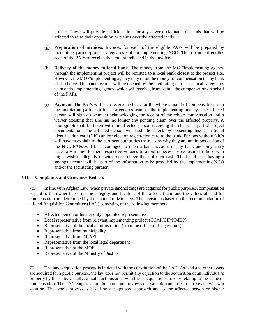project. These will provide sufficient time for any adverse claimants on lands that will be affected to raise their opposition or claims over the affected lands.

- (g) **Preparation of invoices.** Invoices for each of the eligible PAPs will be prepared by facilitating partner/project safeguards staff or implementing NGO. This document entitles each of the PAPs to receive the amount indicated in the invoice.
- (h) **Delivery of the money to local bank.** The money from the MOF/implementing agency through the implementing project will be remitted to a local bank closest to the project site. However, the MOF/implementing agency may remit the money for compensation to any bank of its choice. The bank account will be opened by the facilitating partner or local safeguards team of the implementing agency, which will receive, from Kabul, the compensation on behalf of the PAPs.
- (i) **Payment.** The PAPs will each receive a check for the whole amount of compensation from the facilitating partner or local safeguards team of the implementing agency. The affected person will sign a document acknowledging the receipt of the whole compensation and a waiver attesting that s/he has no longer any pending claim over the affected property. A photograph shall be taken with the affected person receiving the check, as part of project documentation. The affected person will cash the check by presenting his/her national identification card (NIC) and/or election registration card to the bank. Persons without NICs will have to explain to the pertinent authorities the reasons why they are not in possession of the NIC. PAPs will be encouraged to open a bank account in any bank and only carry necessary money to their respective villages to avoid unnecessary exposure to those who might wish to illegally or with force relieve them of their cash. The benefits of having a savings account will be part of the information to be provided by the implementing NGO and/or the facilitating partner.

#### **VII. Complaints and Grievance Redress**

78. In line with Afghan Law, when private landholdings are acquired for public purposes, compensation is paid to the owner based on the category and location of the affected land and the values of land for compensation are determined by the Council of Ministers. The decision is based on the recommendation of a Land Acquisition Committee (LAC) consisting of the following members:

- Affected person or his/her duly appointed representative
- Local representative from relevant implementing project (CCAP/CIP/KMDP)
- Representative of the local administration (from the office of the governor)
- Representative from municipality
- Representative from ARAZI
- Representative from the local legal department
- Representative of the MOF
- Representative of the Ministry of Justice

79. The land acquisition process is initiated with the constitution of the LAC. As land and other assets are acquired for a public purpose, the law does not permit any objection to the acquisition of an individual's property by the state. Usually, dissatisfactions arise with these acquisitions, mostly relating to the value of compensation. The LAC enquires into the matter and reviews the valuation and tries to arrive at a win-win solution. The whole process is based on a negotiated approach and as the affected person or his/her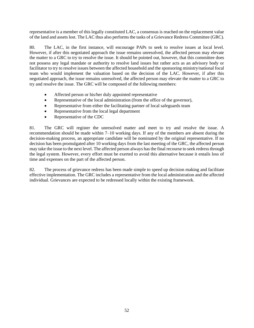representative is a member of this legally constituted LAC, a consensus is reached on the replacement value of the land and assets lost. The LAC thus also performs the tasks of a Grievance Redress Committee (GRC).

80. The LAC, in the first instance, will encourage PAPs to seek to resolve issues at local level. However, if after this negotiated approach the issue remains unresolved, the affected person may elevate the matter to a GRC to try to resolve the issue. It should be pointed out, however, that this committee does not possess any legal mandate or authority to resolve land issues but rather acts as an advisory body or facilitator to try to resolve issues between the affected household and the sponsoring ministry/national focal team who would implement the valuation based on the decision of the LAC. However, if after this negotiated approach, the issue remains unresolved, the affected person may elevate the matter to a GRC to try and resolve the issue. The GRC will be composed of the following members:

- Affected person or his/her duly appointed representative
- Representative of the local administration (from the office of the governor),
- Representative from either the facilitating partner of local safeguards team
- Representative from the local legal department
- Representative of the CDC

81. The GRC will register the unresolved matter and meet to try and resolve the issue. A recommendation should be made within 7–10 working days. If any of the members are absent during the decision-making process, an appropriate candidate will be nominated by the original representative. If no decision has been promulgated after 10 working days from the last meeting of the GRC, the affected person may take the issue to the next level. The affected person always has the final recourse to seek redress through the legal system. However, every effort must be exerted to avoid this alternative because it entails loss of time and expenses on the part of the affected person.

82. The process of grievance redress has been made simple to speed up decision making and facilitate effective implementation. The GRC includes a representative from the local administration and the affected individual. Grievances are expected to be redressed locally within the existing framework.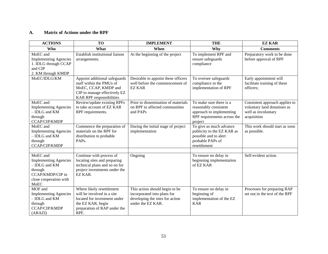## **A. Matrix of Actions under the RPF**

| <b>ACTIONS</b>                                                                                                             | <b>TO</b>                                                                                                                                            | <b>IMPLEMENT</b>                                                                                                      | <b>THE</b>                                                                                                             | <b>EZ KAR</b>                                                                                       |
|----------------------------------------------------------------------------------------------------------------------------|------------------------------------------------------------------------------------------------------------------------------------------------------|-----------------------------------------------------------------------------------------------------------------------|------------------------------------------------------------------------------------------------------------------------|-----------------------------------------------------------------------------------------------------|
| Who                                                                                                                        | What                                                                                                                                                 | When                                                                                                                  | Why                                                                                                                    | <b>Comments</b>                                                                                     |
| MoEC and<br><b>Implementing Agencies</b><br>1. IDLG through CCAP<br>and CIP<br>2. KM through KMDP                          | Establish institutional liaison<br>arrangements.                                                                                                     | At the beginning of the project                                                                                       | To implement RPF and<br>ensure safeguards<br>compliance                                                                | Preparatory work to be done<br>before approval of RPF                                               |
| MoEC/IDLG/KM                                                                                                               | Appoint additional safeguards<br>staff within the PMUs of<br>MoEC, CCAP, KMDP and<br>CIP to manage effectively EZ<br><b>KAR RPF</b> responsibilities | Desirable to appoint these officers<br>well before the commencement of<br><b>EZ KAR</b>                               | To oversee safeguards<br>compliance in the<br>implementation of RPF                                                    | Early appointment will<br>facilitate training of these<br>officers;                                 |
| MoEC and<br><b>Implementing Agencies</b><br>- IDLG and KM<br>through<br>CCAP/CIP/KMDP                                      | Review/update existing RPFs<br>to take account of EZ KAR<br>RPF requirements.                                                                        | Prior to dissemination of materials<br>on RPF to affected communities<br>and PAPs                                     | To make sure there is a<br>reasonably consistent<br>approach to implementing<br>RPF requirements across the<br>project | Consistent approach applies to<br>voluntary land donations as<br>well as involuntary<br>acquisition |
| MoEC and<br><b>Implementing Agencies</b><br>- IDLG and KM<br>through<br>CCAP/CIP/KMDP                                      | Commence the preparation of<br>materials on the RPF for<br>distribution to probable<br>PAP <sub>s</sub> .                                            | During the initial stage of project<br>implementation                                                                 | To give as much advance<br>publicity to the EZ KAR as<br>possible and to alert<br>probable PAPs of<br>resettlement     | This work should start as soon<br>as possible.                                                      |
|                                                                                                                            |                                                                                                                                                      |                                                                                                                       |                                                                                                                        |                                                                                                     |
| MoEC and<br><b>Implementing Agencies</b><br>- IDLG and KM<br>through<br>CCAP/KMDP/CIP in<br>close cooperation with<br>MoEC | Continue with process of<br>locating sites and preparing<br>technical plans and so on for<br>project investments under the<br>EZ KAR.                | Ongoing                                                                                                               | To ensure no delay in<br>beginning implementation<br>of EZ KAR                                                         | Self-evident action.                                                                                |
| MOF and<br><b>Implementing Agencies</b><br>- IDLG and KM<br>through<br>CCAP/CIP/KMDP<br>(ARAZI)                            | Where likely resettlement<br>will be involved in a site<br>located for investment under<br>the EZ KAR, begin<br>preparation of RAP under the<br>RPF. | This action should begin to be<br>incorporated into plans for<br>developing the sites for action<br>under the EZ KAR. | To ensure no delay in<br>beginning of<br>implementation of the EZ<br><b>KAR</b>                                        | Processes for preparing RAP<br>set out in the text of the RPF                                       |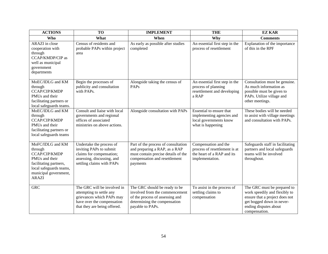| <b>ACTIONS</b>                                                                                                                                                           | <b>TO</b>                                                                                                                                          | <b>IMPLEMENT</b>                                                                                                                                         | <b>THE</b>                                                                                             | <b>EZ KAR</b>                                                                                                                                                         |
|--------------------------------------------------------------------------------------------------------------------------------------------------------------------------|----------------------------------------------------------------------------------------------------------------------------------------------------|----------------------------------------------------------------------------------------------------------------------------------------------------------|--------------------------------------------------------------------------------------------------------|-----------------------------------------------------------------------------------------------------------------------------------------------------------------------|
| Who                                                                                                                                                                      | What                                                                                                                                               | When                                                                                                                                                     | Why                                                                                                    | <b>Comments</b>                                                                                                                                                       |
| ARAZI in close<br>cooperation with<br>through<br><b>CCAP/KMDP/CIP</b> as<br>well as municipal<br>government<br>departments                                               | Census of residents and<br>probable PAPs within project<br>area                                                                                    | As early as possible after studies<br>completed                                                                                                          | An essential first step in the<br>process of resettlement                                              | Explanation of the importance<br>of this in the RPF                                                                                                                   |
| MoEC/IDLG and KM<br>through<br>CCAP/CIP/KMDP<br>PMU <sub>s</sub> and their<br>facilitating partners or<br>local safeguards teams.                                        | Begin the processes of<br>publicity and consultation<br>with PAPs.                                                                                 | Alongside taking the census of<br><b>PAPs</b>                                                                                                            | An essential first step in the<br>process of planning<br>resettlement and developing<br>a RAP          | Consultation must be genuine.<br>As much information as<br>possible must be given to<br>PAPs. Utilize village and<br>other meetings.                                  |
| MoEC/IDLG and KM<br>through<br>CCAP/CIP/KMDP<br>PMU <sub>s</sub> and their<br>facilitating partners or<br>local safeguards teams                                         | Consult and liaise with local<br>governments and regional<br>offices of associated<br>ministries on above actions.                                 | Alongside consultation with PAPs                                                                                                                         | Essential to ensure that<br>implementing agencies and<br>local governments know<br>what is happening   | These bodies will be needed<br>to assist with village meetings<br>and consultation with PAPs.                                                                         |
| MoFC/IDLG and KM<br>through<br>CCAP/CIP/KMDP<br>PMU <sub>s</sub> and their<br>facilitating partners,<br>local safeguards teams,<br>municipal government,<br><b>ARAZI</b> | Undertake the process of<br>inviting PAPs to submit<br>claims for compensation;<br>assessing, discussing, and<br>settling claims with PAPs         | Part of the process of consultation<br>and preparing a RAP, as a RAP<br>must contain precise details of the<br>compensation and resettlement<br>payments | Compensation and the<br>process of resettlement is at<br>the heart of a RAP and its<br>implementation. | Safeguards staff in facilitating<br>partners and local safeguards<br>teams will be involved<br>throughout.                                                            |
| <b>GRC</b>                                                                                                                                                               | The GRC will be involved in<br>attempting to settle any<br>grievances which PAPs may<br>have over the compensation<br>that they are being offered. | The GRC should be ready to be<br>involved from the commencement<br>of the process of assessing and<br>determining the compensation<br>payable to PAPs.   | To assist in the process of<br>settling claims to<br>compensation                                      | The GRC must be prepared to<br>work speedily and flexibly to<br>ensure that a project does not<br>get bogged down in never-<br>ending disputes about<br>compensation. |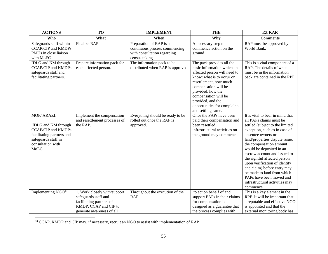| <b>ACTIONS</b>                                                                                                                                                        | <b>TO</b>                                                                                                                              | <b>IMPLEMENT</b>                                                                                          | <b>THE</b>                                                                                                                                                                                                                                                                                     | <b>EZ KAR</b>                                                                                                                                                                                                                                                                                                                                                                                                                                                                           |
|-----------------------------------------------------------------------------------------------------------------------------------------------------------------------|----------------------------------------------------------------------------------------------------------------------------------------|-----------------------------------------------------------------------------------------------------------|------------------------------------------------------------------------------------------------------------------------------------------------------------------------------------------------------------------------------------------------------------------------------------------------|-----------------------------------------------------------------------------------------------------------------------------------------------------------------------------------------------------------------------------------------------------------------------------------------------------------------------------------------------------------------------------------------------------------------------------------------------------------------------------------------|
| Who                                                                                                                                                                   | What                                                                                                                                   | When                                                                                                      | Why                                                                                                                                                                                                                                                                                            | <b>Comments</b>                                                                                                                                                                                                                                                                                                                                                                                                                                                                         |
| Safeguards staff within<br><b>CCAP/CIP and KMDPs</b><br>PMUs in close liaison<br>with MoEC                                                                            | <b>Finalize RAP</b>                                                                                                                    | Preparation of RAP is a<br>continuous process commencing<br>with consultation regarding<br>census taking. | A necessary step to<br>commence action on the<br>ground                                                                                                                                                                                                                                        | RAP must be approved by<br>World Bank.                                                                                                                                                                                                                                                                                                                                                                                                                                                  |
| <b>IDLG</b> and KM through<br><b>CCAP/CIP and KMDPs</b><br>safeguards staff and<br>facilitating partners.                                                             | Prepare information pack for<br>each affected person.                                                                                  | The information pack to be<br>distributed when RAP is approved                                            | The pack provides all the<br>basic information which an<br>affected person will need to<br>know: what is to occur on<br>resettlement, how much<br>compensation will be<br>provided, how the<br>compensation will be<br>provided, and the<br>opportunities for complaints<br>and settling same. | This is a vital component of a<br>RAP. The details of what<br>must be in the information<br>pack are contained in the RPF.                                                                                                                                                                                                                                                                                                                                                              |
| MOF/ ARAZI:<br><b>IDLG</b> and <b>KM</b> through<br><b>CCAP/CIP</b> and KMDPs<br>facilitating partners and<br>safeguards staff in<br>consultation with<br><b>MoEC</b> | Implement the compensation<br>and resettlement processes of<br>the RAP.                                                                | Everything should be ready to be<br>rolled out once the RAP is<br>approved.                               | Once the PAPs have been<br>paid their compensation and<br>been resettled,<br>infrastructural activities on<br>the ground may commence.                                                                                                                                                         | It is vital to bear in mind that<br>all PAPs claims must be<br>settled (subject to the limited<br>exception, such as in case of<br>absentee owners or<br>land/properties dispute issue,<br>the compensation amount<br>would be deposited in an<br>escrow account and issued to<br>the rightful affected person<br>upon verification of identity<br>and claim) before entry may<br>be made to land from which<br>PAPs have been moved and<br>infrastructural activities may<br>commence. |
| Implementing $NGO13$                                                                                                                                                  | 1. Work closely with/support<br>safeguards staff and<br>facilitating partners of<br>KMDP, CCAP and CIP to<br>generate awareness of all | Throughout the execution of the<br><b>RAP</b>                                                             | to act on behalf of and<br>support PAPs in their claims<br>for compensation is<br>designed as a guarantee that<br>the process complies with                                                                                                                                                    | This is a key element in the<br>RPF. It will be important that<br>a reputable and effective NGO<br>is appointed and that the<br>external monitoring body has                                                                                                                                                                                                                                                                                                                            |

<sup>&</sup>lt;sup>13</sup> CCAP, KMDP and CIP may, if necessary, recruit an NGO to assist with implementation of RAP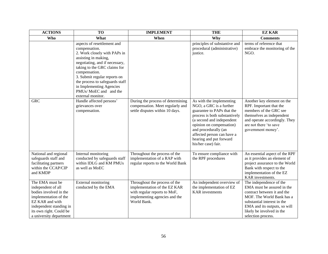| <b>ACTIONS</b>                                                                                                                                                                               | <b>TO</b>                                                                                                                                                                                                                                                                                                                            | <b>IMPLEMENT</b>                                                                                                                              | <b>THE</b>                                                                                                                                                                                                                                                                          | <b>EZ KAR</b>                                                                                                                                                                                                                       |
|----------------------------------------------------------------------------------------------------------------------------------------------------------------------------------------------|--------------------------------------------------------------------------------------------------------------------------------------------------------------------------------------------------------------------------------------------------------------------------------------------------------------------------------------|-----------------------------------------------------------------------------------------------------------------------------------------------|-------------------------------------------------------------------------------------------------------------------------------------------------------------------------------------------------------------------------------------------------------------------------------------|-------------------------------------------------------------------------------------------------------------------------------------------------------------------------------------------------------------------------------------|
| <b>Who</b>                                                                                                                                                                                   | What                                                                                                                                                                                                                                                                                                                                 | When                                                                                                                                          | Why                                                                                                                                                                                                                                                                                 | <b>Comments</b>                                                                                                                                                                                                                     |
|                                                                                                                                                                                              | aspects of resettlement and<br>compensation.<br>2. Work closely with PAPs in<br>assisting in making,<br>negotiating, and if necessary,<br>taking to the GRC claims for<br>compensation.<br>3. Submit regular reports on<br>the process to safeguards staff<br>in Implementing Agencies<br>PMUs/MoEC and and the<br>external monitor. |                                                                                                                                               | principles of substantive and<br>procedural (administrative)<br>justice.                                                                                                                                                                                                            | terms of reference that<br>embrace the monitoring of the<br>NGO.                                                                                                                                                                    |
| <b>GRC</b>                                                                                                                                                                                   | Handle affected persons'<br>grievances over<br>compensation.                                                                                                                                                                                                                                                                         | During the process of determining<br>compensation. Meet regularly and<br>settle disputes within 10 days.                                      | As with the implementing<br>NGO, a GRC is a further<br>guarantee to PAPs that the<br>process is both substantively<br>(a second and independent<br>opinion on compensation)<br>and procedurally (an<br>affected person can have a<br>hearing and put forward<br>his/her case) fair. | Another key element on the<br>RPF. Important that the<br>members of the GRC see<br>themselves as independent<br>and operate accordingly. They<br>are not there 'to save<br>government money'.                                       |
| National and regional<br>safeguards staff and<br>facilitating partners<br>within the CCAP/CIP<br>and KMDP                                                                                    | Internal monitoring<br>conducted by safeguards staff<br>within IDLG and KM PMUs<br>as well as MoEC                                                                                                                                                                                                                                   | Throughout the process of the<br>implementation of a RAP with<br>regular reports to the World Bank                                            | To ensure compliance with<br>the RPF procedures                                                                                                                                                                                                                                     | An essential aspect of the RPF<br>as it provides an element of<br>project assurance to the World<br>Bank with respect to the<br>implementation of the EZ<br>KAR investments.                                                        |
| The EMA must be<br>independent of all<br>bodies involved in the<br>implementation of the<br>EZ KAR and with<br>independent standing in<br>its own right. Could be<br>a university department | External monitoring<br>conducted by the EMA                                                                                                                                                                                                                                                                                          | Throughout the process of the<br>implementation of the EZ KAR<br>with regular reports to MoF,<br>implementing agencies and the<br>World Bank. | An independent overview of<br>the implementation of EZ<br><b>KAR</b> investments                                                                                                                                                                                                    | The independence of the<br>EMA must be assured in the<br>contract between it and the<br>MOF. The World Bank has a<br>substantial interest in the<br>EMA and its outputs, so will<br>likely be involved in the<br>selection process. |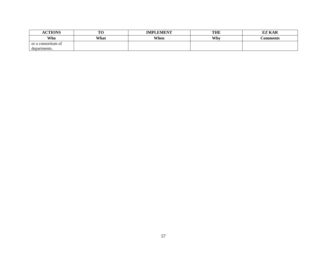| <b>ACTIONS</b>     | mс<br>10 | <b>IMPLEMENT</b> | <b>THE</b> | <b>EZ KAR</b>   |
|--------------------|----------|------------------|------------|-----------------|
| Who                | What     | When             | Why        | <b>Comments</b> |
| or a consortium of |          |                  |            |                 |
| departments.       |          |                  |            |                 |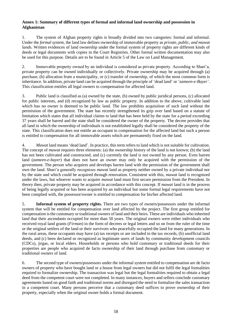## **Annex 1: Summary of different types of formal and informal land ownership and possession in Afghanistan**

1. The system of Afghan property rights is broadly divided into two categories: formal and informal. Under the *formal system*, the land law defines ownership of immovable property as *private, public, and mawat lands*. Written evidences of land ownership under the formal system of property rights are different kinds of deeds or legal documents with copies in the Court Registries. Other formal written documentation may also be used for this purpose. Details are to be found in Article 5 of the Law on Land Management.

2. Immovable property owned by an individual is considered as private property. According to Shari'a, private property can be owned individually or collectively. Private ownership may be acquired through (a) purchase, (b) allocation from a municipality, or (c) transfer of ownership, of which the most common form is inheritance. In addition, private land can be acquired through the principle of 'dead land' or '*zameen-e-Bayer'*. This classification entitles all legal owners to compensation for affected land.

3. Public land is classified as (a) owned by the state, (b) owned by public juridical persons, (c) allocated for public interests, and (d) recognized by law as public property. In addition to the above, cultivable land which has no owner is deemed to be public land. The law prohibits acquisition of such land without the permission of the government. The state has recently strengthened its grip over land based on a statute of limitation which states that all individual claims to land that has been held by the state for a period exceeding 37 years shall be barred and the state shall be considered the owner of the property. The decree provides that all land in which the ownership of individuals is not established legally shall be considered the property of the state. This classification does not entitle an occupant to compensation for the affected land but such a person is entitled to compensation for all immovable assets which are permanently fixed on the land.

4. *Mawat* land means 'dead land'. In practice, this term refers to land which is not suitable for cultivation. The concept of *mawat* requires three elements: (a) the ownership history of the land is not known; (b) the land has not been cultivated and constructed, and (c) currently the land is not owned by any person. Even barren land (*zameen-e-bayer*) that does not have an owner may only be acquired with the permission of the government. The person who acquires and develops barren land with the permission of the government shall own the land. Shari'a generally recognizes *mawat* land as property neither owned by a private individual nor by the state and which could be acquired through renovation. Consistent with this, *mawat* land is recognized under the laws, but whoever wants to acquire *mawat* land must first secure permission from the President. In theory then, private property may be acquired in accordance with this concept. If *mawat* land is in the process of being legally acquired or has been acquired by an individual but some formal legal requirements have not been complied with, the possessor/owner is entitled to compensation for his/her affected land.

5. **Informal system of property rights.** There are two types of owners/possessors under the informal system that will be entitled for compensation over land affected by the project. The first group entitled for compensation is the customary or traditional owners of land and their heirs. These are individuals who inherited land that their ascendants occupied for more than 50 years. The original owners were either individuals who received royal land grants (*Firman*) in the form of decrees or legal letters and so on from the ruler of the time or the original settlers of the land or their survivors who peacefully occupied the land for many generations. In the rural areas, these occupants may have (a) tax receipts or are included in the tax records, (b) unofficial land deeds, and (c) been declared or recognized as legitimate users of lands by community development councils (CDCs), jirgas, or local elders. Households or persons who hold customary or traditional deeds for their properties are people who acquired de facto ownership of their land through purchase from customary or traditional owners of land.

6. The second type of owners/possessors under the informal system entitled to compensation are de facto owners of property who have bought land or a house from legal owners but did not fulfil the legal formalities required to formalize ownership. The transaction was legal but the legal formalities required to obtain a legal deed from the competent court were not completed. In many instances, buyers and sellers conclude customary agreements based on good faith and traditional norms and disregard the need to formalize the sales transaction in a competent court. Many persons perceive that a customary deed suffices to prove ownership of their property, especially when the original owner holds a formal document.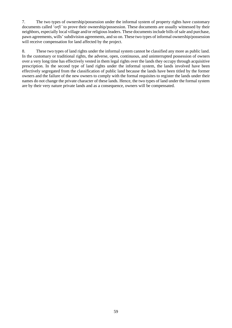7. The two types of ownership/possession under the informal system of property rights have customary documents called '*orfi'* to prove their ownership/possession. These documents are usually witnessed by their neighbors, especially local village and/or religious leaders. These documents include bills of sale and purchase, pawn agreements, wills' subdivision agreements, and so on. These two types of informal ownership/possession will receive compensation for land affected by the project.

8. These two types of land rights under the informal system cannot be classified any more as public land. In the customary or traditional rights, the adverse, open, continuous, and uninterrupted possession of owners over a very long time has effectively vested in them legal rights over the lands they occupy through acquisitive prescription. In the second type of land rights under the informal system, the lands involved have been effectively segregated from the classification of public land because the lands have been titled by the former owners and the failure of the new owners to comply with the formal requisites to register the lands under their names do not change the private character of these lands. Hence, the two types of land under the formal system are by their very nature private lands and as a consequence, owners will be compensated.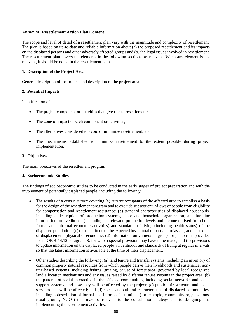#### **Annex 2a: Resettlement Action Plan Content**

The scope and level of detail of a resettlement plan vary with the magnitude and complexity of resettlement. The plan is based on up-to-date and reliable information about (a) the proposed resettlement and its impacts on the displaced persons and other adversely affected groups and (b) the legal issues involved in resettlement. The resettlement plan covers the elements in the following sections, as relevant. When any element is not relevant, it should be noted in the resettlement plan.

### **1. Description of the Project Area**

General description of the project and description of the project area

### **2. Potential Impacts**

Identification of

- The project component or activities that give rise to resettlement;
- The zone of impact of such component or activities;
- The alternatives considered to avoid or minimize resettlement; and
- The mechanisms established to minimize resettlement to the extent possible during project implementation.

#### **3. Objectives**

The main objectives of the resettlement program

#### **4. Socioeconomic Studies**

The findings of socioeconomic studies to be conducted in the early stages of project preparation and with the involvement of potentially displaced people, including the following:

- The results of a census survey covering (a) current occupants of the affected area to establish a basis for the design of the resettlement program and to exclude subsequent inflows of people from eligibility for compensation and resettlement assistance; (b) standard characteristics of displaced households, including a description of production systems, labor and household organization, and baseline information on livelihoods ( including, as relevant, production levels and income derived from both formal and informal economic activities) and standards of living (including health status) of the displaced population; (c) the magnitude of the expected loss—total or partial—of assets, and the extent of displacement, physical or economic; (d) information on vulnerable groups or persons as provided for in OP/BP 4.12 paragraph 8, for whom special provision may have to be made; and (e) provisions to update information on the displaced people's livelihoods and standards of living at regular intervals so that the latest information is available at the time of their displacement.
- Other studies describing the following: (a) land tenure and transfer systems, including an inventory of common property natural resources from which people derive their livelihoods and sustenance, nontitle-based systems (including fishing, grazing, or use of forest area) governed by local recognized land allocation mechanisms and any issues raised by different tenure systems in the project area; (b) the patterns of social interaction in the affected communities, including social networks and social support systems, and how they will be affected by the project; (c) public infrastructure and social services that will be affected; and (d) social and cultural characteristics of displaced communities, including a description of formal and informal institutions (for example, community organizations, ritual groups, NGOs) that may be relevant to the consultation strategy and to designing and implementing the resettlement activities.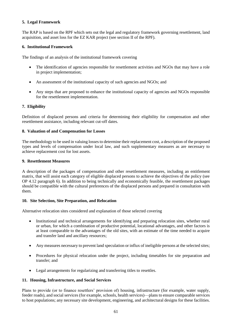### **5. Legal Framework**

The RAP is based on the RPF which sets out the legal and regulatory framework governing resettlement, land acquisition, and asset loss for the EZ KAR project (see section II of the RPF).

### **6. Institutional Framework**

The findings of an analysis of the institutional framework covering

- The identification of agencies responsible for resettlement activities and NGOs that may have a role in project implementation;
- An assessment of the institutional capacity of such agencies and NGOs; and
- Any steps that are proposed to enhance the institutional capacity of agencies and NGOs responsible for the resettlement implementation.

### **7. Eligibility**

Definition of displaced persons and criteria for determining their eligibility for compensation and other resettlement assistance, including relevant cut-off dates.

### **8. Valuation of and Compensation for Losses**

The methodology to be used in valuing losses to determine their replacement cost, a description of the proposed types and levels of compensation under local law, and such supplementary measures as are necessary to achieve replacement cost for lost assets.

#### **9. Resettlement Measures**

A description of the packages of compensation and other resettlement measures, including an entitlement matrix, that will assist each category of eligible displaced persons to achieve the objectives of the policy (see OP 4.12 paragraph 6). In addition to being technically and economically feasible, the resettlement packages should be compatible with the cultural preferences of the displaced persons and prepared in consultation with them.

#### **10. Site Selection, Site Preparation, and Relocation**

Alternative relocation sites considered and explanation of those selected covering

- Institutional and technical arrangements for identifying and preparing relocation sites, whether rural or urban, for which a combination of productive potential, locational advantages, and other factors is at least comparable to the advantages of the old sites, with an estimate of the time needed to acquire and transfer land and ancillary resources;
- Any measures necessary to prevent land speculation or influx of ineligible persons at the selected sites;
- Procedures for physical relocation under the project, including timetables for site preparation and transfer; and
- Legal arrangements for regularizing and transferring titles to resettles.

#### **11. Housing, Infrastructure, and Social Services**

Plans to provide (or to finance resettlers' provision of) housing, infrastructure (for example, water supply, feeder roads), and social services (for example, schools, health services)—plans to ensure comparable services to host populations; any necessary site development, engineering, and architectural designs for these facilities.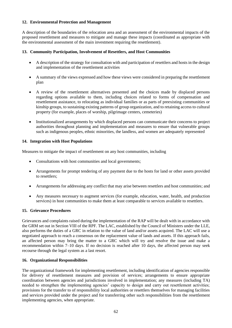## **12. Environmental Protection and Management**

A description of the boundaries of the relocation area and an assessment of the environmental impacts of the proposed resettlement and measures to mitigate and manage these impacts (coordinated as appropriate with the environmental assessment of the main investment requiring the resettlement).

### **13. Community Participation, Involvement of Resettlers, and Host Communities**

- A description of the strategy for consultation with and participation of resettlers and hosts in the design and implementation of the resettlement activities
- A summary of the views expressed and how these views were considered in preparing the resettlement plan
- A review of the resettlement alternatives presented and the choices made by displaced persons regarding options available to them, including choices related to forms of compensation and resettlement assistance, to relocating as individual families or as parts of preexisting communities or kinship groups, to sustaining existing patterns of group organization, and to retaining access to cultural property (for example, places of worship, pilgrimage centers, cemeteries)
- Institutionalized arrangements by which displaced persons can communicate their concerns to project authorities throughout planning and implementation and measures to ensure that vulnerable groups such as indigenous peoples, ethnic minorities, the landless, and women are adequately represented

### **14. Integration with Host Populations**

Measures to mitigate the impact of resettlement on any host communities, including

- Consultations with host communities and local governments;
- Arrangements for prompt tendering of any payment due to the hosts for land or other assets provided to resettlers;
- Arrangements for addressing any conflict that may arise between resettlers and host communities; and
- Any measures necessary to augment services (for example, education, water, health, and production services) in host communities to make them at least comparable to services available to resettlers.

## **15. Grievance Procedures**

Grievances and complaints raised during the implementation of the RAP will be dealt with in accordance with the GRM set out in Section VIII of the RPF. The LAC, established by the Council of Ministers under the LLE, also performs the duties of a GRC in relation to the value of land and/or assets acquired. The LAC will use a negotiated approach to reach a consensus on the replacement value of lands and assets. If this approach fails, an affected person may bring the matter to a GRC which will try and resolve the issue and make a recommendation within 7–10 days. If no decision is reached after 10 days, the affected person may seek recourse through the legal system as a last resort.

#### **16. Organizational Responsibilities**

The organizational framework for implementing resettlement, including identification of agencies responsible for delivery of resettlement measures and provision of services; arrangements to ensure appropriate coordination between agencies and jurisdictions involved in implementation; any measures (including TA) needed to strengthen the implementing agencies' capacity to design and carry out resettlement activities; provisions for the transfer to of responsibility local authorities or resettlers themselves for managing facilities and services provided under the project and for transferring other such responsibilities from the resettlement implementing agencies, when appropriate.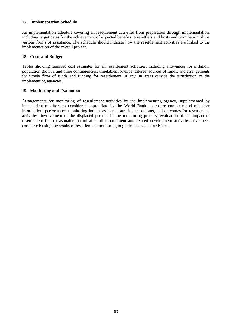### **17. Implementation Schedule**

An implementation schedule covering all resettlement activities from preparation through implementation, including target dates for the achievement of expected benefits to resettlers and hosts and termination of the various forms of assistance. The schedule should indicate how the resettlement activities are linked to the implementation of the overall project.

#### **18. Costs and Budget**

Tables showing itemized cost estimates for all resettlement activities, including allowances for inflation, population growth, and other contingencies; timetables for expenditures; sources of funds; and arrangements for timely flow of funds and funding for resettlement, if any, in areas outside the jurisdiction of the implementing agencies.

#### **19. Monitoring and Evaluation**

Arrangements for monitoring of resettlement activities by the implementing agency, supplemented by independent monitors as considered appropriate by the World Bank, to ensure complete and objective information; performance monitoring indicators to measure inputs, outputs, and outcomes for resettlement activities; involvement of the displaced persons in the monitoring process; evaluation of the impact of resettlement for a reasonable period after all resettlement and related development activities have been completed; using the results of resettlement monitoring to guide subsequent activities.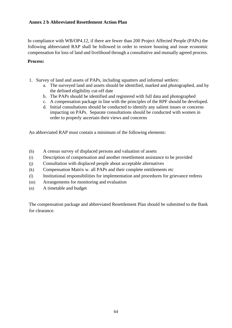## **Annex 2 b Abbreviated Resettlement Action Plan**

In compliance with WB/OP4.12, if there are fewer than 200 Project Affected People (PAPs) the following abbreviated RAP shall be followed in order to restore housing and issue economic compensation for loss of land and livelihood through a consultative and mutually agreed process.

## **Process:**

- 1. Survey of land and assets of PAPs, including squatters and informal settlers:
	- a. The surveyed land and assets should be identified, marked and photographed, and by the defined eligibility cut-off date
	- b. The PAPs should be identified and registered with full data and photographed
	- c. A compensation package in line with the principles of the RPF should be developed.
	- d. Initial consultations should be conducted to identify any salient issues or concerns impacting on PAPs. Separate consultations should be conducted with women in order to properly ascertain their views and concerns

An abbreviated RAP must contain a minimum of the following elements:

- (h) A census survey of displaced persons and valuation of assets
- (i) Description of compensation and another resettlement assistance to be provided
- (j) Consultation with displaced people about acceptable alternatives
- (k) Compensation Matrix w. all PAPs and their complete entitlements etc
- (l) Institutional responsibilities for implementation and procedures for grievance redress
- (m) Arrangements for monitoring and evaluation
- (n) A timetable and budget

The compensation package and abbreviated Resettlement Plan should be submitted to the Bank for clearance.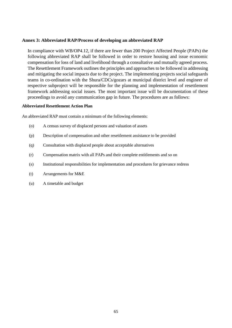## **Annex 3: Abbreviated RAP/Process of developing an abbreviated RAP**

In compliance with WB/OP4.12, if there are fewer than 200 Project Affected People (PAPs) the following abbreviated RAP shall be followed in order to restore housing and issue economic compensation for loss of land and livelihood through a consultative and mutually agreed process. The Resettlement Framework outlines the principles and approaches to be followed in addressing and mitigating the social impacts due to the project. The implementing projects social safeguards teams in co-ordination with the Shura/CDCs/gozars at municipal district level and engineer of respective subproject will be responsible for the planning and implementation of resettlement framework addressing social issues. The most important issue will be documentation of these proceedings to avoid any communication gap in future. The procedures are as follows:

### **Abbreviated Resettlement Action Plan**

An abbreviated RAP must contain a minimum of the following elements:

- (o) A census survey of displaced persons and valuation of assets
- (p) Description of compensation and other resettlement assistance to be provided
- (q) Consultation with displaced people about acceptable alternatives
- (r) Compensation matrix with all PAPs and their complete entitlements and so on
- (s) Institutional responsibilities for implementation and procedures for grievance redress
- (t) Arrangements for M&E
- (u) A timetable and budget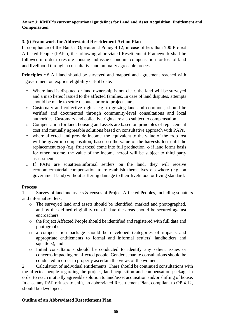## **Annex 3: KMDP's current operational guidelines for Land and Asset Acquisition, Entitlement and Compensation**

## **3. (i) Framework for Abbreviated Resettlement Action Plan**

In compliance of the Bank's Operational Policy 4.12, in case of less than 200 Project Affected People (PAPs), the following abbreviated Resettlement Framework shall be followed in order to restore housing and issue economic compensation for loss of land and livelihood through a consultative and mutually agreeable process.

**Principles**  $\circ$  f All land should be surveyed and mapped and agreement reached with government on explicit eligibility cut-off date.

- o Where land is disputed or land ownership is not clear, the land will be surveyed and a map hereof issued to the affected families. In case of land disputes, attempts should be made to settle disputes prior to project start.
- o Customary and collective rights, e.g. to grazing land and commons, should be verified and documented through community-level consultations and local authorities. Customary and collective rights are also subject to compensation.
- o Compensation for land, housing and assets are based on principles of replacement cost and mutually agreeable solutions based on consultative approach with PAPs.
- o where affected land provide income, the equivalent to the value of the crop lost will be given in compensation, based on the value of the harvests lost until the replacement crop (e.g. fruit tress) come into full production. o if land forms basis for other income, the value of the income hereof will be subject to third party assessment
- o If PAPs are squatters/informal settlers on the land, they will receive economic/material compensation to re-establish themselves elsewhere (e.g. on government land) without suffering damage to their livelihood or living standard.

## **Process**

1. Survey of land and assets & census of Project Affected Peoples, including squatters and informal settlers:

- o The surveyed land and assets should be identified, marked and photographed, and by the defined eligibility cut-off date the areas should be secured against encroachers.
- o the Project Affected People should be identified and registered with full data and photographs
- o a compensation package should be developed (categories of impacts and appropriate entitlements to formal and informal settlers' landholders and squatters), and
- o Initial consultations should be conducted to identify any salient issues or concerns impacting on affected people. Gender separate consultations should be conducted in order to properly ascertain the views of the women.

2. Calculation of individual entitlements. There should be continued consultations with the affected people regarding the project, land acquisition and compensation package in order to reach mutually agreeable solution to land/asset acquisition and/or shifting of house. In case any PAP refuses to shift, an abbreviated Resettlement Plan, compliant to OP 4.12, should be developed.

## **Outline of an Abbreviated Resettlement Plan**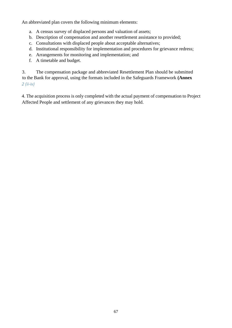An abbreviated plan covers the following minimum elements:

- a. A census survey of displaced persons and valuation of assets;
- b. Description of compensation and another resettlement assistance to provided;
- c. Consultations with displaced people about acceptable alternatives;
- d. Institutional responsibility for implementation and procedures for grievance redress;
- e. Arrangements for monitoring and implementation; and
- f. A timetable and budget.

3. The compensation package and abbreviated Resettlement Plan should be submitted to the Bank for approval, using the formats included in the Safeguards Framework **(Annex**  *2 (ii-iv)* 

4. The acquisition process is only completed with the actual payment of compensation to Project Affected People and settlement of any grievances they may hold.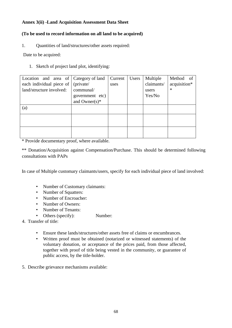## **Annex 3(ii) -Land Acquisition Assessment Data Sheet**

# **(To be used to record information on all land to be acquired)**

1. Quantities of land/structures/other assets required:

Date to be acquired:

1. Sketch of project land plot, identifying:

| Location and area of $\vert$ | Category of land             | Current | Users | Multiple   | Method of    |
|------------------------------|------------------------------|---------|-------|------------|--------------|
| each individual piece of     | (private/                    | uses    |       | claimants/ | acquisition* |
| land/structure involved:     | communal/                    |         |       | users      | $\ast$       |
|                              | government etc)              |         |       | Yes/No     |              |
|                              | and Owner $(s)$ <sup>*</sup> |         |       |            |              |
| (a)                          |                              |         |       |            |              |
|                              |                              |         |       |            |              |
|                              |                              |         |       |            |              |
|                              |                              |         |       |            |              |
|                              |                              |         |       |            |              |
|                              |                              |         |       |            |              |

\* Provide documentary proof, where available.

\*\* Donation/Acquisition against Compensation/Purchase. This should be determined following consultations with PAPs

In case of Multiple customary claimants/users, specify for each individual piece of land involved:

- Number of Customary claimants:
- Number of Squatters:
- Number of Encroacher:
- Number of Owners:
- Number of Tenants:
- Others (specify): Number:
- 4. Transfer of title:
	- Ensure these lands/structures/other assets free of claims or encumbrances.
	- Written proof must be obtained (notarized or witnessed statements) of the voluntary donation, or acceptance of the prices paid, from those affected, together with proof of title being vested in the community, or guarantee of public access, by the title-holder.
- 5. Describe grievance mechanisms available: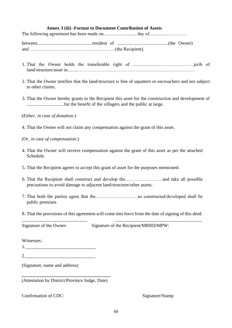## **Annex 3 (iii) -Format to Document Contribution of Assets**

The following agreement has been made on............................ day of...................……….

between...............................................resident of ............................................(the Owner) and ……………………………………………….(the Recipient).

- 1. That the Owner holds the transferable right of ........................…………………jerib of land/structure/asset in.........…………………………………………………………………
- 2. That the Owner testifies that the land/structure is free of squatters or encroachers and not subject to other claims.
- 3. That the Owner hereby grants to the Recipient this asset for the construction and development of ................................for the benefit of the villagers and the public at large.

## *(Either, in case of donation:)*

- 4. That the Owner will not claim any compensation against the grant of this asset.
- *(Or, in case of compensation:)*
- 4. That the Owner will receive compensation against the grant of this asset as per the attached Schedule.
- 5. That the Recipient agrees to accept this grant of asset for the purposes mentioned.
- 6. That the Recipient shall construct and develop the……………………and take all possible precautions to avoid damage to adjacent land/structure/other assets.
- 7. That both the parties agree that the………………………so constructed/developed shall be public premises.
- 8. That the provisions of this agreement will come into force from the date of signing of this deed. \_\_\_\_\_\_\_\_\_\_\_\_\_\_\_\_\_\_\_\_\_\_\_\_\_\_\_\_ \_\_\_\_\_\_\_\_\_\_\_\_\_\_\_\_\_\_\_\_\_\_\_\_\_\_\_\_\_\_\_\_\_\_\_\_\_

Signature of the Owner: Signature of the Recipient/MRRD/MPW:

Witnesses:

(Signature, name and address)

**\_\_\_\_\_\_\_\_\_\_\_\_\_\_\_\_\_\_\_\_\_\_\_\_\_\_\_\_\_\_\_\_\_\_\_\_\_\_**  (Attestation by District/Province Judge, Date)

## Confirmation of CDC: Signature/Stamp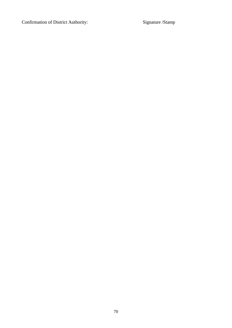Confirmation of District Authority: Signature /Stamp

70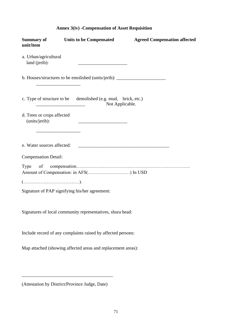|  |  | <b>Annex 3(iv) - Compensation of Asset Requisition</b> |
|--|--|--------------------------------------------------------|
|--|--|--------------------------------------------------------|

| <b>Summary of</b><br>unit/item               | Units to be Compensated                                                                                              | <b>Agreed Compensation affected</b> |
|----------------------------------------------|----------------------------------------------------------------------------------------------------------------------|-------------------------------------|
| a. Urban/agricultural<br>land (jerib):       | <u> Alexandria de la contrada de la contrada de la contrada de la contrada de la contrada de la contrada de la c</u> |                                     |
|                                              | b. Houses/structures to be emolished (units/jerib): ____________________________                                     |                                     |
|                                              | c. Type of structure to be demolished (e.g. mud, brick, etc.)<br>Not Applicable.                                     |                                     |
| d. Trees or crops affected<br>(units/jerib): |                                                                                                                      |                                     |
|                                              |                                                                                                                      |                                     |
| e. Water sources affected:                   | <u> 2000 - Jan James James Jan James James James James James James James James James James James James James Jam</u> |                                     |
| <b>Compensation Detail:</b>                  |                                                                                                                      |                                     |
|                                              | Amount of Compensation: in AFS() In USD                                                                              |                                     |
|                                              |                                                                                                                      |                                     |
|                                              | Signature of PAP signifying his/her agreement:                                                                       |                                     |
|                                              | Signatures of local community representatives, shura head:                                                           |                                     |
|                                              | Include record of any complaints raised by affected persons:                                                         |                                     |
|                                              | Map attached (showing affected areas and replacement areas):                                                         |                                     |

(Attestation by District/Province Judge, Date)

\_\_\_\_\_\_\_\_\_\_\_\_\_\_\_\_\_\_\_\_\_\_\_\_\_\_\_\_\_\_\_\_\_\_\_\_\_\_\_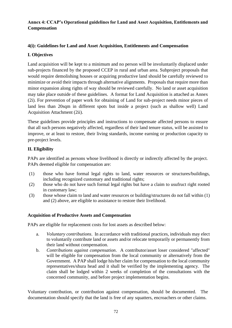## **Annex 4: CCAP's Operational guidelines for Land and Asset Acquisition, Entitlements and Compensation**

## **4(i): Guidelines for Land and Asset Acquisition, Entitlements and Compensation**

# **I. Objectives**

Land acquisition will be kept to a minimum and no person will be involuntarily displaced under sub-projects financed by the proposed CCEP in rural and urban area. Subproject proposals that would require demolishing houses or acquiring productive land should be carefully reviewed to minimize or avoid their impacts through alternative alignments. Proposals that require more than minor expansion along rights of way should be reviewed carefully. No land or asset acquisition may take place outside of these guidelines. A format for Land Acquisition is attached as Annex (2i). For prevention of paper work for obtaining of Land for sub-project needs minor pieces of land less than 20sqm in different spots but inside a project (such as shallow well) Land Acquisition Attachment (2ii).

These guidelines provide principles and instructions to compensate affected persons to ensure that all such persons negatively affected, regardless of their land tenure status, will be assisted to improve, or at least to restore, their living standards, income earning or production capacity to pre-project levels.

# **II. Eligibility**

PAPs are identified as persons whose livelihood is directly or indirectly affected by the project. PAPs deemed eligible for compensation are:

- (1) those who have formal legal rights to land, water resources or structures/buildings, including recognized customary and traditional rights;
- (2) those who do not have such formal legal rights but have a claim to usufruct right rooted in customary law;
- (3) those whose claim to land and water resources or building/structures do not fall within (1) and (2) above, are eligible to assistance to restore their livelihood.

## **Acquisition of Productive Assets and Compensation**

PAPs are eligible for replacement costs for lost assets as described below:

- a. *Voluntary contributions*. In accordance with traditional practices, individuals may elect to voluntarily contribute land or assets and/or relocate temporarily or permanently from their land without compensation.
- b. *Contributions against compensation*. A contributor/asset loser considered "affected" will be eligible for compensation from the local community or alternatively from the Government. A PAP shall lodge his/her claim for compensation to the local community representatives/shura head and it shall be verified by the implementing agency. The claim shall be lodged within 2 weeks of completion of the consultations with the concerned community, and before project implementation begins.

Voluntary contribution, or contribution against compensation, should be documented. The documentation should specify that the land is free of any squatters, encroachers or other claims.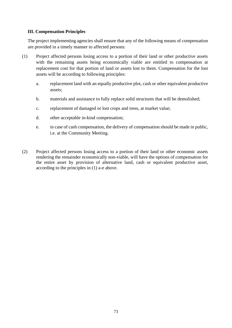## **III. Compensation Principles**

The project implementing agencies shall ensure that any of the following means of compensation are provided in a timely manner to affected persons:

- (1) Project affected persons losing access to a portion of their land or other productive assets with the remaining assets being economically viable are entitled to compensation at replacement cost for that portion of land or assets lost to them. Compensation for the lost assets will be according to following principles:
	- a. replacement land with an equally productive plot, cash or other equivalent productive assets;
	- b. materials and assistance to fully replace solid structures that will be demolished;
	- c. replacement of damaged or lost crops and trees, at market value;
	- d. other acceptable in-kind compensation;
	- e. in case of cash compensation, the delivery of compensation should be made in public, i.e. at the Community Meeting.
- (2) Project affected persons losing access to a portion of their land or other economic assets rendering the remainder economically non-viable, will have the options of compensation for the entire asset by provision of alternative land, cash or equivalent productive asset, according to the principles in (1) a-e above.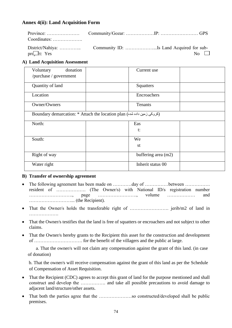## **Annex 4(ii): Land Acquisition Form**

| Coordinates:           |  |           |
|------------------------|--|-----------|
|                        |  |           |
| $pr\rightarrow$ t: Yes |  | No $\Box$ |

### **A) Land Acquisition Assessment**

| donation<br>Voluntary<br>Current use<br>/purchase / government<br>Quantity of land<br>Squatters<br>Location<br>Encroachers<br>Owner/Owners<br>Tenants<br>Boundary demarcation: * Attach the location plan (كروكى زمين داده شده)<br>North:<br>Eas<br>t:<br>South:<br>We<br>st<br>Right of way<br>buffering area (m2)<br>Inherit status 00<br>Water right |  |  |
|---------------------------------------------------------------------------------------------------------------------------------------------------------------------------------------------------------------------------------------------------------------------------------------------------------------------------------------------------------|--|--|
|                                                                                                                                                                                                                                                                                                                                                         |  |  |
|                                                                                                                                                                                                                                                                                                                                                         |  |  |
|                                                                                                                                                                                                                                                                                                                                                         |  |  |
|                                                                                                                                                                                                                                                                                                                                                         |  |  |
|                                                                                                                                                                                                                                                                                                                                                         |  |  |
|                                                                                                                                                                                                                                                                                                                                                         |  |  |
|                                                                                                                                                                                                                                                                                                                                                         |  |  |
|                                                                                                                                                                                                                                                                                                                                                         |  |  |
|                                                                                                                                                                                                                                                                                                                                                         |  |  |
|                                                                                                                                                                                                                                                                                                                                                         |  |  |
|                                                                                                                                                                                                                                                                                                                                                         |  |  |
|                                                                                                                                                                                                                                                                                                                                                         |  |  |

### **B) Transfer of ownership agreement**

- The following agreement has been made on …………day of ……………between …………… resident of ………………. (The Owner/s) with National ID/s registration number ………………………., page ……………………., volume ……………… and ………………………... (the Recipient).
- That the Owner/s holds the transferable right of ……………………. jerib/m2 of land in …………………
- That the Owner/s testifies that the land is free of squatters or encroachers and not subject to other claims.
- That the Owner/s hereby grants to the Recipient this asset for the construction and development of …………………………. for the benefit of the villagers and the public at large.

 a. That the owner/s will not claim any compensation against the grant of this land. (in case of donation)

b. That the owner/s will receive compensation against the grant of this land as per the Schedule of Compensation of Asset Requisition.

- That the Recipient (CDC) agrees to accept this grant of land for the purpose mentioned and shall construct and develop the ……………. and take all possible precautions to avoid damage to adjacent land/structure/other assets.
- That both the parties agree that the …………………so constructed/developed shall be public premises.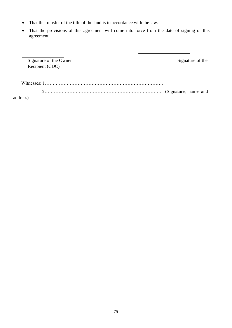- That the transfer of the title of the land is in accordance with the law.
- That the provisions of this agreement will come into force from the date of signing of this agreement.

|          | Signature of the Owner | Signature of the |  |
|----------|------------------------|------------------|--|
|          | Recipient (CDC)        |                  |  |
|          |                        |                  |  |
|          |                        |                  |  |
|          |                        |                  |  |
| address) |                        |                  |  |

address)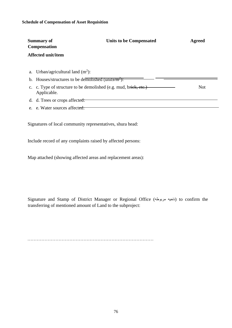| <b>Summary of</b><br><b>Compensation</b> |                                                                                                           | Units to be Compensated | <b>Agreed</b> |
|------------------------------------------|-----------------------------------------------------------------------------------------------------------|-------------------------|---------------|
|                                          | <b>Affected unit/item</b>                                                                                 |                         |               |
|                                          | a. Urban/agricultural land $(m^2)$ :<br>b. Houses/structures to be demolished (units/ $\overline{m^2}$ ): |                         |               |
|                                          | c. c. Type of structure to be demolished (e.g. mud, brick, etc.)<br>Applicable.                           |                         | <b>Not</b>    |
| d.                                       | d. Trees or crops affected:                                                                               |                         |               |
|                                          | e. e. Water sources affected.                                                                             |                         |               |

Signatures of local community representatives, shura head:

Include record of any complaints raised by affected persons:

Map attached (showing affected areas and replacement areas):

Signature and Stamp of District Manager or Regional Office (ناحیه مربوطه) to confirm the transferring of mentioned amount of Land to the subproject:

………………………………………………………………………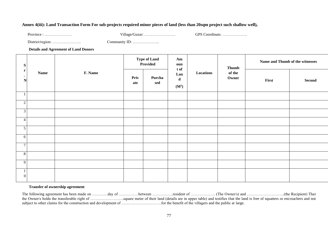### **Annex 4(iii): Land Transaction Form For sub-projects required minor pieces of land (less than 20sqm project such shallow well),**

Province : ………………… Village/Guzar: …………………… GPS Coordinats: ……………….

District/region: …………………. Community ID: ………………...

#### **Details and Agreement of Land Donors**

| ${\bf S}$<br>$\mathbf{r}$<br><b>Name</b><br>$\bullet$<br>$\mathbf N$ |  | <b>Type of Land</b><br>Provided | Am<br>oun<br>t of |               | <b>Thumb</b>                            | Name and Thumb of the witnesses |                 |       |        |
|----------------------------------------------------------------------|--|---------------------------------|-------------------|---------------|-----------------------------------------|---------------------------------|-----------------|-------|--------|
|                                                                      |  | F. Name                         | Priv<br>ate       | Purcha<br>sed | Lan<br>$\mathbf d$<br>(M <sup>2</sup> ) | Locations                       | of the<br>Owner | First | Second |
| $\mathbf{1}$                                                         |  |                                 |                   |               |                                         |                                 |                 |       |        |
| 2                                                                    |  |                                 |                   |               |                                         |                                 |                 |       |        |
| $\overline{\mathbf{3}}$                                              |  |                                 |                   |               |                                         |                                 |                 |       |        |
| $\overline{4}$                                                       |  |                                 |                   |               |                                         |                                 |                 |       |        |
| $\mathfrak{S}$                                                       |  |                                 |                   |               |                                         |                                 |                 |       |        |
| 6                                                                    |  |                                 |                   |               |                                         |                                 |                 |       |        |
| $\overline{7}$                                                       |  |                                 |                   |               |                                         |                                 |                 |       |        |
| $\sqrt{8}$                                                           |  |                                 |                   |               |                                         |                                 |                 |       |        |
| 9                                                                    |  |                                 |                   |               |                                         |                                 |                 |       |        |
| $\mathbf{1}$<br>$\boldsymbol{0}$                                     |  |                                 |                   |               |                                         |                                 |                 |       |        |

### **Transfer of ownership agreement**

The following agreement has been made on …………day of ……………between …………….resident of ………………. (The Owner/s) and ………………………..(the Recipient) That the Owner/s holds the transferable right of ……………………..square meter of their land (details are in upper table) and testifies that the land is free of squatters or encroachers and not subject to other claims for the construction and development of ………………………….for the benefit of the villagers and the public at large.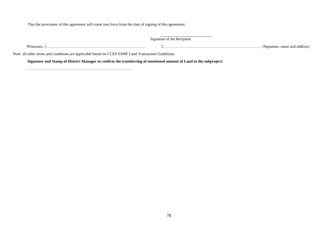That the provisions of this agreement will come into force from the date of signing of this agreement.

Signature of the Recipient

 Witnesses: 1…………………………………………………………………. 2…………………………………………………………………. (Signature, name and address) Note: all other terms and conditions are applicable based on CCEP ESMF Land Transaction Guidelines. **Signature and Stamp of District Manager to confirm the transferring of mentioned amount of Land to the subproject:**

………………………………………………………………………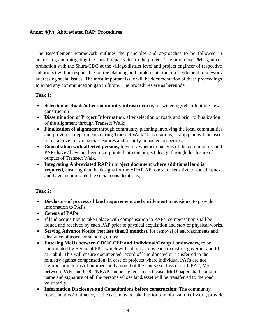## **Annex 4(iv): Abbreviated RAP: Procedures**

The Resettlement Framework outlines the principles and approaches to be followed in addressing and mitigating the social impacts due to the project. The provincial PMUs, in coordination with the Shura/CDC at the village/district level and project engineer of respective subproject will be responsible for the planning and implementation of resettlement framework addressing social issues. The most important issue will be documentation of these proceedings to avoid any communication gap in future. The procedures are as hereunder:

## **Task 1:**

- **Selection of Roads/other community infrastructure,** for widening/rehabilitation/ new construction
- **Dissemination of Project Information,** after selection of roads and prior to finalization of the alignment through Transect Walk;
- **Finalization of alignment** through community planning involving the local communities and provincial departments during Transect Walk Consultations, a strip plan will be used to make inventory of social features and identify impacted properties;
- **Consultation with affected persons,** to verify whether concerns of the communities and PAPs have / have not been incorporated into the project design through disclosure of outputs of Transect Walk.
- **Integrating Abbreviated RAP in project document where additional land is required,** ensuring that the designs for the ARAP AF roads are sensitive to social issues and have incorporated the social considerations;

## **Task 2:**

- **Disclosure of process of land requirement and entitlement provisions**, to provide information to PAPs.
- **Census of PAPs**
- If land acquisition is taken place with compensation to PAPs, compensation shall be issued and received by each PAP prior to physical acquisition and start of physical works.
- **Serving Advance Notice (not less than 3 months),** for removal of encroachments and clearance of assets or standing crops;
- **Entering MoUs between CDC/CCEP and Individual/Group Landowners,** to be coordinated by Regional PIU, which will submit a copy each to district governor and PIU at Kabul. This will ensure documented record of land donated or transferred to the ministry against compensation. In case of projects where individual PAPs are not significant in terms of numbers and amount of the land/asset loss of each PAP, MoU between PAPs and CDC /NRAP can be signed. In such case, MoU paper shall contain name and signature of all the persons whose land/asset will be transferred to the road voluntarily.
- **Information Disclosure and Consultations before construction:** The community representative/contractor, as the case may be, shall, prior to mobilization of work, provide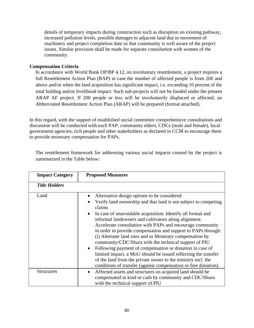details of temporary impacts during construction such as disruption on existing pathway, increased pollution levels, possible damages to adjacent land due to movement of machinery and project completion date so that community is well aware of the project issues. Similar provision shall be made for separate consultation with women of the community.

## **Compensation Criteria**

In accordance with World Bank OP/BP 4.12, on involuntary resettlement, a project requires a full Resettlement Action Plan (RAP) in case the number of affected people is from 200 and above and/or when the land acquisition has significant impact, i.e. exceeding 10 percent of the total holding and/or livelihood impact. Such sub-projects will not be funded under the present ARAP AF project. If 200 people or less will be involuntarily displaced or affected, an Abbreviated Resettlement Action Plan (ARAP) will be prepared (format attached).

In this regard, with the support of established social committee comprehensive consultations and discussion will be conducted with each PAP, community elders, CDCs (male and female), local government agencies, rich people and other stakeholders as declared in CCM to encourage them to provide necessary compensation for PAPs.

The resettlement framework for addressing various social impacts created by the project is summarized in the Table below:

| <b>Impact Category</b> | <b>Proposed Measures</b>                                                                                                                                                                                                                                                                                                                                                                                                                                                                                                                                                                                                                                                                           |
|------------------------|----------------------------------------------------------------------------------------------------------------------------------------------------------------------------------------------------------------------------------------------------------------------------------------------------------------------------------------------------------------------------------------------------------------------------------------------------------------------------------------------------------------------------------------------------------------------------------------------------------------------------------------------------------------------------------------------------|
| <b>Title Holders</b>   |                                                                                                                                                                                                                                                                                                                                                                                                                                                                                                                                                                                                                                                                                                    |
| Land                   | Alternative design options to be considered<br>Verify land ownership and that land is not subject to competing<br>claims<br>In case of unavoidable acquisition: Identify all formal and<br>informal landowners and cultivators along alignment.<br>Accelerate consultation with PAPs and encourage community<br>in order to provide compensation and support to PAPs through:<br>(i) Alternate land sites and or Monetary compensation by<br>community/CDC/Shura with the technical support of PIU<br>• Following payment of compensation or donation in case of<br>limited impact, a MoU should be issued reflecting the transfer<br>of the land from the private owner to the ministry incl. the |
| <b>Structures</b>      | conditions of transfer (against compensation or free donation).<br>Affected assets and structures on acquired land should be<br>compensated in kind or cash by community and CDC/Shura<br>with the technical support of PIU                                                                                                                                                                                                                                                                                                                                                                                                                                                                        |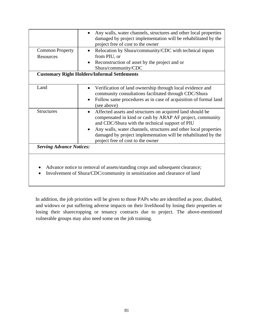|                                 | Any walls, water channels, structures and other local properties                                                                                                          |
|---------------------------------|---------------------------------------------------------------------------------------------------------------------------------------------------------------------------|
|                                 | damaged by project implementation will be rehabilitated by the                                                                                                            |
|                                 | project free of cost to the owner                                                                                                                                         |
| <b>Common Property</b>          | Relocation by Shura/community/CDC with technical inputs<br>$\bullet$                                                                                                      |
| Resources                       | from PIU, or                                                                                                                                                              |
|                                 | Reconstruction of asset by the project and or<br>$\bullet$                                                                                                                |
|                                 | Shura/community/CDC                                                                                                                                                       |
|                                 | <b>Customary Right Holders/Informal Settlements</b>                                                                                                                       |
|                                 |                                                                                                                                                                           |
| Land                            | Verification of land ownership through local evidence and                                                                                                                 |
|                                 | community consultations facilitated through CDC/Shura                                                                                                                     |
|                                 | Follow same procedures as in case of acquisition of formal land<br>$\bullet$<br>(see above)                                                                               |
| <b>Structures</b>               | Affected assets and structures on acquired land should be<br>compensated in kind or cash by ARAP AF project, community<br>and CDC/Shura with the technical support of PIU |
|                                 | Any walls, water channels, structures and other local properties                                                                                                          |
|                                 | damaged by project implementation will be rehabilitated by the                                                                                                            |
|                                 | project free of cost to the owner                                                                                                                                         |
|                                 |                                                                                                                                                                           |
| <b>Serving Advance Notices:</b> |                                                                                                                                                                           |

• Involvement of Shura/CDC/community in sensitization and clearance of land

In addition, the job priorities will be given to those PAPs who are identified as poor, disabled, and widows or put suffering adverse impacts on their livelihood by losing their properties or losing their sharecropping or tenancy contracts due to project. The above-mentioned vulnerable groups may also need some on the job training.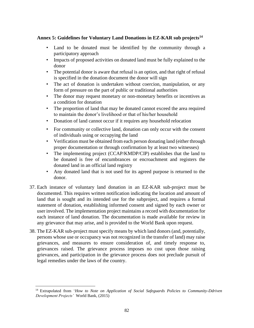## **Annex 5: Guidelines for Voluntary Land Donations in EZ-KAR sub projects<sup>14</sup>**

- Land to be donated must be identified by the community through a participatory approach
- Impacts of proposed activities on donated land must be fully explained to the donor
- The potential donor is aware that refusal is an option, and that right of refusal is specified in the donation document the donor will sign
- The act of donation is undertaken without coercion, manipulation, or any form of pressure on the part of public or traditional authorities
- The donor may request monetary or non-monetary benefits or incentives as a condition for donation
- The proportion of land that may be donated cannot exceed the area required to maintain the donor's livelihood or that of his/her household
- Donation of land cannot occur if it requires any household relocation
- For community or collective land, donation can only occur with the consent of individuals using or occupying the land
- Verification must be obtained from each person donating land (either through proper documentation or through confirmation by at least two witnesses)
- The implementing project (CCAP/KMDP/CIP) establishes that the land to be donated is free of encumbrances or encroachment and registers the donated land in an official land registry
- Any donated land that is not used for its agreed purpose is returned to the donor.
- 37. Each instance of voluntary land donation in an EZ-KAR sub-project must be documented. This requires written notification indicating the location and amount of land that is sought and its intended use for the subproject, and requires a formal statement of donation, establishing informed consent and signed by each owner or user involved. The implementation project maintains a record with documentation for each instance of land donation. The documentation is made available for review in any grievance that may arise, and is provided to the World Bank upon request.
- 38. The EZ-KAR sub-project must specify means by which land donors (and, potentially, persons whose use or occupancy was not recognized in the transfer of land) may raise grievances, and measures to ensure consideration of, and timely response to, grievances raised. The grievance process imposes no cost upon those raising grievances, and participation in the grievance process does not preclude pursuit of legal remedies under the laws of the country.

<sup>14</sup> Extrapolated from '*How to Note on Application of Social Safeguards Policies to Community-Ddriven Development Projects'* World Bank, (2015)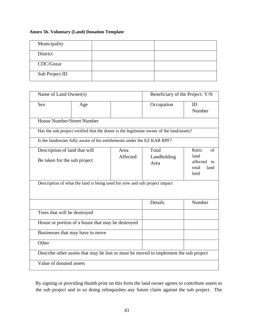### **Annex 5b. Voluntary (Land) Donation Template**

| Municipality   |  |
|----------------|--|
| District       |  |
| CDC/Gozar      |  |
| Sub Project ID |  |

|                              | Name of Land Owner(s)                                                                   |  | Beneficiary of the Project: Y/N |                                                                |  |  |
|------------------------------|-----------------------------------------------------------------------------------------|--|---------------------------------|----------------------------------------------------------------|--|--|
| <b>Sex</b>                   | Age                                                                                     |  | Occupation                      | ID<br>Number                                                   |  |  |
|                              | <b>House Number/Street Number</b>                                                       |  |                                 |                                                                |  |  |
|                              | Has the sub project verified that the donor is the legitimate owner of the land/assets? |  |                                 |                                                                |  |  |
|                              | Is the landowner fully aware of his entitlements under the EZ KAR RPF?                  |  |                                 |                                                                |  |  |
|                              | Description of land that will<br>Area<br>Affected:<br>Be taken for the sub project      |  |                                 | Ratio<br>of<br>land<br>affected<br>tΩ<br>total<br>land<br>held |  |  |
|                              | Description of what the land is being used for now and sub project impact               |  |                                 |                                                                |  |  |
|                              |                                                                                         |  | Details                         | Number                                                         |  |  |
| Trees that will be destroyed |                                                                                         |  |                                 |                                                                |  |  |
|                              | House or portion of a house that may be destroyed                                       |  |                                 |                                                                |  |  |
|                              | Businesses that may have to move                                                        |  |                                 |                                                                |  |  |
| Other                        |                                                                                         |  |                                 |                                                                |  |  |
|                              | Describe other assets that may be lost or must be moved to implement the sub project    |  |                                 |                                                                |  |  |
| Value of donated assets      |                                                                                         |  |                                 |                                                                |  |  |

By signing or providing thumb print on this form the land owner agrees to contribute assets to the sub project and in so doing relinquishes any future claim against the sub project. The